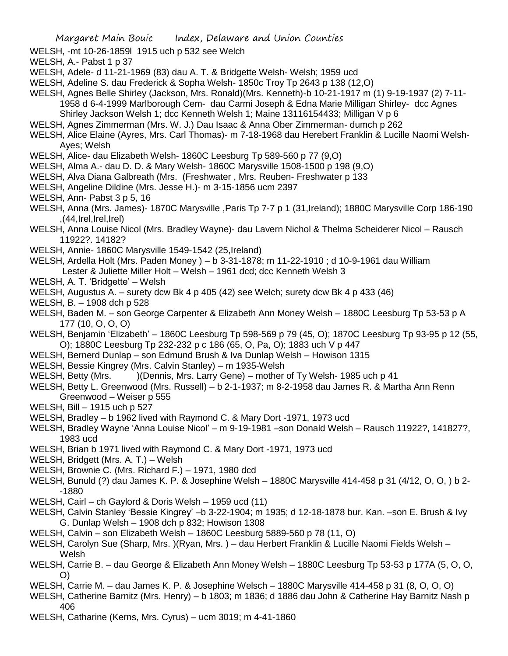WELSH, -mt 10-26-1859l 1915 uch p 532 see Welch

WELSH, A.- Pabst 1 p 37

WELSH, Adele- d 11-21-1969 (83) dau A. T. & Bridgette Welsh- Welsh; 1959 ucd

WELSH, Adeline S. dau Frederick & Sopha Welsh- 1850c Troy Tp 2643 p 138 (12,O)

WELSH, Agnes Belle Shirley (Jackson, Mrs. Ronald)(Mrs. Kenneth)-b 10-21-1917 m (1) 9-19-1937 (2) 7-11- 1958 d 6-4-1999 Marlborough Cem- dau Carmi Joseph & Edna Marie Milligan Shirley- dcc Agnes

Shirley Jackson Welsh 1; dcc Kenneth Welsh 1; Maine 13116154433; Milligan V p 6

WELSH, Agnes Zimmerman (Mrs. W. J.) Dau Isaac & Anna Ober Zimmerman- dumch p 262

WELSH, Alice Elaine (Ayres, Mrs. Carl Thomas)- m 7-18-1968 dau Herebert Franklin & Lucille Naomi Welsh-Ayes; Welsh

WELSH, Alice- dau Elizabeth Welsh- 1860C Leesburg Tp 589-560 p 77 (9,O)

WELSH, Alma A.- dau D. D. & Mary Welsh- 1860C Marysville 1508-1500 p 198 (9,O)

WELSH, Alva Diana Galbreath (Mrs. (Freshwater , Mrs. Reuben- Freshwater p 133

- WELSH, Angeline Dildine (Mrs. Jesse H.)- m 3-15-1856 ucm 2397
- WELSH, Ann- Pabst 3 p 5, 16

WELSH, Anna (Mrs. James)- 1870C Marysville ,Paris Tp 7-7 p 1 (31,Ireland); 1880C Marysville Corp 186-190 ,(44,Irel,Irel,Irel)

WELSH, Anna Louise Nicol (Mrs. Bradley Wayne)- dau Lavern Nichol & Thelma Scheiderer Nicol – Rausch 11922?. 14182?

WELSH, Annie- 1860C Marysville 1549-1542 (25,Ireland)

WELSH, Ardella Holt (Mrs. Paden Money ) – b 3-31-1878; m 11-22-1910 ; d 10-9-1961 dau William Lester & Juliette Miller Holt – Welsh – 1961 dcd; dcc Kenneth Welsh 3

WELSH, A. T. 'Bridgette' – Welsh

WELSH, Augustus A. – surety dcw Bk 4 p 405 (42) see Welch; surety dcw Bk 4 p 433 (46)

WELSH, B. – 1908 dch p 528

WELSH, Baden M. – son George Carpenter & Elizabeth Ann Money Welsh – 1880C Leesburg Tp 53-53 p A 177 (10, O, O, O)

WELSH, Benjamin 'Elizabeth' – 1860C Leesburg Tp 598-569 p 79 (45, O); 1870C Leesburg Tp 93-95 p 12 (55, O); 1880C Leesburg Tp 232-232 p c 186 (65, O, Pa, O); 1883 uch V p 447

WELSH, Bernerd Dunlap – son Edmund Brush & Iva Dunlap Welsh – Howison 1315

WELSH, Bessie Kingrey (Mrs. Calvin Stanley) – m 1935-Welsh

WELSH, Betty (Mrs. )(Dennis, Mrs. Larry Gene) – mother of Ty Welsh- 1985 uch p 41

WELSH, Betty L. Greenwood (Mrs. Russell) – b 2-1-1937; m 8-2-1958 dau James R. & Martha Ann Renn Greenwood – Weiser p 555

WELSH, Bill – 1915 uch p 527

WELSH, Bradley – b 1962 lived with Raymond C. & Mary Dort -1971, 1973 ucd

WELSH, Bradley Wayne 'Anna Louise Nicol' – m 9-19-1981 –son Donald Welsh – Rausch 11922?, 141827?, 1983 ucd

WELSH, Brian b 1971 lived with Raymond C. & Mary Dort -1971, 1973 ucd

WELSH, Bridgett (Mrs. A. T.) – Welsh

WELSH, Brownie C. (Mrs. Richard F.) – 1971, 1980 dcd

WELSH, Bunuld (?) dau James K. P. & Josephine Welsh – 1880C Marysville 414-458 p 31 (4/12, O, O, ) b 2- -1880

WELSH, Cairl – ch Gaylord & Doris Welsh – 1959 ucd (11)

WELSH, Calvin Stanley 'Bessie Kingrey' –b 3-22-1904; m 1935; d 12-18-1878 bur. Kan. –son E. Brush & Ivy G. Dunlap Welsh – 1908 dch p 832; Howison 1308

WELSH, Calvin – son Elizabeth Welsh – 1860C Leesburg 5889-560 p 78 (11, O)

WELSH, Carolyn Sue (Sharp, Mrs. )(Ryan, Mrs. ) – dau Herbert Franklin & Lucille Naomi Fields Welsh – Welsh

WELSH, Carrie B. – dau George & Elizabeth Ann Money Welsh – 1880C Leesburg Tp 53-53 p 177A (5, O, O, O)

WELSH, Carrie M. – dau James K. P. & Josephine Welsch – 1880C Marysville 414-458 p 31 (8, O, O, O)

WELSH, Catherine Barnitz (Mrs. Henry) – b 1803; m 1836; d 1886 dau John & Catherine Hay Barnitz Nash p 406

WELSH, Catharine (Kerns, Mrs. Cyrus) – ucm 3019; m 4-41-1860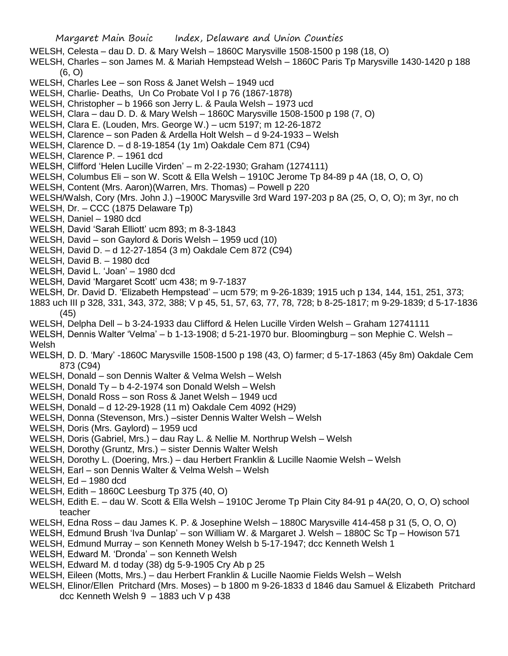Margaret Main Bouic Index, Delaware and Union Counties WELSH, Celesta – dau D. D. & Mary Welsh – 1860C Marysville 1508-1500 p 198 (18, O) WELSH, Charles – son James M. & Mariah Hempstead Welsh – 1860C Paris Tp Marysville 1430-1420 p 188 (6, O) WELSH, Charles Lee – son Ross & Janet Welsh – 1949 ucd WELSH, Charlie- Deaths, Un Co Probate Vol I p 76 (1867-1878) WELSH, Christopher – b 1966 son Jerry L. & Paula Welsh – 1973 ucd WELSH, Clara – dau D. D. & Mary Welsh – 1860C Marysville 1508-1500 p 198 (7, O) WELSH, Clara E. (Louden, Mrs. George W.) – ucm 5197; m 12-26-1872 WELSH, Clarence – son Paden & Ardella Holt Welsh – d 9-24-1933 – Welsh WELSH, Clarence D. – d 8-19-1854 (1y 1m) Oakdale Cem 871 (C94) WELSH, Clarence P. – 1961 dcd WELSH, Clifford 'Helen Lucille Virden' – m 2-22-1930; Graham (1274111) WELSH, Columbus Eli – son W. Scott & Ella Welsh – 1910C Jerome Tp 84-89 p 4A (18, O, O, O) WELSH, Content (Mrs. Aaron)(Warren, Mrs. Thomas) – Powell p 220 WELSH/Walsh, Cory (Mrs. John J.) –1900C Marysville 3rd Ward 197-203 p 8A (25, O, O, O); m 3yr, no ch WELSH, Dr. – CCC (1875 Delaware Tp) WELSH, Daniel – 1980 dcd WELSH, David 'Sarah Elliott' ucm 893; m 8-3-1843 WELSH, David – son Gaylord & Doris Welsh – 1959 ucd (10) WELSH, David D. – d 12-27-1854 (3 m) Oakdale Cem 872 (C94) WELSH, David B. – 1980 dcd WELSH, David L. 'Joan' – 1980 dcd WELSH, David 'Margaret Scott' ucm 438; m 9-7-1837 WELSH, Dr. David D. 'Elizabeth Hempstead' – ucm 579; m 9-26-1839; 1915 uch p 134, 144, 151, 251, 373; 1883 uch III p 328, 331, 343, 372, 388; V p 45, 51, 57, 63, 77, 78, 728; b 8-25-1817; m 9-29-1839; d 5-17-1836 (45) WELSH, Delpha Dell – b 3-24-1933 dau Clifford & Helen Lucille Virden Welsh – Graham 12741111 WELSH, Dennis Walter 'Velma' – b 1-13-1908; d 5-21-1970 bur. Bloomingburg – son Mephie C. Welsh – Welsh WELSH, D. D. 'Mary' -1860C Marysville 1508-1500 p 198 (43, O) farmer; d 5-17-1863 (45y 8m) Oakdale Cem 873 (C94) WELSH, Donald – son Dennis Walter & Velma Welsh – Welsh WELSH, Donald Ty – b 4-2-1974 son Donald Welsh – Welsh WELSH, Donald Ross – son Ross & Janet Welsh – 1949 ucd WELSH, Donald – d 12-29-1928 (11 m) Oakdale Cem 4092 (H29) WELSH, Donna (Stevenson, Mrs.) –sister Dennis Walter Welsh – Welsh WELSH, Doris (Mrs. Gaylord) – 1959 ucd WELSH, Doris (Gabriel, Mrs.) – dau Ray L. & Nellie M. Northrup Welsh – Welsh WELSH, Dorothy (Gruntz, Mrs.) – sister Dennis Walter Welsh WELSH, Dorothy L. (Doering, Mrs.) – dau Herbert Franklin & Lucille Naomie Welsh – Welsh WELSH, Earl – son Dennis Walter & Velma Welsh – Welsh WELSH, Ed – 1980 dcd WELSH, Edith – 1860C Leesburg Tp 375 (40, O) WELSH, Edith E. – dau W. Scott & Ella Welsh – 1910C Jerome Tp Plain City 84-91 p 4A(20, O, O, O) school teacher WELSH, Edna Ross – dau James K. P. & Josephine Welsh – 1880C Marysville 414-458 p 31 (5, O, O, O) WELSH, Edmund Brush 'Iva Dunlap' – son William W. & Margaret J. Welsh – 1880C Sc Tp – Howison 571 WELSH, Edmund Murray – son Kenneth Money Welsh b 5-17-1947; dcc Kenneth Welsh 1 WELSH, Edward M. 'Dronda' – son Kenneth Welsh WELSH, Edward M. d today (38) dg 5-9-1905 Cry Ab p 25 WELSH, Eileen (Motts, Mrs.) – dau Herbert Franklin & Lucille Naomie Fields Welsh – Welsh

WELSH, Elinor/Ellen Pritchard (Mrs. Moses) – b 1800 m 9-26-1833 d 1846 dau Samuel & Elizabeth Pritchard dcc Kenneth Welsh 9 – 1883 uch V p 438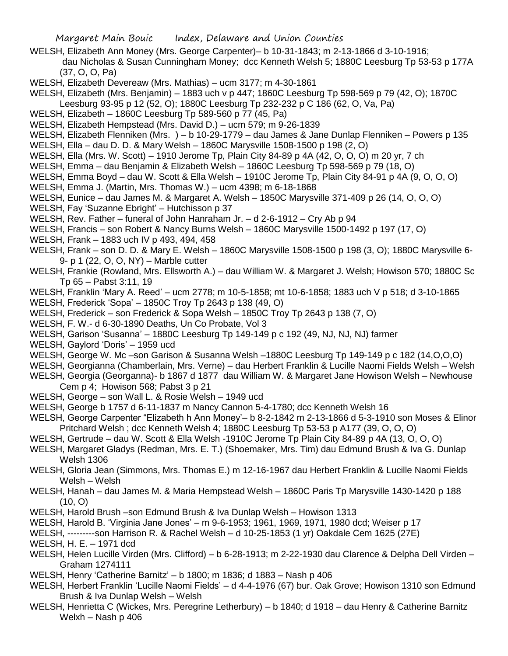- WELSH, Elizabeth Ann Money (Mrs. George Carpenter)– b 10-31-1843; m 2-13-1866 d 3-10-1916; dau Nicholas & Susan Cunningham Money; dcc Kenneth Welsh 5; 1880C Leesburg Tp 53-53 p 177A (37, O, O, Pa)
- WELSH, Elizabeth Devereaw (Mrs. Mathias) ucm 3177; m 4-30-1861
- WELSH, Elizabeth (Mrs. Benjamin) 1883 uch v p 447; 1860C Leesburg Tp 598-569 p 79 (42, O); 1870C
- Leesburg 93-95 p 12 (52, O); 1880C Leesburg Tp 232-232 p C 186 (62, O, Va, Pa)
- WELSH, Elizabeth 1860C Leesburg Tp 589-560 p 77 (45, Pa)
- WELSH, Elizabeth Hempstead (Mrs. David D.) ucm 579; m 9-26-1839
- WELSH, Elizabeth Flenniken (Mrs. ) b 10-29-1779 dau James & Jane Dunlap Flenniken Powers p 135
- WELSH, Ella dau D. D. & Mary Welsh 1860C Marysville 1508-1500 p 198 (2, O)
- WELSH, Ella (Mrs. W. Scott) 1910 Jerome Tp, Plain City 84-89 p 4A (42, O, O, O) m 20 yr, 7 ch
- WELSH, Emma dau Benjamin & Elizabeth Welsh 1860C Leesburg Tp 598-569 p 79 (18, O)
- WELSH, Emma Boyd dau W. Scott & Ella Welsh 1910C Jerome Tp, Plain City 84-91 p 4A (9, O, O, O)
- WELSH, Emma J. (Martin, Mrs. Thomas W.) ucm 4398; m 6-18-1868
- WELSH, Eunice dau James M. & Margaret A. Welsh 1850C Marysville 371-409 p 26 (14, O, O, O)
- WELSH, Fay 'Suzanne Ebright' Hutchisson p 37
- WELSH, Rev. Father funeral of John Hanraham Jr. d 2-6-1912 Cry Ab p 94
- WELSH, Francis son Robert & Nancy Burns Welsh 1860C Marysville 1500-1492 p 197 (17, O)
- WELSH, Frank 1883 uch IV p 493, 494, 458
- WELSH, Frank son D. D. & Mary E. Welsh 1860C Marysville 1508-1500 p 198 (3, O); 1880C Marysville 6- 9- p 1 (22, O, O, NY) – Marble cutter
- WELSH, Frankie (Rowland, Mrs. Ellsworth A.) dau William W. & Margaret J. Welsh; Howison 570; 1880C Sc Tp 65 – Pabst 3:11, 19
- WELSH, Franklin 'Mary A. Reed' ucm 2778; m 10-5-1858; mt 10-6-1858; 1883 uch V p 518; d 3-10-1865
- WELSH, Frederick 'Sopa' 1850C Troy Tp 2643 p 138 (49, O)
- WELSH, Frederick son Frederick & Sopa Welsh 1850C Troy Tp 2643 p 138 (7, O)
- WELSH, F. W.- d 6-30-1890 Deaths, Un Co Probate, Vol 3
- WELSH, Garison 'Susanna' 1880C Leesburg Tp 149-149 p c 192 (49, NJ, NJ, NJ) farmer
- WELSH, Gaylord 'Doris' 1959 ucd
- WELSH, George W. Mc –son Garison & Susanna Welsh –1880C Leesburg Tp 149-149 p c 182 (14,O,O,O)
- WELSH, Georgianna (Chamberlain, Mrs. Verne) dau Herbert Franklin & Lucille Naomi Fields Welsh Welsh
- WELSH, Georgia (Georganna)- b 1867 d 1877 dau William W. & Margaret Jane Howison Welsh Newhouse Cem p 4; Howison 568; Pabst 3 p 21
- WELSH, George son Wall L. & Rosie Welsh 1949 ucd
- WELSH, George b 1757 d 6-11-1837 m Nancy Cannon 5-4-1780; dcc Kenneth Welsh 16
- WELSH, George Carpenter "Elizabeth h Ann Money'– b 8-2-1842 m 2-13-1866 d 5-3-1910 son Moses & Elinor Pritchard Welsh ; dcc Kenneth Welsh 4; 1880C Leesburg Tp 53-53 p A177 (39, O, O, O)
- WELSH, Gertrude dau W. Scott & Ella Welsh -1910C Jerome Tp Plain City 84-89 p 4A (13, O, O, O)
- WELSH, Margaret Gladys (Redman, Mrs. E. T.) (Shoemaker, Mrs. Tim) dau Edmund Brush & Iva G. Dunlap Welsh 1306
- WELSH, Gloria Jean (Simmons, Mrs. Thomas E.) m 12-16-1967 dau Herbert Franklin & Lucille Naomi Fields Welsh – Welsh
- WELSH, Hanah dau James M. & Maria Hempstead Welsh 1860C Paris Tp Marysville 1430-1420 p 188 (10, O)
- WELSH, Harold Brush –son Edmund Brush & Iva Dunlap Welsh Howison 1313
- WELSH, Harold B. 'Virginia Jane Jones' m 9-6-1953; 1961, 1969, 1971, 1980 dcd; Weiser p 17
- WELSH, ---------son Harrison R. & Rachel Welsh d 10-25-1853 (1 yr) Oakdale Cem 1625 (27E)
- WELSH, H. E. 1971 dcd
- WELSH, Helen Lucille Virden (Mrs. Clifford) b 6-28-1913; m 2-22-1930 dau Clarence & Delpha Dell Virden Graham 1274111
- WELSH, Henry 'Catherine Barnitz' b 1800; m 1836; d 1883 Nash p 406
- WELSH, Herbert Franklin 'Lucille Naomi Fields' d 4-4-1976 (67) bur. Oak Grove; Howison 1310 son Edmund Brush & Iva Dunlap Welsh – Welsh
- WELSH, Henrietta C (Wickes, Mrs. Peregrine Letherbury) b 1840; d 1918 dau Henry & Catherine Barnitz Welxh – Nash p 406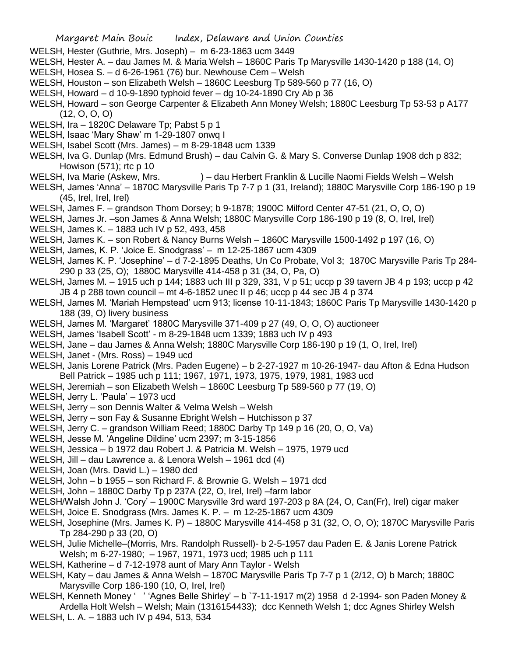- WELSH, Hester (Guthrie, Mrs. Joseph) m 6-23-1863 ucm 3449
- WELSH, Hester A. dau James M. & Maria Welsh 1860C Paris Tp Marysville 1430-1420 p 188 (14, O)
- WELSH, Hosea S. d 6-26-1961 (76) bur. Newhouse Cem Welsh
- WELSH, Houston son Elizabeth Welsh 1860C Leesburg Tp 589-560 p 77 (16, O)
- WELSH, Howard d 10-9-1890 typhoid fever dg 10-24-1890 Cry Ab p 36
- WELSH, Howard son George Carpenter & Elizabeth Ann Money Welsh; 1880C Leesburg Tp 53-53 p A177 (12, O, O, O)
- WELSH, Ira 1820C Delaware Tp; Pabst 5 p 1
- WELSH, Isaac 'Mary Shaw' m 1-29-1807 onwq I
- WELSH, Isabel Scott (Mrs. James) m 8-29-1848 ucm 1339
- WELSH, Iva G. Dunlap (Mrs. Edmund Brush) dau Calvin G. & Mary S. Converse Dunlap 1908 dch p 832; Howison (571); rtc p 10
- WELSH, Iva Marie (Askew, Mrs. ) dau Herbert Franklin & Lucille Naomi Fields Welsh Welsh
- WELSH, James 'Anna' 1870C Marysville Paris Tp 7-7 p 1 (31, Ireland); 1880C Marysville Corp 186-190 p 19 (45, Irel, Irel, Irel)
- WELSH, James F. grandson Thom Dorsey; b 9-1878; 1900C Milford Center 47-51 (21, O, O, O)
- WELSH, James Jr. –son James & Anna Welsh; 1880C Marysville Corp 186-190 p 19 (8, O, Irel, Irel)
- WELSH, James K. 1883 uch IV p 52, 493, 458
- WELSH, James K. son Robert & Nancy Burns Welsh 1860C Marysville 1500-1492 p 197 (16, O)
- WELSH, James, K. P. 'Joice E. Snodgrass' m 12-25-1867 ucm 4309
- WELSH, James K. P. 'Josephine' d 7-2-1895 Deaths, Un Co Probate, Vol 3; 1870C Marysville Paris Tp 284- 290 p 33 (25, O); 1880C Marysville 414-458 p 31 (34, O, Pa, O)
- WELSH, James M. 1915 uch p 144; 1883 uch III p 329, 331, V p 51; uccp p 39 tavern JB 4 p 193; uccp p 42 JB 4 p 288 town council – mt 4-6-1852 unec II p 46; uccp p 44 sec JB 4 p 374
- WELSH, James M. 'Mariah Hempstead' ucm 913; license 10-11-1843; 1860C Paris Tp Marysville 1430-1420 p 188 (39, O) livery business
- WELSH, James M. 'Margaret' 1880C Marysville 371-409 p 27 (49, O, O, O) auctioneer
- WELSH, James 'Isabell Scott' m 8-29-1848 ucm 1339; 1883 uch IV p 493
- WELSH, Jane dau James & Anna Welsh; 1880C Marysville Corp 186-190 p 19 (1, O, Irel, Irel)
- WELSH, Janet (Mrs. Ross) 1949 ucd
- WELSH, Janis Lorene Patrick (Mrs. Paden Eugene) b 2-27-1927 m 10-26-1947- dau Afton & Edna Hudson Bell Patrick – 1985 uch p 111; 1967, 1971, 1973, 1975, 1979, 1981, 1983 ucd
- WELSH, Jeremiah son Elizabeth Welsh 1860C Leesburg Tp 589-560 p 77 (19, O)
- WELSH, Jerry L. 'Paula' 1973 ucd
- WELSH, Jerry son Dennis Walter & Velma Welsh Welsh
- WELSH, Jerry son Fay & Susanne Ebright Welsh Hutchisson p 37
- WELSH, Jerry C. grandson William Reed; 1880C Darby Tp 149 p 16 (20, O, O, Va)
- WELSH, Jesse M. 'Angeline Dildine' ucm 2397; m 3-15-1856
- WELSH, Jessica b 1972 dau Robert J. & Patricia M. Welsh 1975, 1979 ucd
- WELSH, Jill dau Lawrence a. & Lenora Welsh 1961 dcd (4)
- WELSH, Joan (Mrs. David L.) 1980 dcd
- WELSH, John b 1955 son Richard F. & Brownie G. Welsh 1971 dcd
- WELSH, John 1880C Darby Tp p 237A (22, O, Irel, Irel) –farm labor
- WELSH/Walsh John J. 'Cory' 1900C Marysville 3rd ward 197-203 p 8A (24, O, Can(Fr), Irel) cigar maker
- WELSH, Joice E. Snodgrass (Mrs. James K. P. m 12-25-1867 ucm 4309
- WELSH, Josephine (Mrs. James K. P) 1880C Marysville 414-458 p 31 (32, O, O, O); 1870C Marysville Paris Tp 284-290 p 33 (20, O)
- WELSH, Julie Michelle–(Morris, Mrs. Randolph Russell)- b 2-5-1957 dau Paden E. & Janis Lorene Patrick Welsh; m 6-27-1980; – 1967, 1971, 1973 ucd; 1985 uch p 111
- WELSH, Katherine d 7-12-1978 aunt of Mary Ann Taylor Welsh
- WELSH, Katy dau James & Anna Welsh 1870C Marysville Paris Tp 7-7 p 1 (2/12, O) b March; 1880C Marysville Corp 186-190 (10, O, Irel, Irel)
- WELSH, Kenneth Money ' ' 'Agnes Belle Shirley' b `7-11-1917 m(2) 1958 d 2-1994- son Paden Money & Ardella Holt Welsh – Welsh; Main (1316154433); dcc Kenneth Welsh 1; dcc Agnes Shirley Welsh WELSH, L. A. – 1883 uch IV p 494, 513, 534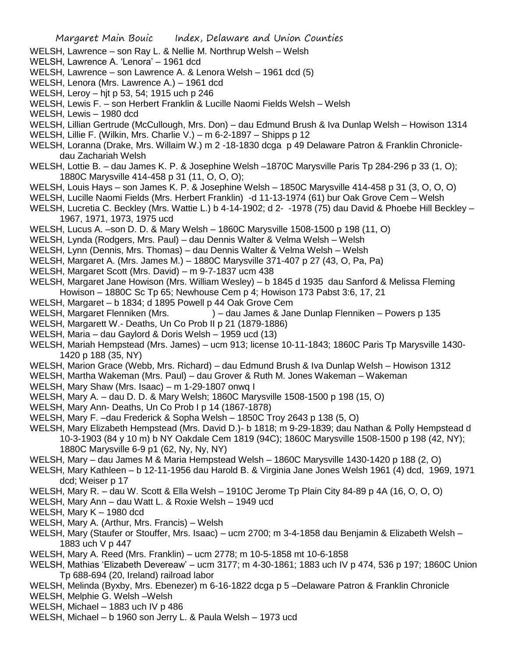- WELSH, Lawrence son Ray L. & Nellie M. Northrup Welsh Welsh
- WELSH, Lawrence A. 'Lenora' 1961 dcd
- WELSH, Lawrence son Lawrence A. & Lenora Welsh 1961 dcd (5)
- WELSH, Lenora (Mrs. Lawrence A.) 1961 dcd
- WELSH, Leroy hjt p 53, 54; 1915 uch p 246
- WELSH, Lewis F. son Herbert Franklin & Lucille Naomi Fields Welsh Welsh
- WELSH, Lewis 1980 dcd
- WELSH, Lillian Gertrude (McCullough, Mrs. Don) dau Edmund Brush & Iva Dunlap Welsh Howison 1314
- WELSH, Lillie F. (Wilkin, Mrs. Charlie V.) m 6-2-1897 Shipps p 12
- WELSH, Loranna (Drake, Mrs. Willaim W.) m 2 -18-1830 dcga p 49 Delaware Patron & Franklin Chronicledau Zachariah Welsh
- WELSH, Lottie B. dau James K. P. & Josephine Welsh –1870C Marysville Paris Tp 284-296 p 33 (1, O); 1880C Marysville 414-458 p 31 (11, O, O, O);
- WELSH, Louis Hays son James K. P. & Josephine Welsh 1850C Marysville 414-458 p 31 (3, O, O, O)
- WELSH, Lucille Naomi Fields (Mrs. Herbert Franklin) -d 11-13-1974 (61) bur Oak Grove Cem Welsh
- WELSH, Lucretia C. Beckley (Mrs. Wattie L.) b 4-14-1902; d 2- -1978 (75) dau David & Phoebe Hill Beckley 1967, 1971, 1973, 1975 ucd
- WELSH, Lucus A. –son D. D. & Mary Welsh 1860C Marysville 1508-1500 p 198 (11, O)
- WELSH, Lynda (Rodgers, Mrs. Paul) dau Dennis Walter & Velma Welsh Welsh
- WELSH, Lynn (Dennis, Mrs. Thomas) dau Dennis Walter & Velma Welsh Welsh
- WELSH, Margaret A. (Mrs. James M.) 1880C Marysville 371-407 p 27 (43, O, Pa, Pa)
- WELSH, Margaret Scott (Mrs. David) m 9-7-1837 ucm 438
- WELSH, Margaret Jane Howison (Mrs. William Wesley) b 1845 d 1935 dau Sanford & Melissa Fleming Howison – 1880C Sc Tp 65; Newhouse Cem p 4; Howison 173 Pabst 3:6, 17, 21
- WELSH, Margaret b 1834; d 1895 Powell p 44 Oak Grove Cem
- WELSH, Margaret Flenniken (Mrs.  $\qquad -$ dau James & Jane Dunlap Flenniken Powers p 135
- WELSH, Margarett W.- Deaths, Un Co Prob II p 21 (1879-1886)
- WELSH, Maria dau Gaylord & Doris Welsh 1959 ucd (13)
- WELSH, Mariah Hempstead (Mrs. James) ucm 913; license 10-11-1843; 1860C Paris Tp Marysville 1430- 1420 p 188 (35, NY)
- WELSH, Marion Grace (Webb, Mrs. Richard) dau Edmund Brush & Iva Dunlap Welsh Howison 1312
- WELSH, Martha Wakeman (Mrs. Paul) dau Grover & Ruth M. Jones Wakeman Wakeman
- WELSH, Mary Shaw (Mrs. Isaac) m 1-29-1807 onwq I
- WELSH, Mary A. dau D. D. & Mary Welsh; 1860C Marysville 1508-1500 p 198 (15, O)
- WELSH, Mary Ann- Deaths, Un Co Prob I p 14 (1867-1878)
- WELSH, Mary F. –dau Frederick & Sopha Welsh 1850C Troy 2643 p 138 (5, O)
- WELSH, Mary Elizabeth Hempstead (Mrs. David D.)- b 1818; m 9-29-1839; dau Nathan & Polly Hempstead d 10-3-1903 (84 y 10 m) b NY Oakdale Cem 1819 (94C); 1860C Marysville 1508-1500 p 198 (42, NY); 1880C Marysville 6-9 p1 (62, Ny, Ny, NY)
- WELSH, Mary dau James M & Maria Hempstead Welsh 1860C Marysville 1430-1420 p 188 (2, O)
- WELSH, Mary Kathleen b 12-11-1956 dau Harold B. & Virginia Jane Jones Welsh 1961 (4) dcd, 1969, 1971 dcd; Weiser p 17
- WELSH, Mary R. dau W. Scott & Ella Welsh 1910C Jerome Tp Plain City 84-89 p 4A (16, O, O, O)
- WELSH, Mary Ann dau Watt L. & Roxie Welsh 1949 ucd
- WELSH, Mary K 1980 dcd
- WELSH, Mary A. (Arthur, Mrs. Francis) Welsh
- WELSH, Mary (Staufer or Stouffer, Mrs. Isaac) ucm 2700; m 3-4-1858 dau Benjamin & Elizabeth Welsh 1883 uch V p 447
- WELSH, Mary A. Reed (Mrs. Franklin) ucm 2778; m 10-5-1858 mt 10-6-1858
- WELSH, Mathias 'Elizabeth Devereaw' ucm 3177; m 4-30-1861; 1883 uch IV p 474, 536 p 197; 1860C Union Tp 688-694 (20, Ireland) railroad labor
- WELSH, Melinda (Byxby, Mrs. Ebenezer) m 6-16-1822 dcga p 5 –Delaware Patron & Franklin Chronicle
- WELSH, Melphie G. Welsh –Welsh
- WELSH, Michael 1883 uch IV p 486
- WELSH, Michael b 1960 son Jerry L. & Paula Welsh 1973 ucd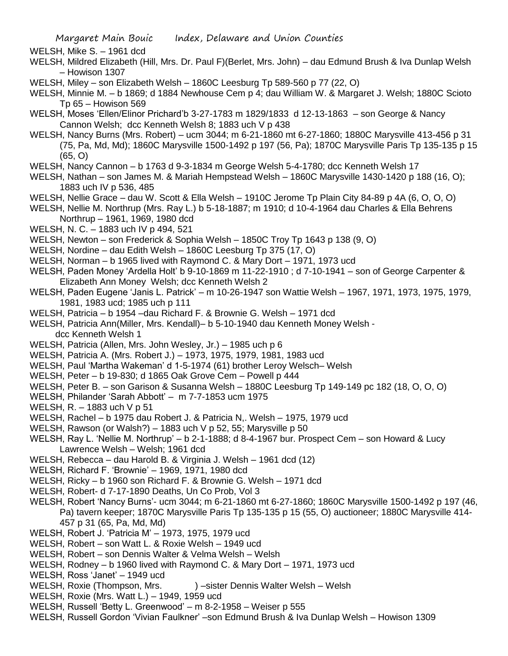WELSH, Mike S. – 1961 dcd

- WELSH, Mildred Elizabeth (Hill, Mrs. Dr. Paul F)(Berlet, Mrs. John) dau Edmund Brush & Iva Dunlap Welsh – Howison 1307
- WELSH, Miley son Elizabeth Welsh 1860C Leesburg Tp 589-560 p 77 (22, O)
- WELSH, Minnie M. b 1869; d 1884 Newhouse Cem p 4; dau William W. & Margaret J. Welsh; 1880C Scioto Tp 65 – Howison 569
- WELSH, Moses 'Ellen/Elinor Prichard'b 3-27-1783 m 1829/1833 d 12-13-1863 son George & Nancy Cannon Welsh; dcc Kenneth Welsh 8; 1883 uch V p 438
- WELSH, Nancy Burns (Mrs. Robert) ucm 3044; m 6-21-1860 mt 6-27-1860; 1880C Marysville 413-456 p 31 (75, Pa, Md, Md); 1860C Marysville 1500-1492 p 197 (56, Pa); 1870C Marysville Paris Tp 135-135 p 15 (65, O)
- WELSH, Nancy Cannon b 1763 d 9-3-1834 m George Welsh 5-4-1780; dcc Kenneth Welsh 17
- WELSH, Nathan son James M. & Mariah Hempstead Welsh 1860C Marysville 1430-1420 p 188 (16, O); 1883 uch IV p 536, 485
- WELSH, Nellie Grace dau W. Scott & Ella Welsh 1910C Jerome Tp Plain City 84-89 p 4A (6, O, O, O)
- WELSH, Nellie M. Northrup (Mrs. Ray L.) b 5-18-1887; m 1910; d 10-4-1964 dau Charles & Ella Behrens Northrup – 1961, 1969, 1980 dcd
- WELSH, N. C. 1883 uch IV p 494, 521
- WELSH, Newton son Frederick & Sophia Welsh 1850C Troy Tp 1643 p 138 (9, O)
- WELSH, Nordine dau Edith Welsh 1860C Leesburg Tp 375 (17, O)
- WELSH, Norman b 1965 lived with Raymond C. & Mary Dort 1971, 1973 ucd
- WELSH, Paden Money 'Ardella Holt' b 9-10-1869 m 11-22-1910 ; d 7-10-1941 son of George Carpenter & Elizabeth Ann Money Welsh; dcc Kenneth Welsh 2
- WELSH, Paden Eugene 'Janis L. Patrick' m 10-26-1947 son Wattie Welsh 1967, 1971, 1973, 1975, 1979, 1981, 1983 ucd; 1985 uch p 111
- WELSH, Patricia b 1954 –dau Richard F. & Brownie G. Welsh 1971 dcd
- WELSH, Patricia Ann(Miller, Mrs. Kendall)– b 5-10-1940 dau Kenneth Money Welsh dcc Kenneth Welsh 1
- WELSH, Patricia (Allen, Mrs. John Wesley, Jr.) 1985 uch p 6
- WELSH, Patricia A. (Mrs. Robert J.) 1973, 1975, 1979, 1981, 1983 ucd
- WELSH, Paul 'Martha Wakeman' d 1-5-1974 (61) brother Leroy Welsch– Welsh
- WELSH, Peter b 19-830; d 1865 Oak Grove Cem Powell p 444
- WELSH, Peter B. son Garison & Susanna Welsh 1880C Leesburg Tp 149-149 pc 182 (18, O, O, O)
- WELSH, Philander 'Sarah Abbott' m 7-7-1853 ucm 1975
- WELSH, R. 1883 uch V p 51
- WELSH, Rachel b 1975 dau Robert J. & Patricia N,. Welsh 1975, 1979 ucd
- WELSH, Rawson (or Walsh?) 1883 uch V p 52, 55; Marysville p 50
- WELSH, Ray L. 'Nellie M. Northrup' b 2-1-1888; d 8-4-1967 bur. Prospect Cem son Howard & Lucy Lawrence Welsh – Welsh; 1961 dcd
- WELSH, Rebecca dau Harold B. & Virginia J. Welsh 1961 dcd (12)
- WELSH, Richard F. 'Brownie' 1969, 1971, 1980 dcd
- WELSH, Ricky b 1960 son Richard F. & Brownie G. Welsh 1971 dcd
- WELSH, Robert- d 7-17-1890 Deaths, Un Co Prob, Vol 3
- WELSH, Robert 'Nancy Burns'- ucm 3044; m 6-21-1860 mt 6-27-1860; 1860C Marysville 1500-1492 p 197 (46, Pa) tavern keeper; 1870C Marysville Paris Tp 135-135 p 15 (55, O) auctioneer; 1880C Marysville 414- 457 p 31 (65, Pa, Md, Md)
- WELSH, Robert J. 'Patricia M' 1973, 1975, 1979 ucd
- WELSH, Robert son Watt L. & Roxie Welsh 1949 ucd
- WELSH, Robert son Dennis Walter & Velma Welsh Welsh
- WELSH, Rodney b 1960 lived with Raymond C. & Mary Dort 1971, 1973 ucd
- WELSH, Ross 'Janet' 1949 ucd
- WELSH, Roxie (Thompson, Mrs. ) sister Dennis Walter Welsh Welsh
- WELSH, Roxie (Mrs. Watt L.) 1949, 1959 ucd
- WELSH, Russell 'Betty L. Greenwood' m 8-2-1958 Weiser p 555
- WELSH, Russell Gordon 'Vivian Faulkner' –son Edmund Brush & Iva Dunlap Welsh Howison 1309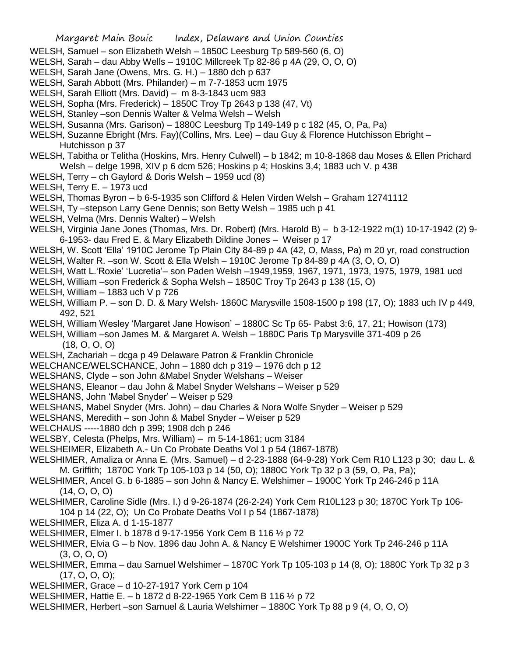- Margaret Main Bouic Index, Delaware and Union Counties WELSH, Samuel – son Elizabeth Welsh – 1850C Leesburg Tp 589-560 (6, O) WELSH, Sarah – dau Abby Wells – 1910C Millcreek Tp 82-86 p 4A (29, O, O, O) WELSH, Sarah Jane (Owens, Mrs. G. H.) – 1880 dch p 637 WELSH, Sarah Abbott (Mrs. Philander) – m 7-7-1853 ucm 1975 WELSH, Sarah Elliott (Mrs. David) – m 8-3-1843 ucm 983 WELSH, Sopha (Mrs. Frederick) – 1850C Troy Tp 2643 p 138 (47, Vt) WELSH, Stanley –son Dennis Walter & Velma Welsh – Welsh WELSH, Susanna (Mrs. Garison) – 1880C Leesburg Tp 149-149 p c 182 (45, O, Pa, Pa) WELSH, Suzanne Ebright (Mrs. Fay)(Collins, Mrs. Lee) – dau Guy & Florence Hutchisson Ebright – Hutchisson p 37 WELSH, Tabitha or Telitha (Hoskins, Mrs. Henry Culwell) – b 1842; m 10-8-1868 dau Moses & Ellen Prichard Welsh – delge 1998, XIV p 6 dcm 526; Hoskins p 4; Hoskins 3,4; 1883 uch V. p 438 WELSH, Terry – ch Gaylord & Doris Welsh – 1959 ucd (8) WELSH, Terry E. – 1973 ucd WELSH, Thomas Byron – b 6-5-1935 son Clifford & Helen Virden Welsh – Graham 12741112 WELSH, Ty –stepson Larry Gene Dennis; son Betty Welsh – 1985 uch p 41 WELSH, Velma (Mrs. Dennis Walter) – Welsh WELSH, Virginia Jane Jones (Thomas, Mrs. Dr. Robert) (Mrs. Harold B) – b 3-12-1922 m(1) 10-17-1942 (2) 9- 6-1953- dau Fred E. & Mary Elizabeth Dildine Jones – Weiser p 17 WELSH, W. Scott 'Ella' 1910C Jerome Tp Plain City 84-89 p 4A (42, O, Mass, Pa) m 20 yr, road construction WELSH, Walter R. –son W. Scott & Ella Welsh – 1910C Jerome Tp 84-89 p 4A (3, O, O, O) WELSH, Watt L.'Roxie' 'Lucretia'– son Paden Welsh –1949,1959, 1967, 1971, 1973, 1975, 1979, 1981 ucd WELSH, William –son Frederick & Sopha Welsh – 1850C Troy Tp 2643 p 138 (15, O) WELSH, William – 1883 uch V p 726 WELSH, William P. – son D. D. & Mary Welsh- 1860C Marysville 1508-1500 p 198 (17, O); 1883 uch IV p 449, 492, 521 WELSH, William Wesley 'Margaret Jane Howison' – 1880C Sc Tp 65- Pabst 3:6, 17, 21; Howison (173) WELSH, William –son James M. & Margaret A. Welsh – 1880C Paris Tp Marysville 371-409 p 26 (18, O, O, O) WELSH, Zachariah – dcga p 49 Delaware Patron & Franklin Chronicle WELCHANCE/WELSCHANCE, John – 1880 dch p 319 – 1976 dch p 12 WELSHANS, Clyde – son John &Mabel Snyder Welshans – Weiser WELSHANS, Eleanor – dau John & Mabel Snyder Welshans – Weiser p 529 WELSHANS, John 'Mabel Snyder' – Weiser p 529 WELSHANS, Mabel Snyder (Mrs. John) – dau Charles & Nora Wolfe Snyder – Weiser p 529 WELSHANS, Meredith – son John & Mabel Snyder – Weiser p 529 WELCHAUS -----1880 dch p 399; 1908 dch p 246 WELSBY, Celesta (Phelps, Mrs. William) – m 5-14-1861; ucm 3184 WELSHEIMER, Elizabeth A.- Un Co Probate Deaths Vol 1 p 54 (1867-1878) WELSHIMER, Amaliza or Anna E. (Mrs. Samuel) – d 2-23-1888 (64-9-28) York Cem R10 L123 p 30; dau L. & M. Griffith; 1870C York Tp 105-103 p 14 (50, O); 1880C York Tp 32 p 3 (59, O, Pa, Pa); WELSHIMER, Ancel G. b 6-1885 – son John & Nancy E. Welshimer – 1900C York Tp 246-246 p 11A (14, O, O, O) WELSHIMER, Caroline Sidle (Mrs. I.) d 9-26-1874 (26-2-24) York Cem R10L123 p 30; 1870C York Tp 106- 104 p 14 (22, O); Un Co Probate Deaths Vol I p 54 (1867-1878) WELSHIMER, Eliza A. d 1-15-1877 WELSHIMER, Elmer I. b 1878 d 9-17-1956 York Cem B 116 ½ p 72 WELSHIMER, Elvia G – b Nov. 1896 dau John A. & Nancy E Welshimer 1900C York Tp 246-246 p 11A (3, O, O, O) WELSHIMER, Emma – dau Samuel Welshimer – 1870C York Tp 105-103 p 14 (8, O); 1880C York Tp 32 p 3 (17, O, O, O); WELSHIMER, Grace – d 10-27-1917 York Cem p 104
- WELSHIMER, Hattie E. b 1872 d 8-22-1965 York Cem B 116 ½ p 72
- WELSHIMER, Herbert –son Samuel & Lauria Welshimer 1880C York Tp 88 p 9 (4, O, O, O)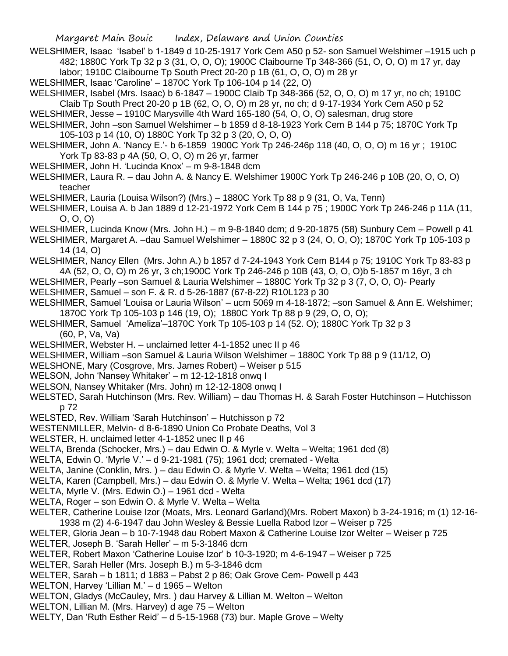- WELSHIMER, Isaac 'Isabel' b 1-1849 d 10-25-1917 York Cem A50 p 52- son Samuel Welshimer –1915 uch p 482; 1880C York Tp 32 p 3 (31, O, O, O); 1900C Claibourne Tp 348-366 (51, O, O, O) m 17 yr, day labor; 1910C Claibourne Tp South Prect 20-20 p 1B (61, O, O, O) m 28 yr
- WELSHIMER, Isaac 'Caroline' 1870C York Tp 106-104 p 14 (22, O)
- WELSHIMER, Isabel (Mrs. Isaac) b 6-1847 1900C Claib Tp 348-366 (52, O, O, O) m 17 yr, no ch; 1910C Claib Tp South Prect 20-20 p 1B (62, O, O, O) m 28 yr, no ch; d 9-17-1934 York Cem A50 p 52
- WELSHIMER, Jesse 1910C Marysville 4th Ward 165-180 (54, O, O, O) salesman, drug store
- WELSHIMER, John –son Samuel Welshimer b 1859 d 8-18-1923 York Cem B 144 p 75; 1870C York Tp 105-103 p 14 (10, O) 1880C York Tp 32 p 3 (20, O, O, O)
- WELSHIMER, John A. 'Nancy E.'- b 6-1859 1900C York Tp 246-246p 118 (40, O, O, O) m 16 yr ; 1910C York Tp 83-83 p 4A (50, O, O, O) m 26 yr, farmer
- WELSHIMER, John H. 'Lucinda Knox' m 9-8-1848 dcm
- WELSHIMER, Laura R. dau John A. & Nancy E. Welshimer 1900C York Tp 246-246 p 10B (20, O, O, O) teacher
- WELSHIMER, Lauria (Louisa Wilson?) (Mrs.) 1880C York Tp 88 p 9 (31, O, Va, Tenn)
- WELSHIMER, Louisa A. b Jan 1889 d 12-21-1972 York Cem B 144 p 75 ; 1900C York Tp 246-246 p 11A (11, O, O, O)
- WELSHIMER, Lucinda Know (Mrs. John H.) m 9-8-1840 dcm; d 9-20-1875 (58) Sunbury Cem Powell p 41
- WELSHIMER, Margaret A. –dau Samuel Welshimer 1880C 32 p 3 (24, O, O, O); 1870C York Tp 105-103 p 14 (14, O)
- WELSHIMER, Nancy Ellen (Mrs. John A.) b 1857 d 7-24-1943 York Cem B144 p 75; 1910C York Tp 83-83 p 4A (52, O, O, O) m 26 yr, 3 ch;1900C York Tp 246-246 p 10B (43, O, O, O)b 5-1857 m 16yr, 3 ch
- WELSHIMER, Pearly –son Samuel & Lauria Welshimer 1880C York Tp 32 p 3 (7, O, O, O)- Pearly
- WELSHIMER, Samuel son F. & R. d 5-26-1887 (67-8-22) R10L123 p 30
- WELSHIMER, Samuel 'Louisa or Lauria Wilson' ucm 5069 m 4-18-1872; –son Samuel & Ann E. Welshimer; 1870C York Tp 105-103 p 146 (19, O); 1880C York Tp 88 p 9 (29, O, O, O);
- WELSHIMER, Samuel 'Ameliza'–1870C York Tp 105-103 p 14 (52. O); 1880C York Tp 32 p 3 (60, P, Va, Va)
- WELSHIMER, Webster H. unclaimed letter 4-1-1852 unec II p 46
- WELSHIMER, William –son Samuel & Lauria Wilson Welshimer 1880C York Tp 88 p 9 (11/12, O)
- WELSHONE, Mary (Cosgrove, Mrs. James Robert) Weiser p 515
- WELSON, John 'Nansey Whitaker' m 12-12-1818 onwq I
- WELSON, Nansey Whitaker (Mrs. John) m 12-12-1808 onwq I
- WELSTED, Sarah Hutchinson (Mrs. Rev. William) dau Thomas H. & Sarah Foster Hutchinson Hutchisson p 72
- WELSTED, Rev. William 'Sarah Hutchinson' Hutchisson p 72
- WESTENMILLER, Melvin- d 8-6-1890 Union Co Probate Deaths, Vol 3
- WELSTER, H. unclaimed letter 4-1-1852 unec II p 46
- WELTA, Brenda (Schocker, Mrs.) dau Edwin O. & Myrle v. Welta Welta; 1961 dcd (8)
- WELTA, Edwin O. 'Myrle V.' d 9-21-1981 (75); 1961 dcd; cremated Welta
- WELTA, Janine (Conklin, Mrs. ) dau Edwin O. & Myrle V. Welta Welta; 1961 dcd (15)
- WELTA, Karen (Campbell, Mrs.) dau Edwin O. & Myrle V. Welta Welta; 1961 dcd (17)
- WELTA, Myrle V. (Mrs. Edwin O.) 1961 dcd Welta
- WELTA, Roger son Edwin O. & Myrle V. Welta Welta
- WELTER, Catherine Louise Izor (Moats, Mrs. Leonard Garland)(Mrs. Robert Maxon) b 3-24-1916; m (1) 12-16- 1938 m (2) 4-6-1947 dau John Wesley & Bessie Luella Rabod Izor – Weiser p 725
- WELTER, Gloria Jean b 10-7-1948 dau Robert Maxon & Catherine Louise Izor Welter Weiser p 725
- WELTER, Joseph B. 'Sarah Heller' m 5-3-1846 dcm
- WELTER, Robert Maxon 'Catherine Louise Izor' b 10-3-1920; m 4-6-1947 Weiser p 725
- WELTER, Sarah Heller (Mrs. Joseph B.) m 5-3-1846 dcm
- WELTER, Sarah b 1811; d 1883 Pabst 2 p 86; Oak Grove Cem- Powell p 443
- WELTON, Harvey 'Lillian M.' d 1965 Welton
- WELTON, Gladys (McCauley, Mrs. ) dau Harvey & Lillian M. Welton Welton
- WELTON, Lillian M. (Mrs. Harvey) d age 75 Welton
- WELTY, Dan 'Ruth Esther Reid' d 5-15-1968 (73) bur. Maple Grove Welty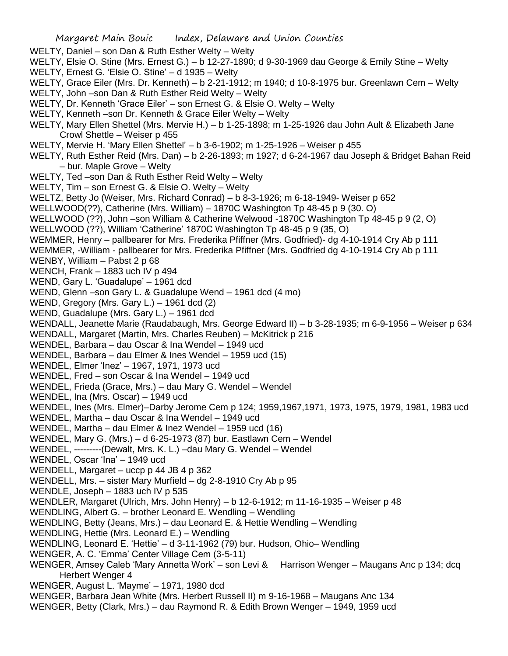## Margaret Main Bouic Index, Delaware and Union Counties WELTY, Daniel – son Dan & Ruth Esther Welty – Welty WELTY, Elsie O. Stine (Mrs. Ernest G.) – b 12-27-1890; d 9-30-1969 dau George & Emily Stine – Welty WELTY, Ernest G. 'Elsie O. Stine' – d 1935 – Welty WELTY, Grace Eiler (Mrs. Dr. Kenneth) – b 2-21-1912; m 1940; d 10-8-1975 bur. Greenlawn Cem – Welty WELTY, John –son Dan & Ruth Esther Reid Welty – Welty WELTY, Dr. Kenneth 'Grace Eiler' – son Ernest G. & Elsie O. Welty – Welty WELTY, Kenneth –son Dr. Kenneth & Grace Eiler Welty – Welty WELTY, Mary Ellen Shettel (Mrs. Mervie H.) – b 1-25-1898; m 1-25-1926 dau John Ault & Elizabeth Jane Crowl Shettle – Weiser p 455 WELTY, Mervie H. 'Mary Ellen Shettel' – b 3-6-1902; m 1-25-1926 – Weiser p 455 WELTY, Ruth Esther Reid (Mrs. Dan) – b 2-26-1893; m 1927; d 6-24-1967 dau Joseph & Bridget Bahan Reid – bur. Maple Grove – Welty WELTY, Ted –son Dan & Ruth Esther Reid Welty – Welty WELTY, Tim – son Ernest G. & Elsie O. Welty – Welty WELTZ, Betty Jo (Weiser, Mrs. Richard Conrad) – b 8-3-1926; m 6-18-1949- Weiser p 652 WELLWOOD(??), Catherine (Mrs. William) – 1870C Washington Tp 48-45 p 9 (30. O) WELLWOOD (??), John –son William & Catherine Welwood -1870C Washington Tp 48-45 p 9 (2, O) WELLWOOD (??), William 'Catherine' 1870C Washington Tp 48-45 p 9 (35, O) WEMMER, Henry – pallbearer for Mrs. Frederika Pfiffner (Mrs. Godfried)- dg 4-10-1914 Cry Ab p 111 WEMMER, -William - pallbearer for Mrs. Frederika Pfiffner (Mrs. Godfried dg 4-10-1914 Cry Ab p 111 WENBY, William – Pabst 2 p 68 WENCH, Frank – 1883 uch IV p 494 WEND, Gary L. 'Guadalupe' - 1961 dcd WEND, Glenn –son Gary L. & Guadalupe Wend – 1961 dcd (4 mo) WEND, Gregory (Mrs. Gary L.) – 1961 dcd (2) WEND, Guadalupe (Mrs. Gary L.) – 1961 dcd WENDALL, Jeanette Marie (Raudabaugh, Mrs. George Edward II) – b 3-28-1935; m 6-9-1956 – Weiser p 634 WENDALL, Margaret (Martin, Mrs. Charles Reuben) – McKitrick p 216 WENDEL, Barbara – dau Oscar & Ina Wendel – 1949 ucd WENDEL, Barbara – dau Elmer & Ines Wendel – 1959 ucd (15) WENDEL, Elmer 'Inez' – 1967, 1971, 1973 ucd WENDEL, Fred – son Oscar & Ina Wendel – 1949 ucd WENDEL, Frieda (Grace, Mrs.) – dau Mary G. Wendel – Wendel WENDEL, Ina (Mrs. Oscar) – 1949 ucd WENDEL, Ines (Mrs. Elmer)–Darby Jerome Cem p 124; 1959,1967,1971, 1973, 1975, 1979, 1981, 1983 ucd WENDEL, Martha – dau Oscar & Ina Wendel – 1949 ucd WENDEL, Martha – dau Elmer & Inez Wendel – 1959 ucd (16) WENDEL, Mary G. (Mrs.) – d 6-25-1973 (87) bur. Eastlawn Cem – Wendel WENDEL, ---------(Dewalt, Mrs. K. L.) –dau Mary G. Wendel – Wendel WENDEL, Oscar 'Ina' – 1949 ucd WENDELL, Margaret – uccp p 44 JB 4 p 362 WENDELL, Mrs. – sister Mary Murfield – dg 2-8-1910 Cry Ab p 95 WENDLE, Joseph – 1883 uch IV p 535 WENDLER, Margaret (Ulrich, Mrs. John Henry) – b 12-6-1912; m 11-16-1935 – Weiser p 48 WENDLING, Albert G. – brother Leonard E. Wendling – Wendling WENDLING, Betty (Jeans, Mrs.) – dau Leonard E. & Hettie Wendling – Wendling WENDLING, Hettie (Mrs. Leonard E.) – Wendling WENDLING, Leonard E. 'Hettie' – d 3-11-1962 (79) bur. Hudson, Ohio– Wendling WENGER, A. C. 'Emma' Center Village Cem (3-5-11) WENGER, Amsey Caleb 'Mary Annetta Work' – son Levi & Harrison Wenger – Maugans Anc p 134; dcq Herbert Wenger 4 WENGER, August L. 'Mayme' – 1971, 1980 dcd WENGER, Barbara Jean White (Mrs. Herbert Russell II) m 9-16-1968 – Maugans Anc 134 WENGER, Betty (Clark, Mrs.) – dau Raymond R. & Edith Brown Wenger – 1949, 1959 ucd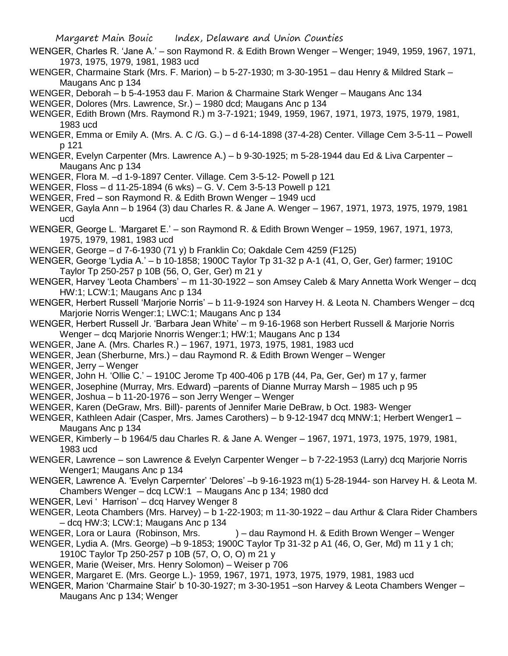- WENGER, Charles R. 'Jane A.' son Raymond R. & Edith Brown Wenger Wenger; 1949, 1959, 1967, 1971, 1973, 1975, 1979, 1981, 1983 ucd
- WENGER, Charmaine Stark (Mrs. F. Marion) b 5-27-1930; m 3-30-1951 dau Henry & Mildred Stark Maugans Anc p 134
- WENGER, Deborah b 5-4-1953 dau F. Marion & Charmaine Stark Wenger Maugans Anc 134

WENGER, Dolores (Mrs. Lawrence, Sr.) – 1980 dcd; Maugans Anc p 134

- WENGER, Edith Brown (Mrs. Raymond R.) m 3-7-1921; 1949, 1959, 1967, 1971, 1973, 1975, 1979, 1981, 1983 ucd
- WENGER, Emma or Emily A. (Mrs. A. C /G. G.) d 6-14-1898 (37-4-28) Center. Village Cem 3-5-11 Powell p 121
- WENGER, Evelyn Carpenter (Mrs. Lawrence A.) b 9-30-1925; m 5-28-1944 dau Ed & Liva Carpenter Maugans Anc p 134
- WENGER, Flora M. –d 1-9-1897 Center. Village. Cem 3-5-12- Powell p 121
- WENGER, Floss d 11-25-1894 (6 wks) G. V. Cem 3-5-13 Powell p 121
- WENGER, Fred son Raymond R. & Edith Brown Wenger 1949 ucd
- WENGER, Gayla Ann b 1964 (3) dau Charles R. & Jane A. Wenger 1967, 1971, 1973, 1975, 1979, 1981 ucd
- WENGER, George L. 'Margaret E.' son Raymond R. & Edith Brown Wenger 1959, 1967, 1971, 1973, 1975, 1979, 1981, 1983 ucd
- WENGER, George d 7-6-1930 (71 y) b Franklin Co; Oakdale Cem 4259 (F125)
- WENGER, George 'Lydia A.' b 10-1858; 1900C Taylor Tp 31-32 p A-1 (41, O, Ger, Ger) farmer; 1910C Taylor Tp 250-257 p 10B (56, O, Ger, Ger) m 21 y
- WENGER, Harvey 'Leota Chambers' m 11-30-1922 son Amsey Caleb & Mary Annetta Work Wenger dcq HW:1; LCW:1; Maugans Anc p 134
- WENGER, Herbert Russell 'Marjorie Norris' b 11-9-1924 son Harvey H. & Leota N. Chambers Wenger dcq Marjorie Norris Wenger:1; LWC:1; Maugans Anc p 134
- WENGER, Herbert Russell Jr. 'Barbara Jean White' m 9-16-1968 son Herbert Russell & Marjorie Norris Wenger – dcq Marjorie Nnorris Wenger:1; HW:1; Maugans Anc p 134
- WENGER, Jane A. (Mrs. Charles R.) 1967, 1971, 1973, 1975, 1981, 1983 ucd
- WENGER, Jean (Sherburne, Mrs.) dau Raymond R. & Edith Brown Wenger Wenger

WENGER, Jerry – Wenger

- WENGER, John H. 'Ollie C.' 1910C Jerome Tp 400-406 p 17B (44, Pa, Ger, Ger) m 17 y, farmer
- WENGER, Josephine (Murray, Mrs. Edward) –parents of Dianne Murray Marsh 1985 uch p 95
- WENGER, Joshua b 11-20-1976 son Jerry Wenger Wenger
- WENGER, Karen (DeGraw, Mrs. Bill)- parents of Jennifer Marie DeBraw, b Oct. 1983- Wenger
- WENGER, Kathleen Adair (Casper, Mrs. James Carothers) b 9-12-1947 dcq MNW:1; Herbert Wenger1 Maugans Anc p 134
- WENGER, Kimberly b 1964/5 dau Charles R. & Jane A. Wenger 1967, 1971, 1973, 1975, 1979, 1981, 1983 ucd
- WENGER, Lawrence son Lawrence & Evelyn Carpenter Wenger b 7-22-1953 (Larry) dcq Marjorie Norris Wenger1; Maugans Anc p 134
- WENGER, Lawrence A. 'Evelyn Carpernter' 'Delores' –b 9-16-1923 m(1) 5-28-1944- son Harvey H. & Leota M. Chambers Wenger – dcq LCW:1 – Maugans Anc p 134; 1980 dcd
- WENGER, Levi ' Harrison' dcq Harvey Wenger 8
- WENGER, Leota Chambers (Mrs. Harvey) b 1-22-1903; m 11-30-1922 dau Arthur & Clara Rider Chambers – dcq HW:3; LCW:1; Maugans Anc p 134
- WENGER, Lora or Laura (Robinson, Mrs. ) dau Raymond H. & Edith Brown Wenger Wenger
- WENGER, Lydia A. (Mrs. George) –b 9-1853; 1900C Taylor Tp 31-32 p A1 (46, O, Ger, Md) m 11 y 1 ch;
	- 1910C Taylor Tp 250-257 p 10B (57, O, O, O) m 21 y
- WENGER, Marie (Weiser, Mrs. Henry Solomon) Weiser p 706
- WENGER, Margaret E. (Mrs. George L.)- 1959, 1967, 1971, 1973, 1975, 1979, 1981, 1983 ucd
- WENGER, Marion 'Charmaine Stair' b 10-30-1927; m 3-30-1951 –son Harvey & Leota Chambers Wenger Maugans Anc p 134; Wenger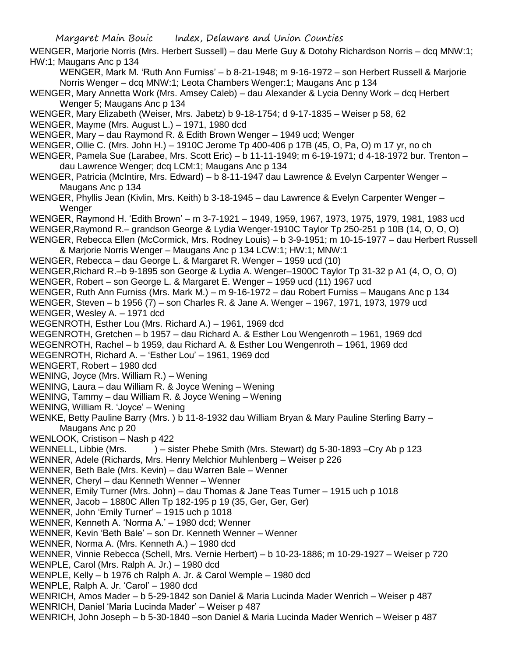WENGER, Marjorie Norris (Mrs. Herbert Sussell) – dau Merle Guy & Dotohy Richardson Norris – dcq MNW:1; HW:1; Maugans Anc p 134

WENGER, Mark M. 'Ruth Ann Furniss' – b 8-21-1948; m 9-16-1972 – son Herbert Russell & Marjorie Norris Wenger – dcq MNW:1; Leota Chambers Wenger:1; Maugans Anc p 134

- WENGER, Mary Annetta Work (Mrs. Amsey Caleb) dau Alexander & Lycia Denny Work dcq Herbert Wenger 5; Maugans Anc p 134
- WENGER, Mary Elizabeth (Weiser, Mrs. Jabetz) b 9-18-1754; d 9-17-1835 Weiser p 58, 62
- WENGER, Mayme (Mrs. August L.) 1971, 1980 dcd
- WENGER, Mary dau Raymond R. & Edith Brown Wenger 1949 ucd; Wenger
- WENGER, Ollie C. (Mrs. John H.) 1910C Jerome Tp 400-406 p 17B (45, O, Pa, O) m 17 yr, no ch
- WENGER, Pamela Sue (Larabee, Mrs. Scott Eric) b 11-11-1949; m 6-19-1971; d 4-18-1972 bur. Trenton dau Lawrence Wenger; dcq LCM:1; Maugans Anc p 134
- WENGER, Patricia (McIntire, Mrs. Edward) b 8-11-1947 dau Lawrence & Evelyn Carpenter Wenger Maugans Anc p 134
- WENGER, Phyllis Jean (Kivlin, Mrs. Keith) b 3-18-1945 dau Lawrence & Evelyn Carpenter Wenger **Wenger**
- WENGER, Raymond H. 'Edith Brown' m 3-7-1921 1949, 1959, 1967, 1973, 1975, 1979, 1981, 1983 ucd
- WENGER,Raymond R.– grandson George & Lydia Wenger-1910C Taylor Tp 250-251 p 10B (14, O, O, O)
- WENGER, Rebecca Ellen (McCormick, Mrs. Rodney Louis) b 3-9-1951; m 10-15-1977 dau Herbert Russell & Marjorie Norris Wenger – Maugans Anc p 134 LCW:1; HW:1; MNW:1
- WENGER, Rebecca dau George L. & Margaret R. Wenger 1959 ucd (10)
- WENGER,Richard R.–b 9-1895 son George & Lydia A. Wenger–1900C Taylor Tp 31-32 p A1 (4, O, O, O)
- WENGER, Robert son George L. & Margaret E. Wenger 1959 ucd (11) 1967 ucd
- WENGER, Ruth Ann Furniss (Mrs. Mark M.) m 9-16-1972 dau Robert Furniss Maugans Anc p 134
- WENGER, Steven b 1956 (7) son Charles R. & Jane A. Wenger 1967, 1971, 1973, 1979 ucd WENGER, Wesley A. – 1971 dcd
- WEGENROTH, Esther Lou (Mrs. Richard A.) 1961, 1969 dcd
- WEGENROTH, Gretchen b 1957 dau Richard A. & Esther Lou Wengenroth 1961, 1969 dcd
- WEGENROTH, Rachel b 1959, dau Richard A. & Esther Lou Wengenroth 1961, 1969 dcd
- WEGENROTH, Richard A. 'Esther Lou' 1961, 1969 dcd
- WENGERT, Robert 1980 dcd
- WENING, Joyce (Mrs. William R.) Wening
- WENING, Laura dau William R. & Joyce Wening Wening
- WENING, Tammy dau William R. & Joyce Wening Wening
- WENING, William R. 'Joyce' Wening
- WENKE, Betty Pauline Barry (Mrs. ) b 11-8-1932 dau William Bryan & Mary Pauline Sterling Barry Maugans Anc p 20
- WENLOOK, Cristison Nash p 422
- WENNELL, Libbie (Mrs. ) sister Phebe Smith (Mrs. Stewart) dg 5-30-1893 –Cry Ab p 123
- WENNER, Adele (Richards, Mrs. Henry Melchior Muhlenberg Weiser p 226
- WENNER, Beth Bale (Mrs. Kevin) dau Warren Bale Wenner
- WENNER, Cheryl dau Kenneth Wenner Wenner
- WENNER, Emily Turner (Mrs. John) dau Thomas & Jane Teas Turner 1915 uch p 1018
- WENNER, Jacob 1880C Allen Tp 182-195 p 19 (35, Ger, Ger, Ger)
- WENNER, John 'Emily Turner' 1915 uch p 1018
- WENNER, Kenneth A. 'Norma A.' 1980 dcd; Wenner
- WENNER, Kevin 'Beth Bale' son Dr. Kenneth Wenner Wenner
- WENNER, Norma A. (Mrs. Kenneth A.) 1980 dcd
- WENNER, Vinnie Rebecca (Schell, Mrs. Vernie Herbert) b 10-23-1886; m 10-29-1927 Weiser p 720
- WENPLE, Carol (Mrs. Ralph A. Jr.) 1980 dcd
- WENPLE, Kelly b 1976 ch Ralph A. Jr. & Carol Wemple 1980 dcd
- WENPLE, Ralph A. Jr. 'Carol' 1980 dcd
- WENRICH, Amos Mader b 5-29-1842 son Daniel & Maria Lucinda Mader Wenrich Weiser p 487 WENRICH, Daniel 'Maria Lucinda Mader' – Weiser p 487
- WENRICH, John Joseph b 5-30-1840 –son Daniel & Maria Lucinda Mader Wenrich Weiser p 487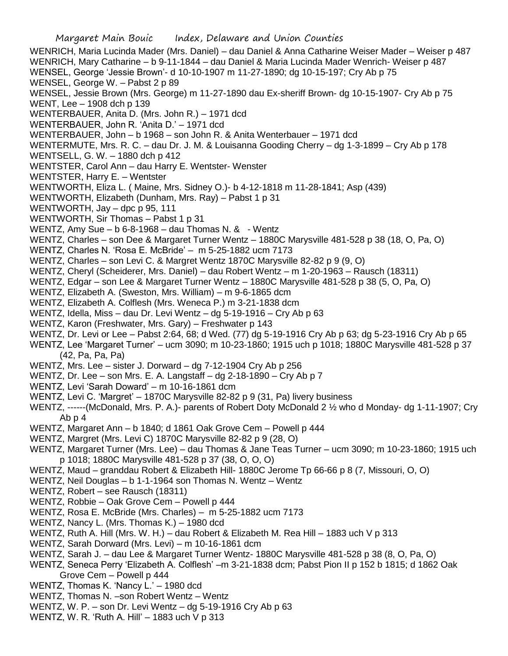WENRICH, Maria Lucinda Mader (Mrs. Daniel) – dau Daniel & Anna Catharine Weiser Mader – Weiser p 487 WENRICH, Mary Catharine – b 9-11-1844 – dau Daniel & Maria Lucinda Mader Wenrich- Weiser p 487 WENSEL, George 'Jessie Brown'- d 10-10-1907 m 11-27-1890; dg 10-15-197; Cry Ab p 75 WENSEL, George W. – Pabst 2 p 89 WENSEL, Jessie Brown (Mrs. George) m 11-27-1890 dau Ex-sheriff Brown- dg 10-15-1907- Cry Ab p 75 WENT, Lee – 1908 dch p 139 WENTERBAUER, Anita D. (Mrs. John R.) – 1971 dcd WENTERBAUER, John R. 'Anita D.' – 1971 dcd WENTERBAUER, John – b 1968 – son John R. & Anita Wenterbauer – 1971 dcd WENTERMUTE, Mrs. R. C. – dau Dr. J. M. & Louisanna Gooding Cherry – dg 1-3-1899 – Cry Ab p 178 WENTSELL, G. W. – 1880 dch p 412 WENTSTER, Carol Ann – dau Harry E. Wentster- Wenster WENTSTER, Harry E. – Wentster WENTWORTH, Eliza L. ( Maine, Mrs. Sidney O.)- b 4-12-1818 m 11-28-1841; Asp (439) WENTWORTH, Elizabeth (Dunham, Mrs. Ray) – Pabst 1 p 31 WENTWORTH, Jay – dpc p 95, 111 WENTWORTH, Sir Thomas – Pabst 1 p 31 WENTZ, Amy Sue – b 6-8-1968 – dau Thomas N. & - Wentz WENTZ, Charles – son Dee & Margaret Turner Wentz – 1880C Marysville 481-528 p 38 (18, O, Pa, O) WENTZ, Charles N. 'Rosa E. McBride' – m 5-25-1882 ucm 7173 WENTZ, Charles – son Levi C. & Margret Wentz 1870C Marysville 82-82 p 9 (9, O) WENTZ, Cheryl (Scheiderer, Mrs. Daniel) – dau Robert Wentz – m 1-20-1963 – Rausch (18311) WENTZ, Edgar – son Lee & Margaret Turner Wentz – 1880C Marysville 481-528 p 38 (5, O, Pa, O) WENTZ, Elizabeth A. (Sweston, Mrs. William) – m 9-6-1865 dcm WENTZ, Elizabeth A. Colflesh (Mrs. Weneca P.) m 3-21-1838 dcm WENTZ, Idella, Miss – dau Dr. Levi Wentz – dg 5-19-1916 – Cry Ab p 63 WENTZ, Karon (Freshwater, Mrs. Gary) – Freshwater p 143 WENTZ, Dr. Levi or Lee – Pabst 2:64, 68; d Wed. (77) dg 5-19-1916 Cry Ab p 63; dg 5-23-1916 Cry Ab p 65 WENTZ, Lee 'Margaret Turner' – ucm 3090; m 10-23-1860; 1915 uch p 1018; 1880C Marysville 481-528 p 37 (42, Pa, Pa, Pa) WENTZ, Mrs. Lee – sister J. Dorward – dg 7-12-1904 Cry Ab p 256

- WENTZ, Dr. Lee son Mrs. E. A. Langstaff dg 2-18-1890 Cry Ab p 7
- WENTZ, Levi 'Sarah Doward' m 10-16-1861 dcm
- WENTZ, Levi C. 'Margret' 1870C Marysville 82-82 p 9 (31, Pa) livery business
- WENTZ, ------(McDonald, Mrs. P. A.)- parents of Robert Doty McDonald 2 ½ who d Monday- dg 1-11-1907; Cry Ab p 4
- WENTZ, Margaret Ann b 1840; d 1861 Oak Grove Cem Powell p 444
- WENTZ, Margret (Mrs. Levi C) 1870C Marysville 82-82 p 9 (28, O)
- WENTZ, Margaret Turner (Mrs. Lee) dau Thomas & Jane Teas Turner ucm 3090; m 10-23-1860; 1915 uch p 1018; 1880C Marysville 481-528 p 37 (38, O, O, O)
- WENTZ, Maud granddau Robert & Elizabeth Hill- 1880C Jerome Tp 66-66 p 8 (7, Missouri, O, O)
- WENTZ, Neil Douglas b 1-1-1964 son Thomas N. Wentz Wentz
- WENTZ, Robert see Rausch (18311)
- WENTZ, Robbie Oak Grove Cem Powell p 444
- WENTZ, Rosa E. McBride (Mrs. Charles) m 5-25-1882 ucm 7173
- WENTZ, Nancy L. (Mrs. Thomas K.) 1980 dcd
- WENTZ, Ruth A. Hill (Mrs. W. H.) dau Robert & Elizabeth M. Rea Hill 1883 uch V p 313
- WENTZ, Sarah Dorward (Mrs. Levi) m 10-16-1861 dcm
- WENTZ, Sarah J. dau Lee & Margaret Turner Wentz- 1880C Marysville 481-528 p 38 (8, O, Pa, O)
- WENTZ, Seneca Perry 'Elizabeth A. Colflesh' –m 3-21-1838 dcm; Pabst Pion II p 152 b 1815; d 1862 Oak Grove Cem – Powell p 444
- WENTZ, Thomas K. 'Nancy L.' 1980 dcd
- WENTZ, Thomas N. –son Robert Wentz Wentz
- WENTZ, W. P. son Dr. Levi Wentz dg 5-19-1916 Cry Ab p 63
- WENTZ, W. R. 'Ruth A. Hill' 1883 uch V p 313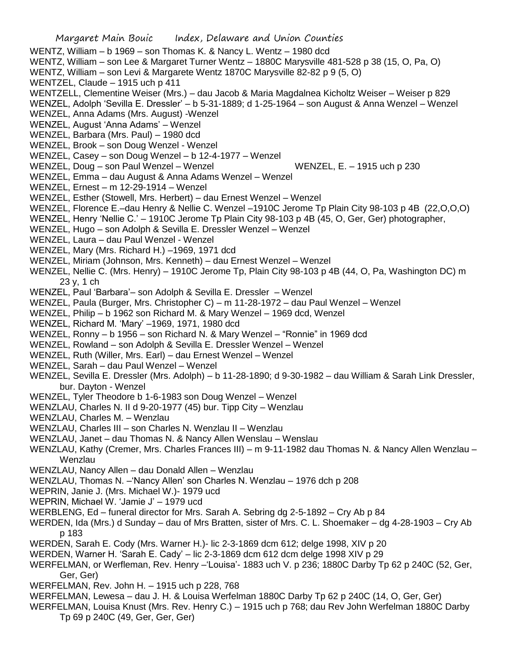Margaret Main Bouic Index, Delaware and Union Counties WENTZ, William – b 1969 – son Thomas K. & Nancy L. Wentz – 1980 dcd WENTZ, William – son Lee & Margaret Turner Wentz – 1880C Marysville 481-528 p 38 (15, O, Pa, O) WENTZ, William – son Levi & Margarete Wentz 1870C Marysville 82-82 p 9 (5, O) WENTZEL, Claude – 1915 uch p 411 WENTZELL, Clementine Weiser (Mrs.) – dau Jacob & Maria Magdalnea Kicholtz Weiser – Weiser p 829 WENZEL, Adolph 'Sevilla E. Dressler' – b 5-31-1889; d 1-25-1964 – son August & Anna Wenzel – Wenzel WENZEL, Anna Adams (Mrs. August) -Wenzel WENZEL, August 'Anna Adams' – Wenzel WENZEL, Barbara (Mrs. Paul) – 1980 dcd WENZEL, Brook – son Doug Wenzel - Wenzel WENZEL, Casey – son Doug Wenzel – b 12-4-1977 – Wenzel WENZEL, Doug – son Paul Wenzel – Wenzel WENZEL, E. – 1915 uch p 230 WENZEL, Emma – dau August & Anna Adams Wenzel – Wenzel WENZEL, Ernest – m 12-29-1914 – Wenzel WENZEL, Esther (Stowell, Mrs. Herbert) – dau Ernest Wenzel – Wenzel WENZEL, Florence E.–dau Henry & Nellie C. Wenzel –1910C Jerome Tp Plain City 98-103 p 4B (22,O,O,O) WENZEL, Henry 'Nellie C.' – 1910C Jerome Tp Plain City 98-103 p 4B (45, O, Ger, Ger) photographer, WENZEL, Hugo – son Adolph & Sevilla E. Dressler Wenzel – Wenzel WENZEL, Laura – dau Paul Wenzel - Wenzel WENZEL, Mary (Mrs. Richard H.) –1969, 1971 dcd WENZEL, Miriam (Johnson, Mrs. Kenneth) – dau Ernest Wenzel – Wenzel WENZEL, Nellie C. (Mrs. Henry) – 1910C Jerome Tp, Plain City 98-103 p 4B (44, O, Pa, Washington DC) m 23 y, 1 ch WENZEL, Paul 'Barbara'– son Adolph & Sevilla E. Dressler – Wenzel WENZEL, Paula (Burger, Mrs. Christopher C) – m 11-28-1972 – dau Paul Wenzel – Wenzel WENZEL, Philip – b 1962 son Richard M. & Mary Wenzel – 1969 dcd, Wenzel WENZEL, Richard M. 'Mary' –1969, 1971, 1980 dcd WENZEL, Ronny – b 1956 – son Richard N. & Mary Wenzel – "Ronnie" in 1969 dcd WENZEL, Rowland – son Adolph & Sevilla E. Dressler Wenzel – Wenzel WENZEL, Ruth (Willer, Mrs. Earl) – dau Ernest Wenzel – Wenzel WENZEL, Sarah – dau Paul Wenzel – Wenzel WENZEL, Sevilla E. Dressler (Mrs. Adolph) – b 11-28-1890; d 9-30-1982 – dau William & Sarah Link Dressler, bur. Dayton - Wenzel WENZEL, Tyler Theodore b 1-6-1983 son Doug Wenzel – Wenzel WENZLAU, Charles N. II d 9-20-1977 (45) bur. Tipp City – Wenzlau WENZLAU, Charles M. – Wenzlau WENZLAU, Charles III – son Charles N. Wenzlau II – Wenzlau WENZLAU, Janet – dau Thomas N. & Nancy Allen Wenslau – Wenslau WENZLAU, Kathy (Cremer, Mrs. Charles Frances III) – m 9-11-1982 dau Thomas N. & Nancy Allen Wenzlau – Wenzlau WENZLAU, Nancy Allen – dau Donald Allen – Wenzlau WENZLAU, Thomas N. –'Nancy Allen' son Charles N. Wenzlau – 1976 dch p 208 WEPRIN, Janie J. (Mrs. Michael W.)- 1979 ucd WEPRIN, Michael W. 'Jamie J' – 1979 ucd WERBLENG, Ed – funeral director for Mrs. Sarah A. Sebring dg 2-5-1892 – Cry Ab p 84 WERDEN, Ida (Mrs.) d Sunday – dau of Mrs Bratten, sister of Mrs. C. L. Shoemaker – dg 4-28-1903 – Cry Ab p 183 WERDEN, Sarah E. Cody (Mrs. Warner H.)- lic 2-3-1869 dcm 612; delge 1998, XIV p 20 WERDEN, Warner H. 'Sarah E. Cady' – lic 2-3-1869 dcm 612 dcm delge 1998 XIV p 29 WERFELMAN, or Werfleman, Rev. Henry –'Louisa'- 1883 uch V. p 236; 1880C Darby Tp 62 p 240C (52, Ger, Ger, Ger) WERFELMAN, Rev. John H. – 1915 uch p 228, 768

- WERFELMAN, Lewesa dau J. H. & Louisa Werfelman 1880C Darby Tp 62 p 240C (14, O, Ger, Ger)
- WERFELMAN, Louisa Knust (Mrs. Rev. Henry C.) 1915 uch p 768; dau Rev John Werfelman 1880C Darby Tp 69 p 240C (49, Ger, Ger, Ger)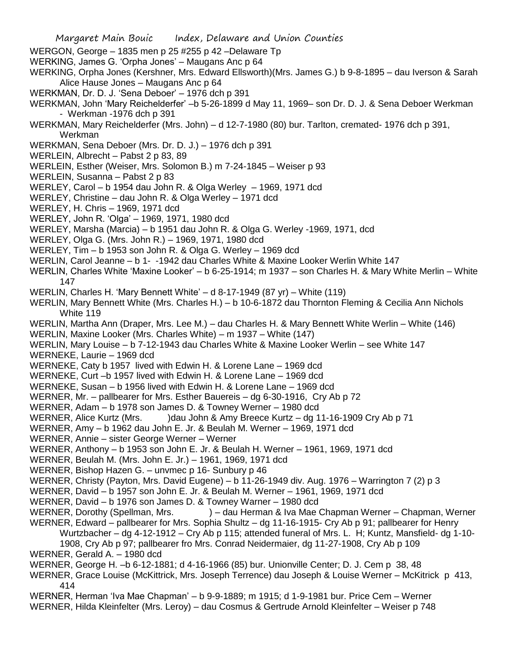- Margaret Main Bouic Index, Delaware and Union Counties WERGON, George – 1835 men p 25 #255 p 42 –Delaware Tp WERKING, James G. 'Orpha Jones' – Maugans Anc p 64 WERKING, Orpha Jones (Kershner, Mrs. Edward Ellsworth)(Mrs. James G.) b 9-8-1895 – dau Iverson & Sarah Alice Hause Jones – Maugans Anc p 64 WERKMAN, Dr. D. J. 'Sena Deboer' – 1976 dch p 391 WERKMAN, John 'Mary Reichelderfer' –b 5-26-1899 d May 11, 1969– son Dr. D. J. & Sena Deboer Werkman - Werkman -1976 dch p 391 WERKMAN, Mary Reichelderfer (Mrs. John) – d 12-7-1980 (80) bur. Tarlton, cremated- 1976 dch p 391, Werkman WERKMAN, Sena Deboer (Mrs. Dr. D. J.) – 1976 dch p 391 WERLEIN, Albrecht – Pabst 2 p 83, 89 WERLEIN, Esther (Weiser, Mrs. Solomon B.) m 7-24-1845 – Weiser p 93 WERLEIN, Susanna – Pabst 2 p 83 WERLEY, Carol – b 1954 dau John R. & Olga Werley – 1969, 1971 dcd WERLEY, Christine – dau John R. & Olga Werley – 1971 dcd WERLEY, H. Chris – 1969, 1971 dcd WERLEY, John R. 'Olga' – 1969, 1971, 1980 dcd WERLEY, Marsha (Marcia) – b 1951 dau John R. & Olga G. Werley -1969, 1971, dcd WERLEY, Olga G. (Mrs. John R.) – 1969, 1971, 1980 dcd WERLEY, Tim – b 1953 son John R. & Olga G. Werley – 1969 dcd WERLIN, Carol Jeanne – b 1- -1942 dau Charles White & Maxine Looker Werlin White 147 WERLIN, Charles White 'Maxine Looker' – b 6-25-1914; m 1937 – son Charles H. & Mary White Merlin – White 147 WERLIN, Charles H. 'Mary Bennett White' – d 8-17-1949 (87 yr) – White (119) WERLIN, Mary Bennett White (Mrs. Charles H.) – b 10-6-1872 dau Thornton Fleming & Cecilia Ann Nichols White 119 WERLIN, Martha Ann (Draper, Mrs. Lee M.) – dau Charles H. & Mary Bennett White Werlin – White (146) WERLIN, Maxine Looker (Mrs. Charles White) – m 1937 – White (147) WERLIN, Mary Louise – b 7-12-1943 dau Charles White & Maxine Looker Werlin – see White 147 WERNEKE, Laurie – 1969 dcd WERNEKE, Caty b 1957 lived with Edwin H. & Lorene Lane – 1969 dcd WERNEKE, Curt –b 1957 lived with Edwin H. & Lorene Lane – 1969 dcd WERNEKE, Susan – b 1956 lived with Edwin H. & Lorene Lane – 1969 dcd WERNER, Mr. – pallbearer for Mrs. Esther Bauereis – dg 6-30-1916, Cry Ab p 72 WERNER, Adam – b 1978 son James D. & Towney Werner – 1980 dcd WERNER, Alice Kurtz (Mrs. )dau John & Amy Breece Kurtz – dg 11-16-1909 Cry Ab p 71 WERNER, Amy – b 1962 dau John E. Jr. & Beulah M. Werner – 1969, 1971 dcd WERNER, Annie – sister George Werner – Werner WERNER, Anthony – b 1953 son John E. Jr. & Beulah H. Werner – 1961, 1969, 1971 dcd WERNER, Beulah M. (Mrs. John E. Jr.) – 1961, 1969, 1971 dcd WERNER, Bishop Hazen G. – unvmec p 16- Sunbury p 46 WERNER, Christy (Payton, Mrs. David Eugene) – b 11-26-1949 div. Aug. 1976 – Warrington 7 (2) p 3 WERNER, David – b 1957 son John E. Jr. & Beulah M. Werner – 1961, 1969, 1971 dcd WERNER, David – b 1976 son James D. & Towney Warner – 1980 dcd WERNER, Dorothy (Spellman, Mrs. ) – dau Herman & Iva Mae Chapman Werner – Chapman, Werner WERNER, Edward – pallbearer for Mrs. Sophia Shultz – dg 11-16-1915- Cry Ab p 91; pallbearer for Henry Wurtzbacher – dg 4-12-1912 – Cry Ab p 115; attended funeral of Mrs. L. H; Kuntz, Mansfield- dg 1-10- 1908, Cry Ab p 97; pallbearer fro Mrs. Conrad Neidermaier, dg 11-27-1908, Cry Ab p 109 WERNER, Gerald A. – 1980 dcd WERNER, George H. –b 6-12-1881; d 4-16-1966 (85) bur. Unionville Center; D. J. Cem p 38, 48 WERNER, Grace Louise (McKittrick, Mrs. Joseph Terrence) dau Joseph & Louise Werner – McKitrick p 413, 414 WERNER, Herman 'Iva Mae Chapman' – b 9-9-1889; m 1915; d 1-9-1981 bur. Price Cem – Werner
- WERNER, Hilda Kleinfelter (Mrs. Leroy) dau Cosmus & Gertrude Arnold Kleinfelter Weiser p 748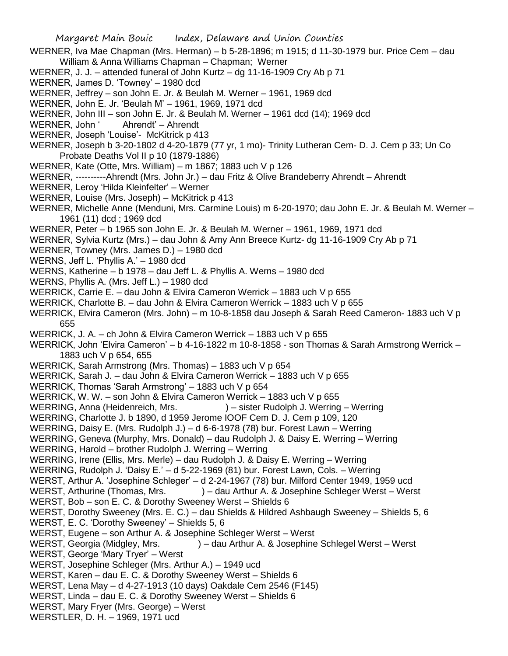Margaret Main Bouic Index, Delaware and Union Counties WERNER, Iva Mae Chapman (Mrs. Herman) – b 5-28-1896; m 1915; d 11-30-1979 bur. Price Cem – dau William & Anna Williams Chapman – Chapman; Werner WERNER, J. J. – attended funeral of John Kurtz – dg 11-16-1909 Cry Ab p 71 WERNER, James D. 'Towney' – 1980 dcd WERNER, Jeffrey – son John E. Jr. & Beulah M. Werner – 1961, 1969 dcd WERNER, John E. Jr. 'Beulah M' – 1961, 1969, 1971 dcd WERNER, John III – son John E. Jr. & Beulah M. Werner – 1961 dcd (14); 1969 dcd WERNER, John ' Ahrendt' – Ahrendt WERNER, Joseph 'Louise'- McKitrick p 413 WERNER, Joseph b 3-20-1802 d 4-20-1879 (77 yr, 1 mo)- Trinity Lutheran Cem- D. J. Cem p 33; Un Co Probate Deaths Vol II p 10 (1879-1886) WERNER, Kate (Otte, Mrs. William) – m 1867; 1883 uch V p 126 WERNER, ----------Ahrendt (Mrs. John Jr.) – dau Fritz & Olive Brandeberry Ahrendt – Ahrendt WERNER, Leroy 'Hilda Kleinfelter' – Werner WERNER, Louise (Mrs. Joseph) – McKitrick p 413 WERNER, Michelle Anne (Menduni, Mrs. Carmine Louis) m 6-20-1970; dau John E. Jr. & Beulah M. Werner – 1961 (11) dcd ; 1969 dcd WERNER, Peter – b 1965 son John E. Jr. & Beulah M. Werner – 1961, 1969, 1971 dcd WERNER, Sylvia Kurtz (Mrs.) – dau John & Amy Ann Breece Kurtz- dg 11-16-1909 Cry Ab p 71 WERNER, Towney (Mrs. James D.) – 1980 dcd WERNS, Jeff L. 'Phyllis A.' – 1980 dcd WERNS, Katherine – b 1978 – dau Jeff L. & Phyllis A. Werns – 1980 dcd WERNS, Phyllis A. (Mrs. Jeff L.) – 1980 dcd WERRICK, Carrie E. – dau John & Elvira Cameron Werrick – 1883 uch V p 655 WERRICK, Charlotte B. – dau John & Elvira Cameron Werrick – 1883 uch V p 655 WERRICK, Elvira Cameron (Mrs. John) – m 10-8-1858 dau Joseph & Sarah Reed Cameron- 1883 uch V p 655 WERRICK, J. A. – ch John & Elvira Cameron Werrick – 1883 uch V p 655 WERRICK, John 'Elvira Cameron' – b 4-16-1822 m 10-8-1858 - son Thomas & Sarah Armstrong Werrick – 1883 uch V p 654, 655 WERRICK, Sarah Armstrong (Mrs. Thomas) – 1883 uch V p 654 WERRICK, Sarah J. – dau John & Elvira Cameron Werrick – 1883 uch V p 655 WERRICK, Thomas 'Sarah Armstrong' – 1883 uch V p 654 WERRICK, W. W. – son John & Elvira Cameron Werrick – 1883 uch V p 655 WERRING, Anna (Heidenreich, Mrs. ) – sister Rudolph J. Werring – Werring WERRING, Charlotte J. b 1890, d 1959 Jerome IOOF Cem D. J. Cem p 109, 120 WERRING, Daisy E. (Mrs. Rudolph J.) – d 6-6-1978 (78) bur. Forest Lawn – Werring WERRING, Geneva (Murphy, Mrs. Donald) – dau Rudolph J. & Daisy E. Werring – Werring WERRING, Harold – brother Rudolph J. Werring – Werring WERRING, Irene (Ellis, Mrs. Merle) – dau Rudolph J. & Daisy E. Werring – Werring WERRING, Rudolph J. 'Daisy E.' – d 5-22-1969 (81) bur. Forest Lawn, Cols. – Werring WERST, Arthur A. 'Josephine Schleger' – d 2-24-1967 (78) bur. Milford Center 1949, 1959 ucd WERST, Arthurine (Thomas, Mrs. ) – dau Arthur A. & Josephine Schleger Werst – Werst WERST, Bob – son E. C. & Dorothy Sweeney Werst – Shields 6 WERST, Dorothy Sweeney (Mrs. E. C.) – dau Shields & Hildred Ashbaugh Sweeney – Shields 5, 6 WERST, E. C. 'Dorothy Sweeney' – Shields 5, 6 WERST, Eugene – son Arthur A. & Josephine Schleger Werst – Werst WERST, Georgia (Midgley, Mrs. ) – dau Arthur A. & Josephine Schlegel Werst – Werst WERST, George 'Mary Tryer' – Werst WERST, Josephine Schleger (Mrs. Arthur A.) – 1949 ucd WERST, Karen – dau E. C. & Dorothy Sweeney Werst – Shields 6 WERST, Lena May – d 4-27-1913 (10 days) Oakdale Cem 2546 (F145) WERST, Linda – dau E. C. & Dorothy Sweeney Werst – Shields 6 WERST, Mary Fryer (Mrs. George) – Werst WERSTLER, D. H. – 1969, 1971 ucd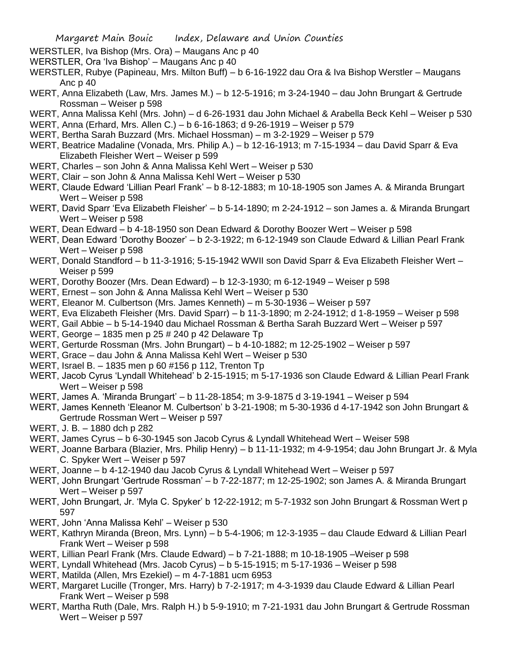- WERSTLER, Iva Bishop (Mrs. Ora) Maugans Anc p 40
- WERSTLER, Ora 'Iva Bishop' Maugans Anc p 40
- WERSTLER, Rubye (Papineau, Mrs. Milton Buff) b 6-16-1922 dau Ora & Iva Bishop Werstler Maugans Anc p 40
- WERT, Anna Elizabeth (Law, Mrs. James M.) b 12-5-1916; m 3-24-1940 dau John Brungart & Gertrude Rossman – Weiser p 598
- WERT, Anna Malissa Kehl (Mrs. John) d 6-26-1931 dau John Michael & Arabella Beck Kehl Weiser p 530
- WERT, Anna (Erhard, Mrs. Allen C.) b 6-16-1863; d 9-26-1919 Weiser p 579
- WERT, Bertha Sarah Buzzard (Mrs. Michael Hossman) m 3-2-1929 Weiser p 579
- WERT, Beatrice Madaline (Vonada, Mrs. Philip A.) b 12-16-1913; m 7-15-1934 dau David Sparr & Eva Elizabeth Fleisher Wert – Weiser p 599
- WERT, Charles son John & Anna Malissa Kehl Wert Weiser p 530
- WERT, Clair son John & Anna Malissa Kehl Wert Weiser p 530
- WERT, Claude Edward 'Lillian Pearl Frank' b 8-12-1883; m 10-18-1905 son James A. & Miranda Brungart Wert – Weiser p 598
- WERT, David Sparr 'Eva Elizabeth Fleisher' b 5-14-1890; m 2-24-1912 son James a. & Miranda Brungart Wert – Weiser p 598
- WERT, Dean Edward b 4-18-1950 son Dean Edward & Dorothy Boozer Wert Weiser p 598
- WERT, Dean Edward 'Dorothy Boozer' b 2-3-1922; m 6-12-1949 son Claude Edward & Lillian Pearl Frank Wert – Weiser p 598
- WERT, Donald Standford b 11-3-1916; 5-15-1942 WWII son David Sparr & Eva Elizabeth Fleisher Wert Weiser p 599
- WERT, Dorothy Boozer (Mrs. Dean Edward) b 12-3-1930; m 6-12-1949 Weiser p 598
- WERT, Ernest son John & Anna Malissa Kehl Wert Weiser p 530
- WERT, Eleanor M. Culbertson (Mrs. James Kenneth) m 5-30-1936 Weiser p 597
- WERT, Eva Elizabeth Fleisher (Mrs. David Sparr) b 11-3-1890; m 2-24-1912; d 1-8-1959 Weiser p 598
- WERT, Gail Abbie b 5-14-1940 dau Michael Rossman & Bertha Sarah Buzzard Wert Weiser p 597
- WERT, George 1835 men p 25 # 240 p 42 Delaware Tp
- WERT, Gerturde Rossman (Mrs. John Brungart) b 4-10-1882; m 12-25-1902 Weiser p 597
- WERT, Grace dau John & Anna Malissa Kehl Wert Weiser p 530
- WERT, Israel B. 1835 men p 60 #156 p 112, Trenton Tp
- WERT, Jacob Cyrus 'Lyndall Whitehead' b 2-15-1915; m 5-17-1936 son Claude Edward & Lillian Pearl Frank Wert – Weiser p 598
- WERT, James A. 'Miranda Brungart' b 11-28-1854; m 3-9-1875 d 3-19-1941 Weiser p 594
- WERT, James Kenneth 'Eleanor M. Culbertson' b 3-21-1908; m 5-30-1936 d 4-17-1942 son John Brungart & Gertrude Rossman Wert – Weiser p 597
- WERT, J. B. 1880 dch p 282
- WERT, James Cyrus b 6-30-1945 son Jacob Cyrus & Lyndall Whitehead Wert Weiser 598
- WERT, Joanne Barbara (Blazier, Mrs. Philip Henry) b 11-11-1932; m 4-9-1954; dau John Brungart Jr. & Myla C. Spyker Wert – Weiser p 597
- WERT, Joanne b 4-12-1940 dau Jacob Cyrus & Lyndall Whitehead Wert Weiser p 597
- WERT, John Brungart 'Gertrude Rossman' b 7-22-1877; m 12-25-1902; son James A. & Miranda Brungart Wert – Weiser p 597
- WERT, John Brungart, Jr. 'Myla C. Spyker' b 12-22-1912; m 5-7-1932 son John Brungart & Rossman Wert p 597
- WERT, John 'Anna Malissa Kehl' Weiser p 530
- WERT, Kathryn Miranda (Breon, Mrs. Lynn) b 5-4-1906; m 12-3-1935 dau Claude Edward & Lillian Pearl Frank Wert – Weiser p 598
- WERT, Lillian Pearl Frank (Mrs. Claude Edward) b 7-21-1888; m 10-18-1905 –Weiser p 598
- WERT, Lyndall Whitehead (Mrs. Jacob Cyrus) b 5-15-1915; m 5-17-1936 Weiser p 598
- WERT, Matilda (Allen, Mrs Ezekiel) m 4-7-1881 ucm 6953
- WERT, Margaret Lucille (Tronger, Mrs. Harry) b 7-2-1917; m 4-3-1939 dau Claude Edward & Lillian Pearl Frank Wert – Weiser p 598
- WERT, Martha Ruth (Dale, Mrs. Ralph H.) b 5-9-1910; m 7-21-1931 dau John Brungart & Gertrude Rossman Wert – Weiser p 597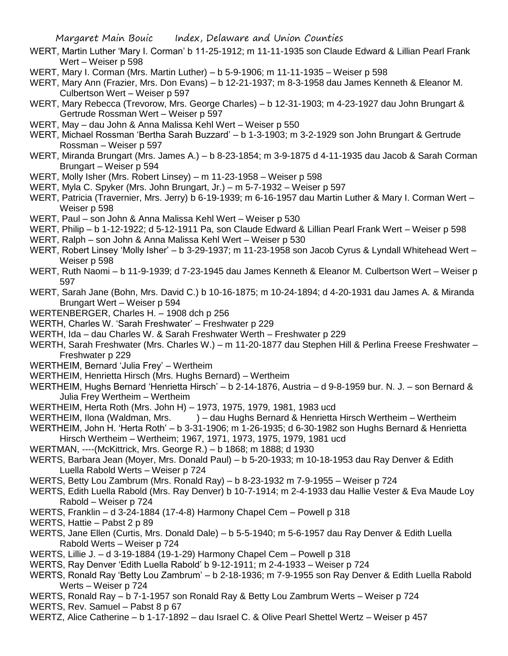- WERT, Martin Luther 'Mary I. Corman' b 11-25-1912; m 11-11-1935 son Claude Edward & Lillian Pearl Frank Wert – Weiser p 598
- WERT, Mary I. Corman (Mrs. Martin Luther) b 5-9-1906; m 11-11-1935 Weiser p 598
- WERT, Mary Ann (Frazier, Mrs. Don Evans) b 12-21-1937; m 8-3-1958 dau James Kenneth & Eleanor M. Culbertson Wert – Weiser p 597
- WERT, Mary Rebecca (Trevorow, Mrs. George Charles) b 12-31-1903; m 4-23-1927 dau John Brungart & Gertrude Rossman Wert – Weiser p 597
- WERT, May dau John & Anna Malissa Kehl Wert Weiser p 550
- WERT, Michael Rossman 'Bertha Sarah Buzzard' b 1-3-1903; m 3-2-1929 son John Brungart & Gertrude Rossman – Weiser p 597
- WERT, Miranda Brungart (Mrs. James A.) b 8-23-1854; m 3-9-1875 d 4-11-1935 dau Jacob & Sarah Corman Brungart – Weiser p 594
- WERT, Molly Isher (Mrs. Robert Linsey) m 11-23-1958 Weiser p 598
- WERT, Myla C. Spyker (Mrs. John Brungart, Jr.) m 5-7-1932 Weiser p 597
- WERT, Patricia (Travernier, Mrs. Jerry) b 6-19-1939; m 6-16-1957 dau Martin Luther & Mary I. Corman Wert Weiser p 598
- WERT, Paul son John & Anna Malissa Kehl Wert Weiser p 530
- WERT, Philip b 1-12-1922; d 5-12-1911 Pa, son Claude Edward & Lillian Pearl Frank Wert Weiser p 598
- WERT, Ralph son John & Anna Malissa Kehl Wert Weiser p 530
- WERT, Robert Linsey 'Molly Isher' b 3-29-1937; m 11-23-1958 son Jacob Cyrus & Lyndall Whitehead Wert Weiser p 598
- WERT, Ruth Naomi b 11-9-1939; d 7-23-1945 dau James Kenneth & Eleanor M. Culbertson Wert Weiser p 597
- WERT, Sarah Jane (Bohn, Mrs. David C.) b 10-16-1875; m 10-24-1894; d 4-20-1931 dau James A. & Miranda Brungart Wert – Weiser p 594
- WERTENBERGER, Charles H. 1908 dch p 256
- WERTH, Charles W. 'Sarah Freshwater' Freshwater p 229
- WERTH, Ida dau Charles W. & Sarah Freshwater Werth Freshwater p 229
- WERTH, Sarah Freshwater (Mrs. Charles W.) m 11-20-1877 dau Stephen Hill & Perlina Freese Freshwater Freshwater p 229
- WERTHEIM, Bernard 'Julia Frey' Wertheim
- WERTHEIM, Henrietta Hirsch (Mrs. Hughs Bernard) Wertheim
- WERTHEIM, Hughs Bernard 'Henrietta Hirsch' b 2-14-1876, Austria d 9-8-1959 bur. N. J. son Bernard & Julia Frey Wertheim – Wertheim
- WERTHEIM, Herta Roth (Mrs. John H) 1973, 1975, 1979, 1981, 1983 ucd
- WERTHEIM, Ilona (Waldman, Mrs. ) dau Hughs Bernard & Henrietta Hirsch Wertheim Wertheim
- WERTHEIM, John H. 'Herta Roth' b 3-31-1906; m 1-26-1935; d 6-30-1982 son Hughs Bernard & Henrietta Hirsch Wertheim – Wertheim; 1967, 1971, 1973, 1975, 1979, 1981 ucd
- WERTMAN, ----(McKittrick, Mrs. George R.) b 1868; m 1888; d 1930
- WERTS, Barbara Jean (Moyer, Mrs. Donald Paul) b 5-20-1933; m 10-18-1953 dau Ray Denver & Edith Luella Rabold Werts – Weiser p 724
- WERTS, Betty Lou Zambrum (Mrs. Ronald Ray) b 8-23-1932 m 7-9-1955 Weiser p 724
- WERTS, Edith Luella Rabold (Mrs. Ray Denver) b 10-7-1914; m 2-4-1933 dau Hallie Vester & Eva Maude Loy Rabold – Weiser p 724
- WERTS, Franklin d 3-24-1884 (17-4-8) Harmony Chapel Cem Powell p 318
- WERTS, Hattie Pabst 2 p 89
- WERTS, Jane Ellen (Curtis, Mrs. Donald Dale) b 5-5-1940; m 5-6-1957 dau Ray Denver & Edith Luella Rabold Werts – Weiser p 724
- WERTS, Lillie J. d 3-19-1884 (19-1-29) Harmony Chapel Cem Powell p 318
- WERTS, Ray Denver 'Edith Luella Rabold' b 9-12-1911; m 2-4-1933 Weiser p 724
- WERTS, Ronald Ray 'Betty Lou Zambrum' b 2-18-1936; m 7-9-1955 son Ray Denver & Edith Luella Rabold Werts – Weiser p 724
- WERTS, Ronald Ray b 7-1-1957 son Ronald Ray & Betty Lou Zambrum Werts Weiser p 724
- WERTS, Rev. Samuel Pabst 8 p 67
- WERTZ, Alice Catherine b 1-17-1892 dau Israel C. & Olive Pearl Shettel Wertz Weiser p 457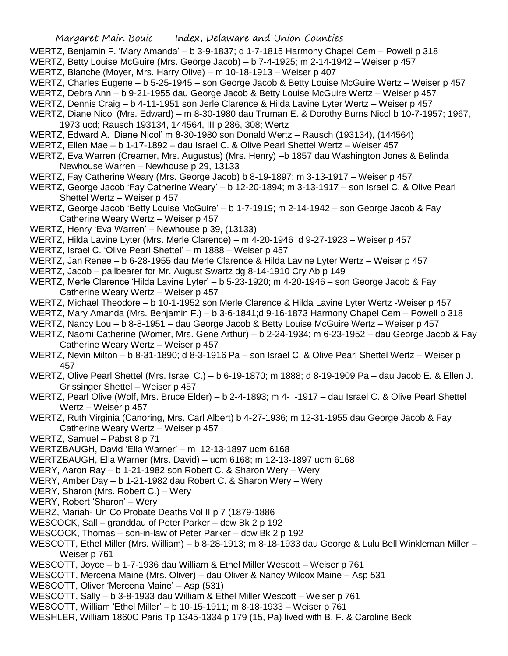- WERTZ, Benjamin F. 'Mary Amanda' b 3-9-1837; d 1-7-1815 Harmony Chapel Cem Powell p 318
- WERTZ, Betty Louise McGuire (Mrs. George Jacob) b 7-4-1925; m 2-14-1942 Weiser p 457
- WERTZ, Blanche (Moyer, Mrs. Harry Olive) m 10-18-1913 Weiser p 407
- WERTZ, Charles Eugene b 5-25-1945 son George Jacob & Betty Louise McGuire Wertz Weiser p 457
- WERTZ, Debra Ann b 9-21-1955 dau George Jacob & Betty Louise McGuire Wertz Weiser p 457
- WERTZ, Dennis Craig b 4-11-1951 son Jerle Clarence & Hilda Lavine Lyter Wertz Weiser p 457
- WERTZ, Diane Nicol (Mrs. Edward) m 8-30-1980 dau Truman E. & Dorothy Burns Nicol b 10-7-1957; 1967, 1973 ucd; Rausch 193134, 144564, III p 286, 308; Wertz
- WERTZ, Edward A. 'Diane Nicol' m 8-30-1980 son Donald Wertz Rausch (193134), (144564)
- WERTZ, Ellen Mae b 1-17-1892 dau Israel C. & Olive Pearl Shettel Wertz Weiser 457
- WERTZ, Eva Warren (Creamer, Mrs. Augustus) (Mrs. Henry) –b 1857 dau Washington Jones & Belinda Newhouse Warren – Newhouse p 29, 13133
- WERTZ, Fay Catherine Weary (Mrs. George Jacob) b 8-19-1897; m 3-13-1917 Weiser p 457
- WERTZ, George Jacob 'Fay Catherine Weary' b 12-20-1894; m 3-13-1917 son Israel C. & Olive Pearl Shettel Wertz – Weiser p 457
- WERTZ, George Jacob 'Betty Louise McGuire' b 1-7-1919; m 2-14-1942 son George Jacob & Fay Catherine Weary Wertz – Weiser p 457
- WERTZ, Henry 'Eva Warren' Newhouse p 39, (13133)
- WERTZ, Hilda Lavine Lyter (Mrs. Merle Clarence) m 4-20-1946 d 9-27-1923 Weiser p 457
- WERTZ, Israel C. 'Olive Pearl Shettel' m 1888 Weiser p 457
- WERTZ, Jan Renee b 6-28-1955 dau Merle Clarence & Hilda Lavine Lyter Wertz Weiser p 457
- WERTZ, Jacob pallbearer for Mr. August Swartz dg 8-14-1910 Cry Ab p 149
- WERTZ, Merle Clarence 'Hilda Lavine Lyter' b 5-23-1920; m 4-20-1946 son George Jacob & Fay Catherine Weary Wertz – Weiser p 457
- WERTZ, Michael Theodore b 10-1-1952 son Merle Clarence & Hilda Lavine Lyter Wertz -Weiser p 457
- WERTZ, Mary Amanda (Mrs. Benjamin F.) b 3-6-1841;d 9-16-1873 Harmony Chapel Cem Powell p 318
- WERTZ, Nancy Lou b 8-8-1951 dau George Jacob & Betty Louise McGuire Wertz Weiser p 457
- WERTZ, Naomi Catherine (Womer, Mrs. Gene Arthur) b 2-24-1934; m 6-23-1952 dau George Jacob & Fay Catherine Weary Wertz – Weiser p 457
- WERTZ, Nevin Milton b 8-31-1890; d 8-3-1916 Pa son Israel C. & Olive Pearl Shettel Wertz Weiser p 457
- WERTZ, Olive Pearl Shettel (Mrs. Israel C.) b 6-19-1870; m 1888; d 8-19-1909 Pa dau Jacob E. & Ellen J. Grissinger Shettel – Weiser p 457
- WERTZ, Pearl Olive (Wolf, Mrs. Bruce Elder) b 2-4-1893; m 4- -1917 dau Israel C. & Olive Pearl Shettel Wertz – Weiser p 457
- WERTZ, Ruth Virginia (Canoring, Mrs. Carl Albert) b 4-27-1936; m 12-31-1955 dau George Jacob & Fay Catherine Weary Wertz – Weiser p 457
- WERTZ, Samuel Pabst 8 p 71
- WERTZBAUGH, David 'Ella Warner' m 12-13-1897 ucm 6168
- WERTZBAUGH, Ella Warner (Mrs. David) ucm 6168; m 12-13-1897 ucm 6168
- WERY, Aaron Ray b 1-21-1982 son Robert C. & Sharon Wery Wery
- WERY, Amber Day b 1-21-1982 dau Robert C. & Sharon Wery Wery
- WERY, Sharon (Mrs. Robert C.) Wery
- WERY, Robert 'Sharon' Wery
- WERZ, Mariah- Un Co Probate Deaths Vol II p 7 (1879-1886
- WESCOCK, Sall granddau of Peter Parker dcw Bk 2 p 192
- WESCOCK, Thomas son-in-law of Peter Parker dcw Bk 2 p 192
- WESCOTT, Ethel Miller (Mrs. William) b 8-28-1913; m 8-18-1933 dau George & Lulu Bell Winkleman Miller Weiser p 761
- WESCOTT, Joyce b 1-7-1936 dau William & Ethel Miller Wescott Weiser p 761
- WESCOTT, Mercena Maine (Mrs. Oliver) dau Oliver & Nancy Wilcox Maine Asp 531
- WESCOTT, Oliver 'Mercena Maine' Asp (531)
- WESCOTT, Sally b 3-8-1933 dau William & Ethel Miller Wescott Weiser p 761
- WESCOTT, William 'Ethel Miller' b 10-15-1911; m 8-18-1933 Weiser p 761
- WESHLER, William 1860C Paris Tp 1345-1334 p 179 (15, Pa) lived with B. F. & Caroline Beck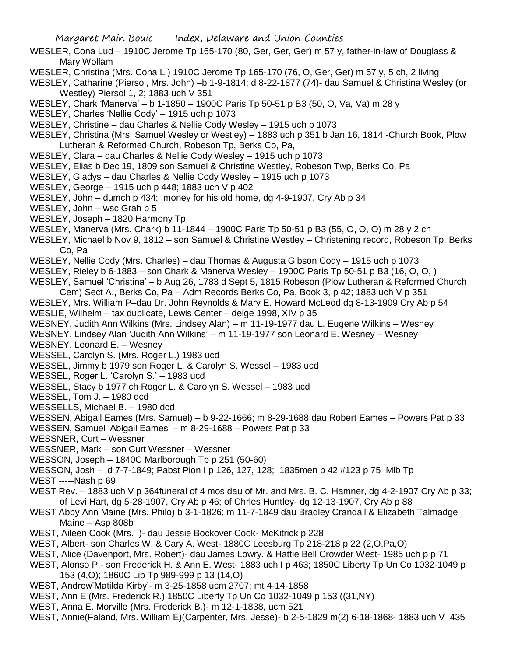- WESLER, Cona Lud 1910C Jerome Tp 165-170 (80, Ger, Ger, Ger) m 57 y, father-in-law of Douglass & Mary Wollam
- WESLER, Christina (Mrs. Cona L.) 1910C Jerome Tp 165-170 (76, O, Ger, Ger) m 57 y, 5 ch, 2 living
- WESLEY, Catharine (Piersol, Mrs. John) –b 1-9-1814; d 8-22-1877 (74)- dau Samuel & Christina Wesley (or Westley) Piersol 1, 2; 1883 uch V 351
- WESLEY, Chark 'Manerva' b 1-1850 1900C Paris Tp 50-51 p B3 (50, O, Va, Va) m 28 y
- WESLEY, Charles 'Nellie Cody' 1915 uch p 1073
- WESLEY, Christine dau Charles & Nellie Cody Wesley 1915 uch p 1073
- WESLEY, Christina (Mrs. Samuel Wesley or Westley) 1883 uch p 351 b Jan 16, 1814 -Church Book, Plow Lutheran & Reformed Church, Robeson Tp, Berks Co, Pa,
- WESLEY, Clara dau Charles & Nellie Cody Wesley 1915 uch p 1073
- WESLEY, Elias b Dec 19, 1809 son Samuel & Christine Westley, Robeson Twp, Berks Co, Pa
- WESLEY, Gladys dau Charles & Nellie Cody Wesley 1915 uch p 1073
- WESLEY, George 1915 uch p 448; 1883 uch V p 402
- WESLEY, John dumch p 434; money for his old home, dg 4-9-1907, Cry Ab p 34
- WESLEY, John wsc Grah p 5
- WESLEY, Joseph 1820 Harmony Tp
- WESLEY, Manerva (Mrs. Chark) b 11-1844 1900C Paris Tp 50-51 p B3 (55, O, O, O) m 28 y 2 ch
- WESLEY, Michael b Nov 9, 1812 son Samuel & Christine Westley Christening record, Robeson Tp, Berks Co, Pa
- WESLEY, Nellie Cody (Mrs. Charles) dau Thomas & Augusta Gibson Cody 1915 uch p 1073
- WESLEY, Rieley b 6-1883 son Chark & Manerva Wesley 1900C Paris Tp 50-51 p B3 (16, O, O, )
- WESLEY, Samuel 'Christina' b Aug 26, 1783 d Sept 5, 1815 Robeson (Plow Lutheran & Reformed Church
- Cem) Sect A., Berks Co, Pa Adm Records Berks Co, Pa, Book 3, p 42; 1883 uch V p 351
- WESLEY, Mrs. William P–dau Dr. John Reynolds & Mary E. Howard McLeod dg 8-13-1909 Cry Ab p 54 WESLIE, Wilhelm – tax duplicate, Lewis Center – delge 1998, XIV p 35
- WESNEY, Judith Ann Wilkins (Mrs. Lindsey Alan) m 11-19-1977 dau L. Eugene Wilkins Wesney
- WESNEY, Lindsey Alan 'Judith Ann Wilkins' m 11-19-1977 son Leonard E. Wesney Wesney
- WESNEY, Leonard E. Wesney
- WESSEL, Carolyn S. (Mrs. Roger L.) 1983 ucd
- WESSEL, Jimmy b 1979 son Roger L. & Carolyn S. Wessel 1983 ucd
- WESSEL, Roger L. 'Carolyn S.' 1983 ucd
- WESSEL, Stacy b 1977 ch Roger L. & Carolyn S. Wessel 1983 ucd
- WESSEL, Tom J. 1980 dcd
- WESSELLS, Michael B. 1980 dcd
- WESSEN, Abigail Eames (Mrs. Samuel) b 9-22-1666; m 8-29-1688 dau Robert Eames Powers Pat p 33
- WESSEN, Samuel 'Abigail Eames' m 8-29-1688 Powers Pat p 33
- WESSNER, Curt Wessner
- WESSNER, Mark son Curt Wessner Wessner
- WESSON, Joseph 1840C Marlborough Tp p 251 (50-60)
- WESSON, Josh d 7-7-1849; Pabst Pion I p 126, 127, 128; 1835men p 42 #123 p 75 Mlb Tp

WEST -----Nash p 69

- WEST Rev. 1883 uch V p 364funeral of 4 mos dau of Mr. and Mrs. B. C. Hamner, dg 4-2-1907 Cry Ab p 33; of Levi Hart, dg 5-28-1907, Cry Ab p 46; of Chrles Huntley- dg 12-13-1907, Cry Ab p 88
- WEST Abby Ann Maine (Mrs. Philo) b 3-1-1826; m 11-7-1849 dau Bradley Crandall & Elizabeth Talmadge Maine – Asp 808b
- WEST, Aileen Cook (Mrs. )- dau Jessie Bockover Cook- McKitrick p 228
- WEST, Albert- son Charles W. & Cary A. West- 1880C Leesburg Tp 218-218 p 22 (2,O,Pa,O)
- WEST, Alice (Davenport, Mrs. Robert)- dau James Lowry. & Hattie Bell Crowder West- 1985 uch p p 71
- WEST, Alonso P.- son Frederick H. & Ann E. West- 1883 uch I p 463; 1850C Liberty Tp Un Co 1032-1049 p 153 (4,O); 1860C Lib Tp 989-999 p 13 (14,O)
- WEST, Andrew'Matilda Kirby'- m 3-25-1858 ucm 2707; mt 4-14-1858
- WEST, Ann E (Mrs. Frederick R.) 1850C Liberty Tp Un Co 1032-1049 p 153 ((31,NY)
- WEST, Anna E. Morville (Mrs. Frederick B.)- m 12-1-1838, ucm 521
- WEST, Annie(Faland, Mrs. William E)(Carpenter, Mrs. Jesse)- b 2-5-1829 m(2) 6-18-1868- 1883 uch V 435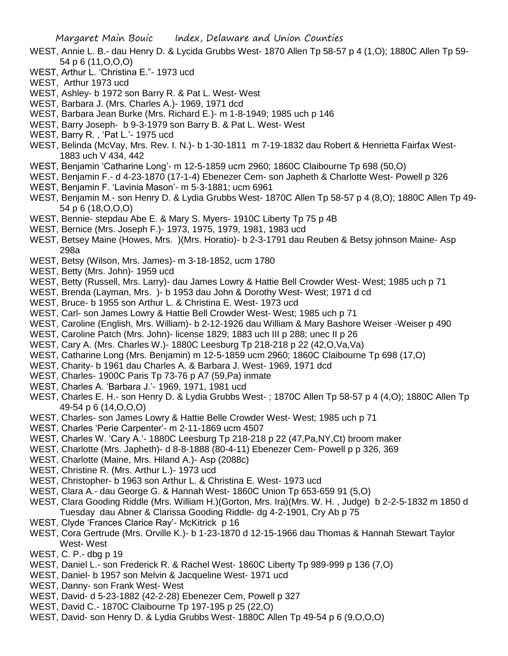- WEST, Annie L. B.- dau Henry D. & Lycida Grubbs West- 1870 Allen Tp 58-57 p 4 (1,O); 1880C Allen Tp 59- 54 p 6 (11,O,O,O)
- WEST, Arthur L. 'Christina E."- 1973 ucd
- WEST, Arthur 1973 ucd
- WEST, Ashley- b 1972 son Barry R. & Pat L. West- West
- WEST, Barbara J. (Mrs. Charles A.)- 1969, 1971 dcd
- WEST, Barbara Jean Burke (Mrs. Richard E.)- m 1-8-1949; 1985 uch p 146
- WEST, Barry Joseph- b 9-3-1979 son Barry B. & Pat L. West- West
- WEST, Barry R. , 'Pat L.'- 1975 ucd
- WEST, Belinda (McVay, Mrs. Rev. I. N.)- b 1-30-1811 m 7-19-1832 dau Robert & Henrietta Fairfax West-1883 uch V 434, 442
- WEST, Benjamin 'Catharine Long'- m 12-5-1859 ucm 2960; 1860C Claibourne Tp 698 (50,O)
- WEST, Benjamin F.- d 4-23-1870 (17-1-4) Ebenezer Cem- son Japheth & Charlotte West- Powell p 326
- WEST, Benjamin F. 'Lavinia Mason'- m 5-3-1881; ucm 6961
- WEST, Benjamin M.- son Henry D. & Lydia Grubbs West- 1870C Allen Tp 58-57 p 4 (8,O); 1880C Allen Tp 49- 54 p 6 (18,O,O,O)
- WEST, Bennie- stepdau Abe E. & Mary S. Myers- 1910C Liberty Tp 75 p 4B
- WEST, Bernice (Mrs. Joseph F.)- 1973, 1975, 1979, 1981, 1983 ucd
- WEST, Betsey Maine (Howes, Mrs. )(Mrs. Horatio)- b 2-3-1791 dau Reuben & Betsy johnson Maine- Asp 298a
- WEST, Betsy (Wilson, Mrs. James)- m 3-18-1852, ucm 1780
- WEST, Betty (Mrs. John)- 1959 ucd
- WEST, Betty (Russell, Mrs. Larry)- dau James Lowry & Hattie Bell Crowder West- West; 1985 uch p 71
- WEST, Brenda (Layman, Mrs. )- b 1953 dau John & Dorothy West- West; 1971 d cd
- WEST, Bruce- b 1955 son Arthur L. & Christina E. West- 1973 ucd
- WEST, Carl- son James Lowry & Hattie Bell Crowder West- West; 1985 uch p 71
- WEST, Caroline (English, Mrs. William)- b 2-12-1926 dau William & Mary Bashore Weiser -Weiser p 490
- WEST, Caroline Patch (Mrs. John)- license 1829; 1883 uch III p 288; unec II p 26
- WEST, Cary A. (Mrs. Charles W.)- 1880C Leesburg Tp 218-218 p 22 (42,O,Va,Va)
- WEST, Catharine Long (Mrs. Benjamin) m 12-5-1859 ucm 2960; 1860C Claibourne Tp 698 (17,O)
- WEST, Charity- b 1961 dau Charles A. & Barbara J. West- 1969, 1971 dcd
- WEST, Charles- 1900C Paris Tp 73-76 p A7 (59,Pa) inmate
- WEST, Charles A. 'Barbara J.'- 1969, 1971, 1981 ucd
- WEST, Charles E. H.- son Henry D. & Lydia Grubbs West- ; 1870C Allen Tp 58-57 p 4 (4,O); 1880C Allen Tp 49-54 p 6 (14,O,O,O)
- WEST, Charles- son James Lowry & Hattie Belle Crowder West- West; 1985 uch p 71
- WEST, Charles 'Perie Carpenter'- m 2-11-1869 ucm 4507
- WEST, Charles W. 'Cary A.'- 1880C Leesburg Tp 218-218 p 22 (47,Pa,NY,Ct) broom maker
- WEST, Charlotte (Mrs. Japheth)- d 8-8-1888 (80-4-11) Ebenezer Cem- Powell p p 326, 369
- WEST, Charlotte (Maine, Mrs. Hiland A.)- Asp (2088c)
- WEST, Christine R. (Mrs. Arthur L.)- 1973 ucd
- WEST, Christopher- b 1963 son Arthur L. & Christina E. West- 1973 ucd
- WEST, Clara A.- dau George G. & Hannah West- 1860C Union Tp 653-659 91 (5,O)
- WEST, Clara Gooding Riddle (Mrs. William H.)(Gorton, Mrs. Ira)(Mrs. W. H. , Judge) b 2-2-5-1832 m 1850 d Tuesday dau Abner & Clarissa Gooding Riddle- dg 4-2-1901, Cry Ab p 75
- WEST, Clyde 'Frances Clarice Ray'- McKitrick p 16
- WEST, Cora Gertrude (Mrs. Orville K.)- b 1-23-1870 d 12-15-1966 dau Thomas & Hannah Stewart Taylor West- West
- WEST, C. P.- dbg p 19
- WEST, Daniel L.- son Frederick R. & Rachel West- 1860C Liberty Tp 989-999 p 136 (7,O)
- WEST, Daniel- b 1957 son Melvin & Jacqueline West- 1971 ucd
- WEST, Danny- son Frank West- West
- WEST, David- d 5-23-1882 (42-2-28) Ebenezer Cem, Powell p 327
- WEST, David C.- 1870C Claibourne Tp 197-195 p 25 (22,O)
- WEST, David- son Henry D. & Lydia Grubbs West- 1880C Allen Tp 49-54 p 6 (9,O,O,O)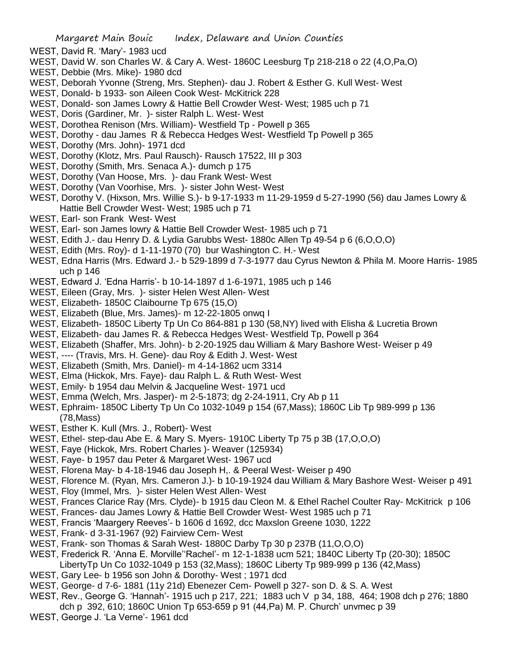- WEST, David R. 'Mary'- 1983 ucd
- WEST, David W. son Charles W. & Cary A. West- 1860C Leesburg Tp 218-218 o 22 (4,O,Pa,O)
- WEST, Debbie (Mrs. Mike)- 1980 dcd
- WEST, Deborah Yvonne (Streng, Mrs. Stephen)- dau J. Robert & Esther G. Kull West- West
- WEST, Donald- b 1933- son Aileen Cook West- McKitrick 228
- WEST, Donald- son James Lowry & Hattie Bell Crowder West- West; 1985 uch p 71
- WEST, Doris (Gardiner, Mr. )- sister Ralph L. West- West
- WEST, Dorothea Renison (Mrs. William)- Westfield Tp Powell p 365
- WEST, Dorothy dau James R & Rebecca Hedges West- Westfield Tp Powell p 365
- WEST, Dorothy (Mrs. John)- 1971 dcd
- WEST, Dorothy (Klotz, Mrs. Paul Rausch)- Rausch 17522, III p 303
- WEST, Dorothy (Smith, Mrs. Senaca A.)- dumch p 175
- WEST, Dorothy (Van Hoose, Mrs. )- dau Frank West- West
- WEST, Dorothy (Van Voorhise, Mrs. )- sister John West- West
- WEST, Dorothy V. (Hixson, Mrs. Willie S.)- b 9-17-1933 m 11-29-1959 d 5-27-1990 (56) dau James Lowry & Hattie Bell Crowder West- West; 1985 uch p 71
- WEST, Earl- son Frank West- West
- WEST, Earl- son James lowry & Hattie Bell Crowder West- 1985 uch p 71
- WEST, Edith J.- dau Henry D. & Lydia Garubbs West- 1880c Allen Tp 49-54 p 6 (6,O,O,O)
- WEST, Edith (Mrs. Roy)- d 1-11-1970 (70) bur Washington C. H.- West
- WEST, Edna Harris (Mrs. Edward J.- b 529-1899 d 7-3-1977 dau Cyrus Newton & Phila M. Moore Harris- 1985 uch p 146
- WEST, Edward J. 'Edna Harris'- b 10-14-1897 d 1-6-1971, 1985 uch p 146
- WEST, Eileen (Gray, Mrs. )- sister Helen West Allen- West
- WEST, Elizabeth- 1850C Claibourne Tp 675 (15,O)
- WEST, Elizabeth (Blue, Mrs. James)- m 12-22-1805 onwq I
- WEST, Elizabeth- 1850C Liberty Tp Un Co 864-881 p 130 (58,NY) lived with Elisha & Lucretia Brown
- WEST, Elizabeth- dau James R. & Rebecca Hedges West- Westfield Tp, Powell p 364
- WEST, Elizabeth (Shaffer, Mrs. John)- b 2-20-1925 dau William & Mary Bashore West- Weiser p 49
- WEST, ---- (Travis, Mrs. H. Gene)- dau Roy & Edith J. West- West
- WEST, Elizabeth (Smith, Mrs. Daniel)- m 4-14-1862 ucm 3314
- WEST, Elma (Hickok, Mrs. Faye)- dau Ralph L. & Ruth West- West
- WEST, Emily- b 1954 dau Melvin & Jacqueline West- 1971 ucd
- WEST, Emma (Welch, Mrs. Jasper)- m 2-5-1873; dg 2-24-1911, Cry Ab p 11
- WEST, Ephraim- 1850C Liberty Tp Un Co 1032-1049 p 154 (67,Mass); 1860C Lib Tp 989-999 p 136 (78,Mass)
- WEST, Esther K. Kull (Mrs. J., Robert)- West
- WEST, Ethel- step-dau Abe E. & Mary S. Myers- 1910C Liberty Tp 75 p 3B (17,O,O,O)
- WEST, Faye (Hickok, Mrs. Robert Charles )- Weaver (125934)
- WEST, Faye- b 1957 dau Peter & Margaret West- 1967 ucd
- WEST, Florena May- b 4-18-1946 dau Joseph H,. & Peeral West- Weiser p 490
- WEST, Florence M. (Ryan, Mrs. Cameron J.)- b 10-19-1924 dau William & Mary Bashore West- Weiser p 491
- WEST, Floy (Immel, Mrs. )- sister Helen West Allen- West
- WEST, Frances Clarice Ray (Mrs. Clyde)- b 1915 dau Cleon M. & Ethel Rachel Coulter Ray- McKitrick p 106
- WEST, Frances- dau James Lowry & Hattie Bell Crowder West- West 1985 uch p 71
- WEST, Francis 'Maargery Reeves'- b 1606 d 1692, dcc Maxslon Greene 1030, 1222
- WEST, Frank- d 3-31-1967 (92) Fairview Cem- West
- WEST, Frank- son Thomas & Sarah West- 1880C Darby Tp 30 p 237B (11,O,O,O)
- WEST, Frederick R. 'Anna E. Morville''Rachel'- m 12-1-1838 ucm 521; 1840C Liberty Tp (20-30); 1850C
- LibertyTp Un Co 1032-1049 p 153 (32,Mass); 1860C Liberty Tp 989-999 p 136 (42,Mass)
- WEST, Gary Lee- b 1956 son John & Dorothy- West ; 1971 dcd
- WEST, George- d 7-6- 1881 (11y 21d) Ebenezer Cem- Powell p 327- son D. & S. A. West
- WEST, Rev., George G. 'Hannah'- 1915 uch p 217, 221; 1883 uch V p 34, 188, 464; 1908 dch p 276; 1880
- dch p 392, 610; 1860C Union Tp 653-659 p 91 (44,Pa) M. P. Church' unvmec p 39
- WEST, George J. 'La Verne'- 1961 dcd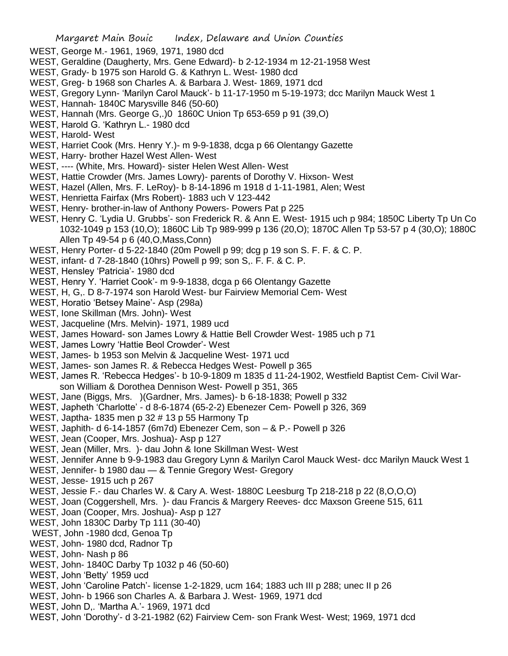- WEST, George M.- 1961, 1969, 1971, 1980 dcd
- WEST, Geraldine (Daugherty, Mrs. Gene Edward)- b 2-12-1934 m 12-21-1958 West
- WEST, Grady- b 1975 son Harold G. & Kathryn L. West- 1980 dcd
- WEST, Greg- b 1968 son Charles A. & Barbara J. West- 1869, 1971 dcd
- WEST, Gregory Lynn- 'Marilyn Carol Mauck'- b 11-17-1950 m 5-19-1973; dcc Marilyn Mauck West 1
- WEST, Hannah- 1840C Marysville 846 (50-60)
- WEST, Hannah (Mrs. George G,.)0 1860C Union Tp 653-659 p 91 (39,O)
- WEST, Harold G. 'Kathryn L.- 1980 dcd
- WEST, Harold- West
- WEST, Harriet Cook (Mrs. Henry Y.)- m 9-9-1838, dcga p 66 Olentangy Gazette
- WEST, Harry- brother Hazel West Allen- West
- WEST, ---- (White, Mrs. Howard)- sister Helen West Allen- West
- WEST, Hattie Crowder (Mrs. James Lowry)- parents of Dorothy V. Hixson- West
- WEST, Hazel (Allen, Mrs. F. LeRoy)- b 8-14-1896 m 1918 d 1-11-1981, Alen; West
- WEST, Henrietta Fairfax (Mrs Robert)- 1883 uch V 123-442
- WEST, Henry- brother-in-law of Anthony Powers- Powers Pat p 225
- WEST, Henry C. 'Lydia U. Grubbs'- son Frederick R. & Ann E. West- 1915 uch p 984; 1850C Liberty Tp Un Co 1032-1049 p 153 (10,O); 1860C Lib Tp 989-999 p 136 (20,O); 1870C Allen Tp 53-57 p 4 (30,O); 1880C Allen Tp 49-54 p 6 (40,O,Mass,Conn)
- WEST, Henry Porter- d 5-22-1840 (20m Powell p 99; dcg p 19 son S. F. F. & C. P.
- WEST, infant- d 7-28-1840 (10hrs) Powell p 99; son S,. F. F. & C. P.
- WEST, Hensley 'Patricia'- 1980 dcd
- WEST, Henry Y. 'Harriet Cook'- m 9-9-1838, dcga p 66 Olentangy Gazette
- WEST, H, G,. D 8-7-1974 son Harold West- bur Fairview Memorial Cem- West
- WEST, Horatio 'Betsey Maine'- Asp (298a)
- WEST, Ione Skillman (Mrs. John)- West
- WEST, Jacqueline (Mrs. Melvin)- 1971, 1989 ucd
- WEST, James Howard- son James Lowry & Hattie Bell Crowder West- 1985 uch p 71
- WEST, James Lowry 'Hattie Beol Crowder'- West
- WEST, James- b 1953 son Melvin & Jacqueline West- 1971 ucd
- WEST, James- son James R. & Rebecca Hedges West- Powell p 365
- WEST, James R. 'Rebecca Hedges'- b 10-9-1809 m 1835 d 11-24-1902, Westfield Baptist Cem- Civil Warson William & Dorothea Dennison West- Powell p 351, 365
- WEST, Jane (Biggs, Mrs. )(Gardner, Mrs. James)- b 6-18-1838; Powell p 332
- WEST, Japheth 'Charlotte' d 8-6-1874 (65-2-2) Ebenezer Cem- Powell p 326, 369
- WEST, Japtha- 1835 men p 32 # 13 p 55 Harmony Tp
- WEST, Japhith- d 6-14-1857 (6m7d) Ebenezer Cem, son & P.- Powell p 326
- WEST, Jean (Cooper, Mrs. Joshua)- Asp p 127
- WEST, Jean (Miller, Mrs. )- dau John & Ione Skillman West- West
- WEST, Jennifer Anne b 9-9-1983 dau Gregory Lynn & Marilyn Carol Mauck West- dcc Marilyn Mauck West 1
- WEST, Jennifer- b 1980 dau & Tennie Gregory West- Gregory
- WEST, Jesse- 1915 uch p 267
- WEST, Jessie F.- dau Charles W. & Cary A. West- 1880C Leesburg Tp 218-218 p 22 (8,O,O,O)
- WEST, Joan (Coggershell, Mrs. )- dau Francis & Margery Reeves- dcc Maxson Greene 515, 611
- WEST, Joan (Cooper, Mrs. Joshua)- Asp p 127
- WEST, John 1830C Darby Tp 111 (30-40)
- WEST, John -1980 dcd, Genoa Tp
- WEST, John- 1980 dcd, Radnor Tp
- WEST, John- Nash p 86
- WEST, John- 1840C Darby Tp 1032 p 46 (50-60)
- WEST, John 'Betty' 1959 ucd
- WEST, John 'Caroline Patch'- license 1-2-1829, ucm 164; 1883 uch III p 288; unec II p 26
- WEST, John- b 1966 son Charles A. & Barbara J. West- 1969, 1971 dcd
- WEST, John D,. 'Martha A.'- 1969, 1971 dcd
- WEST, John 'Dorothy'- d 3-21-1982 (62) Fairview Cem- son Frank West- West; 1969, 1971 dcd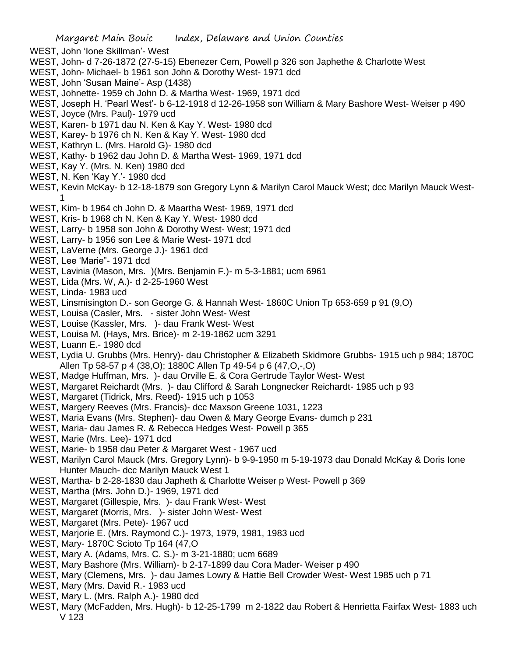- WEST, John 'Ione Skillman'- West
- WEST, John- d 7-26-1872 (27-5-15) Ebenezer Cem, Powell p 326 son Japhethe & Charlotte West
- WEST, John- Michael- b 1961 son John & Dorothy West- 1971 dcd
- WEST, John 'Susan Maine'- Asp (1438)
- WEST, Johnette- 1959 ch John D. & Martha West- 1969, 1971 dcd
- WEST, Joseph H. 'Pearl West'- b 6-12-1918 d 12-26-1958 son William & Mary Bashore West- Weiser p 490
- WEST, Joyce (Mrs. Paul)- 1979 ucd
- WEST, Karen- b 1971 dau N. Ken & Kay Y. West- 1980 dcd
- WEST, Karey- b 1976 ch N. Ken & Kay Y. West- 1980 dcd
- WEST, Kathryn L. (Mrs. Harold G)- 1980 dcd
- WEST, Kathy- b 1962 dau John D. & Martha West- 1969, 1971 dcd
- WEST, Kay Y. (Mrs. N. Ken) 1980 dcd
- WEST, N. Ken 'Kay Y.'- 1980 dcd
- WEST, Kevin McKay- b 12-18-1879 son Gregory Lynn & Marilyn Carol Mauck West; dcc Marilyn Mauck West-1
- WEST, Kim- b 1964 ch John D. & Maartha West- 1969, 1971 dcd
- WEST, Kris- b 1968 ch N. Ken & Kay Y. West- 1980 dcd
- WEST, Larry- b 1958 son John & Dorothy West- West; 1971 dcd
- WEST, Larry- b 1956 son Lee & Marie West- 1971 dcd
- WEST, LaVerne (Mrs. George J.)- 1961 dcd
- WEST, Lee 'Marie"- 1971 dcd
- WEST, Lavinia (Mason, Mrs. )(Mrs. Benjamin F.)- m 5-3-1881; ucm 6961
- WEST, Lida (Mrs. W, A.)- d 2-25-1960 West
- WEST, Linda- 1983 ucd
- WEST, Linsmisington D.- son George G. & Hannah West- 1860C Union Tp 653-659 p 91 (9,O)
- WEST, Louisa (Casler, Mrs. sister John West- West
- WEST, Louise (Kassler, Mrs. )- dau Frank West- West
- WEST, Louisa M. (Hays, Mrs. Brice)- m 2-19-1862 ucm 3291
- WEST, Luann E.- 1980 dcd
- WEST, Lydia U. Grubbs (Mrs. Henry)- dau Christopher & Elizabeth Skidmore Grubbs- 1915 uch p 984; 1870C Allen Tp 58-57 p 4 (38,O); 1880C Allen Tp 49-54 p 6 (47,O,-,O)
- WEST, Madge Huffman, Mrs. )- dau Orville E. & Cora Gertrude Taylor West- West
- WEST, Margaret Reichardt (Mrs. )- dau Clifford & Sarah Longnecker Reichardt- 1985 uch p 93
- WEST, Margaret (Tidrick, Mrs. Reed)- 1915 uch p 1053
- WEST, Margery Reeves (Mrs. Francis)- dcc Maxson Greene 1031, 1223
- WEST, Maria Evans (Mrs. Stephen)- dau Owen & Mary George Evans- dumch p 231
- WEST, Maria- dau James R. & Rebecca Hedges West- Powell p 365
- WEST, Marie (Mrs. Lee)- 1971 dcd
- WEST, Marie- b 1958 dau Peter & Margaret West 1967 ucd
- WEST, Marilyn Carol Mauck (Mrs. Gregory Lynn)- b 9-9-1950 m 5-19-1973 dau Donald McKay & Doris Ione Hunter Mauch- dcc Marilyn Mauck West 1
- WEST, Martha- b 2-28-1830 dau Japheth & Charlotte Weiser p West- Powell p 369
- WEST, Martha (Mrs. John D.)- 1969, 1971 dcd
- WEST, Margaret (Gillespie, Mrs. )- dau Frank West- West
- WEST, Margaret (Morris, Mrs. )- sister John West- West
- WEST, Margaret (Mrs. Pete)- 1967 ucd
- WEST, Marjorie E. (Mrs. Raymond C.)- 1973, 1979, 1981, 1983 ucd
- WEST, Mary- 1870C Scioto Tp 164 (47,O
- WEST, Mary A. (Adams, Mrs. C. S.)- m 3-21-1880; ucm 6689
- WEST, Mary Bashore (Mrs. William)- b 2-17-1899 dau Cora Mader- Weiser p 490
- WEST, Mary (Clemens, Mrs. )- dau James Lowry & Hattie Bell Crowder West- West 1985 uch p 71
- WEST, Mary (Mrs. David R.- 1983 ucd
- WEST, Mary L. (Mrs. Ralph A.)- 1980 dcd
- WEST, Mary (McFadden, Mrs. Hugh)- b 12-25-1799 m 2-1822 dau Robert & Henrietta Fairfax West- 1883 uch V 123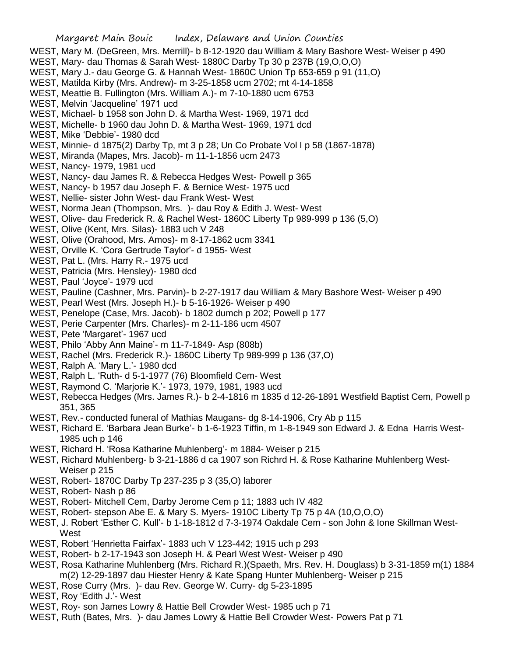- WEST, Meattie B. Fullington (Mrs. William A.)- m 7-10-1880 ucm 6753
- WEST, Melvin 'Jacqueline' 1971 ucd
- WEST, Michael- b 1958 son John D. & Martha West- 1969, 1971 dcd
- WEST, Michelle- b 1960 dau John D. & Martha West- 1969, 1971 dcd
- WEST, Mike 'Debbie'- 1980 dcd
- WEST, Minnie- d 1875(2) Darby Tp, mt 3 p 28; Un Co Probate Vol I p 58 (1867-1878)
- WEST, Miranda (Mapes, Mrs. Jacob)- m 11-1-1856 ucm 2473
- WEST, Nancy- 1979, 1981 ucd
- WEST, Nancy- dau James R. & Rebecca Hedges West- Powell p 365
- WEST, Nancy- b 1957 dau Joseph F. & Bernice West- 1975 ucd
- WEST, Nellie- sister John West- dau Frank West- West
- WEST, Norma Jean (Thompson, Mrs. )- dau Roy & Edith J. West- West
- WEST, Olive- dau Frederick R. & Rachel West- 1860C Liberty Tp 989-999 p 136 (5,O)
- WEST, Olive (Kent, Mrs. Silas)- 1883 uch V 248
- WEST, Olive (Orahood, Mrs. Amos)- m 8-17-1862 ucm 3341
- WEST, Orville K. 'Cora Gertrude Taylor'- d 1955- West
- WEST, Pat L. (Mrs. Harry R.- 1975 ucd
- WEST, Patricia (Mrs. Hensley)- 1980 dcd
- WEST, Paul 'Joyce'- 1979 ucd
- WEST, Pauline (Cashner, Mrs. Parvin)- b 2-27-1917 dau William & Mary Bashore West- Weiser p 490
- WEST, Pearl West (Mrs. Joseph H.)- b 5-16-1926- Weiser p 490
- WEST, Penelope (Case, Mrs. Jacob)- b 1802 dumch p 202; Powell p 177
- WEST, Perie Carpenter (Mrs. Charles)- m 2-11-186 ucm 4507
- WEST, Pete 'Margaret'- 1967 ucd
- WEST, Philo 'Abby Ann Maine'- m 11-7-1849- Asp (808b)
- WEST, Rachel (Mrs. Frederick R.)- 1860C Liberty Tp 989-999 p 136 (37,O)
- WEST, Ralph A. 'Mary L.'- 1980 dcd
- WEST, Ralph L. 'Ruth- d 5-1-1977 (76) Bloomfield Cem- West
- WEST, Raymond C. 'Marjorie K.'- 1973, 1979, 1981, 1983 ucd
- WEST, Rebecca Hedges (Mrs. James R.)- b 2-4-1816 m 1835 d 12-26-1891 Westfield Baptist Cem, Powell p 351, 365
- WEST, Rev.- conducted funeral of Mathias Maugans- dg 8-14-1906, Cry Ab p 115
- WEST, Richard E. 'Barbara Jean Burke'- b 1-6-1923 Tiffin, m 1-8-1949 son Edward J. & Edna Harris West-1985 uch p 146
- WEST, Richard H. 'Rosa Katharine Muhlenberg'- m 1884- Weiser p 215
- WEST, Richard Muhlenberg- b 3-21-1886 d ca 1907 son Richrd H. & Rose Katharine Muhlenberg West-Weiser p 215
- WEST, Robert- 1870C Darby Tp 237-235 p 3 (35,O) laborer
- WEST, Robert- Nash p 86
- WEST, Robert- Mitchell Cem, Darby Jerome Cem p 11; 1883 uch IV 482
- WEST, Robert- stepson Abe E. & Mary S. Myers- 1910C Liberty Tp 75 p 4A (10,O,O,O)
- WEST, J. Robert 'Esther C. Kull'- b 1-18-1812 d 7-3-1974 Oakdale Cem son John & Ione Skillman West-**West**
- WEST, Robert 'Henrietta Fairfax'- 1883 uch V 123-442; 1915 uch p 293
- WEST, Robert- b 2-17-1943 son Joseph H. & Pearl West West- Weiser p 490
- WEST, Rosa Katharine Muhlenberg (Mrs. Richard R.)(Spaeth, Mrs. Rev. H. Douglass) b 3-31-1859 m(1) 1884 m(2) 12-29-1897 dau Hiester Henry & Kate Spang Hunter Muhlenberg- Weiser p 215
- WEST, Rose Curry (Mrs. )- dau Rev. George W. Curry- dg 5-23-1895
- WEST, Roy 'Edith J.'- West
- WEST, Roy- son James Lowry & Hattie Bell Crowder West- 1985 uch p 71
- WEST, Ruth (Bates, Mrs. )- dau James Lowry & Hattie Bell Crowder West- Powers Pat p 71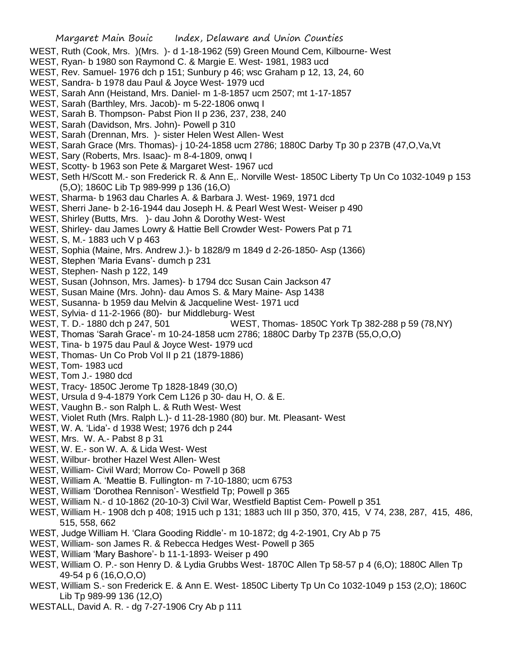- WEST, Ruth (Cook, Mrs. )(Mrs. )- d 1-18-1962 (59) Green Mound Cem, Kilbourne- West
- WEST, Ryan- b 1980 son Raymond C. & Margie E. West- 1981, 1983 ucd
- WEST, Rev. Samuel- 1976 dch p 151; Sunbury p 46; wsc Graham p 12, 13, 24, 60
- WEST, Sandra- b 1978 dau Paul & Joyce West- 1979 ucd
- WEST, Sarah Ann (Heistand, Mrs. Daniel- m 1-8-1857 ucm 2507; mt 1-17-1857
- WEST, Sarah (Barthley, Mrs. Jacob)- m 5-22-1806 onwq I
- WEST, Sarah B. Thompson- Pabst Pion II p 236, 237, 238, 240
- WEST, Sarah (Davidson, Mrs. John)- Powell p 310
- WEST, Sarah (Drennan, Mrs. )- sister Helen West Allen- West
- WEST, Sarah Grace (Mrs. Thomas)- j 10-24-1858 ucm 2786; 1880C Darby Tp 30 p 237B (47,O,Va,Vt
- WEST, Sary (Roberts, Mrs. Isaac)- m 8-4-1809, onwq I
- WEST, Scotty- b 1963 son Pete & Margaret West- 1967 ucd
- WEST, Seth H/Scott M.- son Frederick R. & Ann E,. Norville West- 1850C Liberty Tp Un Co 1032-1049 p 153 (5,O); 1860C Lib Tp 989-999 p 136 (16,O)
- WEST, Sharma- b 1963 dau Charles A. & Barbara J. West- 1969, 1971 dcd
- WEST, Sherri Jane- b 2-16-1944 dau Joseph H. & Pearl West West- Weiser p 490
- WEST, Shirley (Butts, Mrs. )- dau John & Dorothy West- West
- WEST, Shirley- dau James Lowry & Hattie Bell Crowder West- Powers Pat p 71
- WEST, S, M.- 1883 uch V p 463
- WEST, Sophia (Maine, Mrs. Andrew J.)- b 1828/9 m 1849 d 2-26-1850- Asp (1366)
- WEST, Stephen 'Maria Evans'- dumch p 231
- WEST, Stephen- Nash p 122, 149
- WEST, Susan (Johnson, Mrs. James)- b 1794 dcc Susan Cain Jackson 47
- WEST, Susan Maine (Mrs. John)- dau Amos S. & Mary Maine- Asp 1438
- WEST, Susanna- b 1959 dau Melvin & Jacqueline West- 1971 ucd
- WEST, Sylvia- d 11-2-1966 (80)- bur Middleburg- West
- WEST, T. D.- 1880 dch p 247, 501 WEST, Thomas- 1850C York Tp 382-288 p 59 (78,NY)
- WEST, Thomas 'Sarah Grace'- m 10-24-1858 ucm 2786; 1880C Darby Tp 237B (55,O,O,O)
- WEST, Tina- b 1975 dau Paul & Joyce West- 1979 ucd
- WEST, Thomas- Un Co Prob Vol II p 21 (1879-1886)
- WEST, Tom- 1983 ucd
- WEST, Tom J.- 1980 dcd
- WEST, Tracy- 1850C Jerome Tp 1828-1849 (30,O)
- WEST, Ursula d 9-4-1879 York Cem L126 p 30- dau H, O. & E.
- WEST, Vaughn B.- son Ralph L. & Ruth West- West
- WEST, Violet Ruth (Mrs. Ralph L.)- d 11-28-1980 (80) bur. Mt. Pleasant- West
- WEST, W. A. 'Lida'- d 1938 West; 1976 dch p 244
- WEST, Mrs. W. A.- Pabst 8 p 31
- WEST, W. E.- son W. A. & Lida West- West
- WEST, Wilbur- brother Hazel West Allen- West
- WEST, William- Civil Ward; Morrow Co- Powell p 368
- WEST, William A. 'Meattie B. Fullington- m 7-10-1880; ucm 6753
- WEST, William 'Dorothea Rennison'- Westfield Tp; Powell p 365
- WEST, William N.- d 10-1862 (20-10-3) Civil War, Westfield Baptist Cem- Powell p 351
- WEST, William H.- 1908 dch p 408; 1915 uch p 131; 1883 uch III p 350, 370, 415, V 74, 238, 287, 415, 486, 515, 558, 662
- WEST, Judge William H. 'Clara Gooding Riddle'- m 10-1872; dg 4-2-1901, Cry Ab p 75
- WEST, William- son James R. & Rebecca Hedges West- Powell p 365
- WEST, William 'Mary Bashore'- b 11-1-1893- Weiser p 490
- WEST, William O. P.- son Henry D. & Lydia Grubbs West- 1870C Allen Tp 58-57 p 4 (6,O); 1880C Allen Tp 49-54 p 6 (16,O,O,O)
- WEST, William S.- son Frederick E. & Ann E. West- 1850C Liberty Tp Un Co 1032-1049 p 153 (2,O); 1860C Lib Tp 989-99 136 (12,O)
- WESTALL, David A. R. dg 7-27-1906 Cry Ab p 111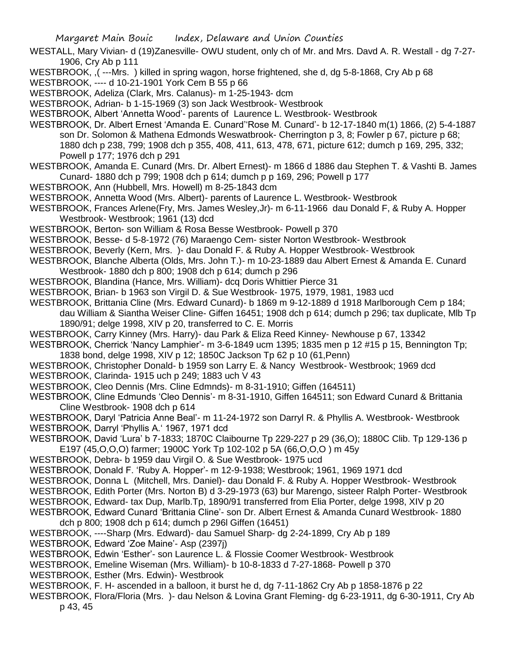WESTALL, Mary Vivian- d (19)Zanesville- OWU student, only ch of Mr. and Mrs. Davd A. R. Westall - dg 7-27- 1906, Cry Ab p 111

WESTBROOK, ,( ---Mrs. ) killed in spring wagon, horse frightened, she d, dg 5-8-1868, Cry Ab p 68

WESTBROOK, ---- d 10-21-1901 York Cem B 55 p 66

WESTBROOK, Adeliza (Clark, Mrs. Calanus)- m 1-25-1943- dcm

WESTBROOK, Adrian- b 1-15-1969 (3) son Jack Westbrook- Westbrook

- WESTBROOK, Albert 'Annetta Wood'- parents of Laurence L. Westbrook- Westbrook
- WESTBROOK, Dr. Albert Ernest 'Amanda E. Cunard''Rose M. Cunard'- b 12-17-1840 m(1) 1866, (2) 5-4-1887 son Dr. Solomon & Mathena Edmonds Weswatbrook- Cherrington p 3, 8; Fowler p 67, picture p 68; 1880 dch p 238, 799; 1908 dch p 355, 408, 411, 613, 478, 671, picture 612; dumch p 169, 295, 332; Powell p 177; 1976 dch p 291
- WESTBROOK, Amanda E. Cunard (Mrs. Dr. Albert Ernest)- m 1866 d 1886 dau Stephen T. & Vashti B. James Cunard- 1880 dch p 799; 1908 dch p 614; dumch p p 169, 296; Powell p 177
- WESTBROOK, Ann (Hubbell, Mrs. Howell) m 8-25-1843 dcm
- WESTBROOK, Annetta Wood (Mrs. Albert)- parents of Laurence L. Westbrook- Westbrook
- WESTBROOK, Frances Arlene(Fry, Mrs. James Wesley,Jr)- m 6-11-1966 dau Donald F, & Ruby A. Hopper Westbrook- Westbrook; 1961 (13) dcd
- WESTBROOK, Berton- son William & Rosa Besse Westbrook- Powell p 370
- WESTBROOK, Besse- d 5-8-1972 (76) Maraengo Cem- sister Norton Westbrook- Westbrook
- WESTBROOK, Beverly (Kern, Mrs. )- dau Donald F. & Ruby A. Hopper Westbrook- Westbrook
- WESTBROOK, Blanche Alberta (Olds, Mrs. John T.)- m 10-23-1889 dau Albert Ernest & Amanda E. Cunard Westbrook- 1880 dch p 800; 1908 dch p 614; dumch p 296
- WESTBROOK, Blandina (Hance, Mrs. William)- dcq Doris Whittier Pierce 31
- WESTBROOK, Brian- b 1963 son Virgil D. & Sue Westbrook- 1975, 1979, 1981, 1983 ucd
- WESTBROOK, Brittania Cline (Mrs. Edward Cunard)- b 1869 m 9-12-1889 d 1918 Marlborough Cem p 184; dau William & Siantha Weiser Cline- Giffen 16451; 1908 dch p 614; dumch p 296; tax duplicate, Mlb Tp 1890/91; delge 1998, XIV p 20, transferred to C. E. Morris
- WESTBROOK, Carry Kinney (Mrs. Harry)- dau Park & Eliza Reed Kinney- Newhouse p 67, 13342
- WESTBROOK, Cherrick 'Nancy Lamphier'- m 3-6-1849 ucm 1395; 1835 men p 12 #15 p 15, Bennington Tp; 1838 bond, delge 1998, XIV p 12; 1850C Jackson Tp 62 p 10 (61,Penn)
- WESTBROOK, Christopher Donald- b 1959 son Larry E. & Nancy Westbrook- Westbrook; 1969 dcd
- WESTBROOK, Clarinda- 1915 uch p 249; 1883 uch V 43
- WESTBROOK, Cleo Dennis (Mrs. Cline Edmnds)- m 8-31-1910; Giffen (164511)
- WESTBROOK, Cline Edmunds 'Cleo Dennis'- m 8-31-1910, Giffen 164511; son Edward Cunard & Brittania Cline Westbrook- 1908 dch p 614
- WESTBROOK, Daryl 'Patricia Anne Beal'- m 11-24-1972 son Darryl R. & Phyllis A. Westbrook- Westbrook WESTBROOK, Darryl 'Phyllis A.' 1967, 1971 dcd
- WESTBROOK, David 'Lura' b 7-1833; 1870C Claibourne Tp 229-227 p 29 (36,O); 1880C Clib. Tp 129-136 p E197 (45,O,O,O) farmer; 1900C York Tp 102-102 p 5A (66,O,O,O ) m 45y
- WESTBROOK, Debra- b 1959 dau Virgil O. & Sue Westbrook- 1975 ucd
- WESTBROOK, Donald F. 'Ruby A. Hopper'- m 12-9-1938; Westbrook; 1961, 1969 1971 dcd
- WESTBROOK, Donna L (Mitchell, Mrs. Daniel)- dau Donald F. & Ruby A. Hopper Westbrook- Westbrook
- WESTBROOK, Edith Porter (Mrs. Norton B) d 3-29-1973 (63) bur Marengo, sisteer Ralph Porter- Westbrook
- WESTBROOK, Edward- tax Dup, Marlb.Tp, 1890/91 transferred from Elia Porter, delge 1998, XIV p 20
- WESTBROOK, Edward Cunard 'Brittania Cline'- son Dr. Albert Ernest & Amanda Cunard Westbrook- 1880 dch p 800; 1908 dch p 614; dumch p 296l Giffen (16451)
- WESTBROOK, ----Sharp (Mrs. Edward)- dau Samuel Sharp- dg 2-24-1899, Cry Ab p 189
- WESTBROOK, Edward 'Zoe Maine'- Asp (2397j)
- WESTBROOK, Edwin 'Esther'- son Laurence L. & Flossie Coomer Westbrook- Westbrook
- WESTBROOK, Emeline Wiseman (Mrs. William)- b 10-8-1833 d 7-27-1868- Powell p 370
- WESTBROOK, Esther (Mrs. Edwin)- Westbrook
- WESTBROOK, F. H- ascended in a balloon, it burst he d, dg 7-11-1862 Cry Ab p 1858-1876 p 22
- WESTBROOK, Flora/Floria (Mrs. )- dau Nelson & Lovina Grant Fleming- dg 6-23-1911, dg 6-30-1911, Cry Ab p 43, 45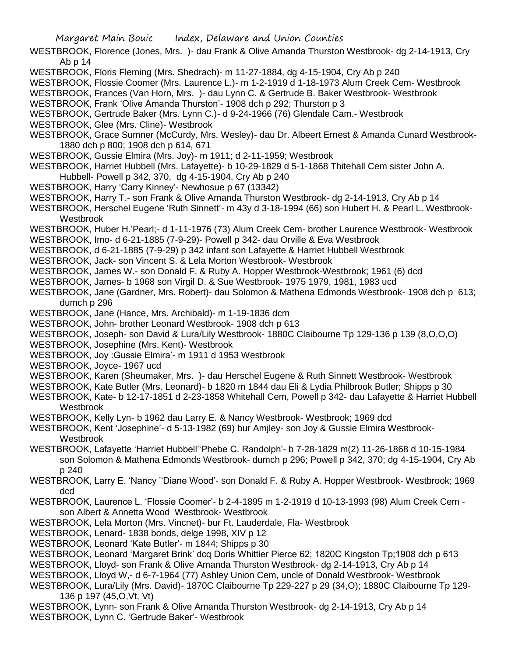WESTBROOK, Florence (Jones, Mrs. )- dau Frank & Olive Amanda Thurston Westbrook- dg 2-14-1913, Cry Ab p 14

WESTBROOK, Floris Fleming (Mrs. Shedrach)- m 11-27-1884, dg 4-15-1904, Cry Ab p 240

WESTBROOK, Flossie Coomer (Mrs. Laurence L.)- m 1-2-1919 d 1-18-1973 Alum Creek Cem- Westbrook

WESTBROOK, Frances (Van Horn, Mrs. )- dau Lynn C. & Gertrude B. Baker Westbrook- Westbrook

WESTBROOK, Frank 'Olive Amanda Thurston'- 1908 dch p 292; Thurston p 3

WESTBROOK, Gertrude Baker (Mrs. Lynn C.)- d 9-24-1966 (76) Glendale Cam.- Westbrook

WESTBROOK, Glee (Mrs. Cline)- Westbrook

WESTBROOK, Grace Sumner (McCurdy, Mrs. Wesley)- dau Dr. Albeert Ernest & Amanda Cunard Westbrook-1880 dch p 800; 1908 dch p 614, 671

WESTBROOK, Gussie Elmira (Mrs. Joy)- m 1911; d 2-11-1959; Westbrook

WESTBROOK, Harriet Hubbell (Mrs. Lafayette)- b 10-29-1829 d 5-1-1868 Thitehall Cem sister John A. Hubbell- Powell p 342, 370, dg 4-15-1904, Cry Ab p 240

- WESTBROOK, Harry 'Carry Kinney'- Newhosue p 67 (13342)
- WESTBROOK, Harry T.- son Frank & Olive Amanda Thurston Westbrook- dg 2-14-1913, Cry Ab p 14

WESTBROOK, Herschel Eugene 'Ruth Sinnett'- m 43y d 3-18-1994 (66) son Hubert H. & Pearl L. Westbrook-Westbrook

WESTBROOK, Huber H.'Pearl;- d 1-11-1976 (73) Alum Creek Cem- brother Laurence Westbrook- Westbrook

- WESTBROOK, Imo- d 6-21-1885 (7-9-29)- Powell p 342- dau Orville & Eva Westbrook
- WESTBROOK, d 6-21-1885 (7-9-29) p 342 infant son Lafayette & Harriet Hubbell Westbrook
- WESTBROOK, Jack- son Vincent S. & Lela Morton Westbrook- Westbrook
- WESTBROOK, James W.- son Donald F. & Ruby A. Hopper Westbrook-Westbrook; 1961 (6) dcd
- WESTBROOK, James- b 1968 son Virgil D. & Sue Westbrook- 1975 1979, 1981, 1983 ucd

WESTBROOK, Jane (Gardner, Mrs. Robert)- dau Solomon & Mathena Edmonds Westbrook- 1908 dch p 613; dumch p 296

- WESTBROOK, Jane (Hance, Mrs. Archibald)- m 1-19-1836 dcm
- WESTBROOK, John- brother Leonard Westbrook- 1908 dch p 613

WESTBROOK, Joseph- son David & Lura/Lily Westbrook- 1880C Claibourne Tp 129-136 p 139 (8,O,O,O)

- WESTBROOK, Josephine (Mrs. Kent)- Westbrook
- WESTBROOK, Joy :Gussie Elmira'- m 1911 d 1953 Westbrook
- WESTBROOK, Joyce- 1967 ucd
- WESTBROOK, Karen (Sheumaker, Mrs. )- dau Herschel Eugene & Ruth Sinnett Westbrook- Westbrook
- WESTBROOK, Kate Butler (Mrs. Leonard)- b 1820 m 1844 dau Eli & Lydia Philbrook Butler; Shipps p 30
- WESTBROOK, Kate- b 12-17-1851 d 2-23-1858 Whitehall Cem, Powell p 342- dau Lafayette & Harriet Hubbell **Westbrook**

WESTBROOK, Kelly Lyn- b 1962 dau Larry E. & Nancy Westbrook- Westbrook; 1969 dcd

WESTBROOK, Kent 'Josephine'- d 5-13-1982 (69) bur Amjley- son Joy & Gussie Elmira Westbrook-Westbrook

WESTBROOK, Lafayette 'Harriet Hubbell''Phebe C. Randolph'- b 7-28-1829 m(2) 11-26-1868 d 10-15-1984 son Solomon & Mathena Edmonds Westbrook- dumch p 296; Powell p 342, 370; dg 4-15-1904, Cry Ab p 240

- WESTBROOK, Larry E. 'Nancy ''Diane Wood'- son Donald F. & Ruby A. Hopper Westbrook- Westbrook; 1969 dcd
- WESTBROOK, Laurence L. 'Flossie Coomer'- b 2-4-1895 m 1-2-1919 d 10-13-1993 (98) Alum Creek Cem son Albert & Annetta Wood Westbrook- Westbrook
- WESTBROOK, Lela Morton (Mrs. Vincnet)- bur Ft. Lauderdale, Fla- Westbrook

WESTBROOK, Lenard- 1838 bonds, delge 1998, XIV p 12

WESTBROOK, Leonard 'Kate Butler'- m 1844; Shipps p 30

WESTBROOK, Leonard 'Margaret Brink' dcq Doris Whittier Pierce 62; 1820C Kingston Tp;1908 dch p 613

WESTBROOK, Lloyd- son Frank & Olive Amanda Thurston Westbrook- dg 2-14-1913, Cry Ab p 14

WESTBROOK, Lloyd W,- d 6-7-1964 (77) Ashley Union Cem, uncle of Donald Westbrook- Westbrook

WESTBROOK, Lura/Lily (Mrs. David)- 1870C Claibourne Tp 229-227 p 29 (34,O); 1880C Claibourne Tp 129- 136 p 197 (45,O,Vt, Vt)

WESTBROOK, Lynn- son Frank & Olive Amanda Thurston Westbrook- dg 2-14-1913, Cry Ab p 14 WESTBROOK, Lynn C. 'Gertrude Baker'- Westbrook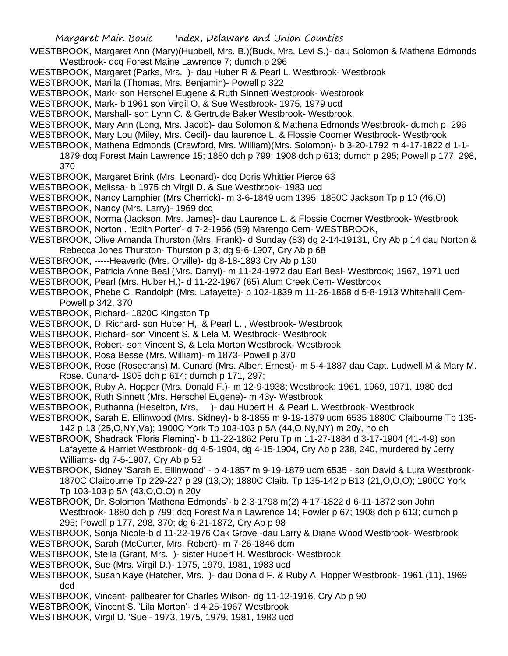- Margaret Main Bouic Index, Delaware and Union Counties WESTBROOK, Margaret Ann (Mary)(Hubbell, Mrs. B.)(Buck, Mrs. Levi S.)- dau Solomon & Mathena Edmonds Westbrook- dcq Forest Maine Lawrence 7; dumch p 296 WESTBROOK, Margaret (Parks, Mrs. )- dau Huber R & Pearl L. Westbrook- Westbrook WESTBROOK, Marilla (Thomas, Mrs. Benjamin)- Powell p 322 WESTBROOK, Mark- son Herschel Eugene & Ruth Sinnett Westbrook- Westbrook WESTBROOK, Mark- b 1961 son Virgil O, & Sue Westbrook- 1975, 1979 ucd WESTBROOK, Marshall- son Lynn C. & Gertrude Baker Westbrook- Westbrook WESTBROOK, Mary Ann (Long, Mrs. Jacob)- dau Solomon & Mathena Edmonds Westbrook- dumch p 296 WESTBROOK, Mary Lou (Miley, Mrs. Cecil)- dau laurence L. & Flossie Coomer Westbrook- Westbrook WESTBROOK, Mathena Edmonds (Crawford, Mrs. William)(Mrs. Solomon)- b 3-20-1792 m 4-17-1822 d 1-1- 1879 dcq Forest Main Lawrence 15; 1880 dch p 799; 1908 dch p 613; dumch p 295; Powell p 177, 298, 370 WESTBROOK, Margaret Brink (Mrs. Leonard)- dcq Doris Whittier Pierce 63 WESTBROOK, Melissa- b 1975 ch Virgil D. & Sue Westbrook- 1983 ucd WESTBROOK, Nancy Lamphier (Mrs Cherrick)- m 3-6-1849 ucm 1395; 1850C Jackson Tp p 10 (46,O) WESTBROOK, Nancy (Mrs. Larry)- 1969 dcd WESTBROOK, Norma (Jackson, Mrs. James)- dau Laurence L. & Flossie Coomer Westbrook- Westbrook WESTBROOK, Norton . 'Edith Porter'- d 7-2-1966 (59) Marengo Cem- WESTBROOK, WESTBROOK, Olive Amanda Thurston (Mrs. Frank)- d Sunday (83) dg 2-14-19131, Cry Ab p 14 dau Norton & Rebecca Jones Thurston- Thurston p 3; dg 9-6-1907, Cry Ab p 68 WESTBROOK, -----Heaverlo (Mrs. Orville)- dg 8-18-1893 Cry Ab p 130 WESTBROOK, Patricia Anne Beal (Mrs. Darryl)- m 11-24-1972 dau Earl Beal- Westbrook; 1967, 1971 ucd WESTBROOK, Pearl (Mrs. Huber H.)- d 11-22-1967 (65) Alum Creek Cem- Westbrook WESTBROOK, Phebe C. Randolph (Mrs. Lafayette)- b 102-1839 m 11-26-1868 d 5-8-1913 Whitehalll Cem-Powell p 342, 370 WESTBROOK, Richard- 1820C Kingston Tp WESTBROOK, D. Richard- son Huber H,. & Pearl L. , Westbrook- Westbrook WESTBROOK, Richard- son Vincent S. & Lela M. Westbrook- Westbrook WESTBROOK, Robert- son Vincent S, & Lela Morton Westbrook- Westbrook WESTBROOK, Rosa Besse (Mrs. William)- m 1873- Powell p 370
- WESTBROOK, Rose (Rosecrans) M. Cunard (Mrs. Albert Ernest)- m 5-4-1887 dau Capt. Ludwell M & Mary M. Rose. Cunard- 1908 dch p 614; dumch p 171, 297;
- WESTBROOK, Ruby A. Hopper (Mrs. Donald F.)- m 12-9-1938; Westbrook; 1961, 1969, 1971, 1980 dcd
- WESTBROOK, Ruth Sinnett (Mrs. Herschel Eugene)- m 43y- Westbrook
- WESTBROOK, Ruthanna (Heselton, Mrs, )- dau Hubert H. & Pearl L. Westbrook- Westbrook
- WESTBROOK, Sarah E. Ellinwood (Mrs. Sidney)- b 8-1855 m 9-19-1879 ucm 6535 1880C Claibourne Tp 135- 142 p 13 (25,O,NY,Va); 1900C York Tp 103-103 p 5A (44,O,Ny,NY) m 20y, no ch
- WESTBROOK, Shadrack 'Floris Fleming'- b 11-22-1862 Peru Tp m 11-27-1884 d 3-17-1904 (41-4-9) son Lafayette & Harriet Westbrook- dg 4-5-1904, dg 4-15-1904, Cry Ab p 238, 240, murdered by Jerry Williams- dg 7-5-1907, Cry Ab p 52
- WESTBROOK, Sidney 'Sarah E. Ellinwood' b 4-1857 m 9-19-1879 ucm 6535 son David & Lura Westbrook-1870C Claibourne Tp 229-227 p 29 (13,O); 1880C Claib. Tp 135-142 p B13 (21,O,O,O); 1900C York Tp 103-103 p 5A (43,O,O,O) n 20y
- WESTBROOK, Dr. Solomon 'Mathena Edmonds'- b 2-3-1798 m(2) 4-17-1822 d 6-11-1872 son John Westbrook- 1880 dch p 799; dcq Forest Main Lawrence 14; Fowler p 67; 1908 dch p 613; dumch p 295; Powell p 177, 298, 370; dg 6-21-1872, Cry Ab p 98
- WESTBROOK, Sonja Nicole-b d 11-22-1976 Oak Grove -dau Larry & Diane Wood Westbrook- Westbrook
- WESTBROOK, Sarah (McCurter, Mrs. Robert)- m 7-26-1846 dcm
- WESTBROOK, Stella (Grant, Mrs. )- sister Hubert H. Westbrook- Westbrook
- WESTBROOK, Sue (Mrs. Virgil D.)- 1975, 1979, 1981, 1983 ucd
- WESTBROOK, Susan Kaye (Hatcher, Mrs. )- dau Donald F. & Ruby A. Hopper Westbrook- 1961 (11), 1969 dcd
- WESTBROOK, Vincent- pallbearer for Charles Wilson- dg 11-12-1916, Cry Ab p 90
- WESTBROOK, Vincent S. 'Lila Morton'- d 4-25-1967 Westbrook
- WESTBROOK, Virgil D. 'Sue'- 1973, 1975, 1979, 1981, 1983 ucd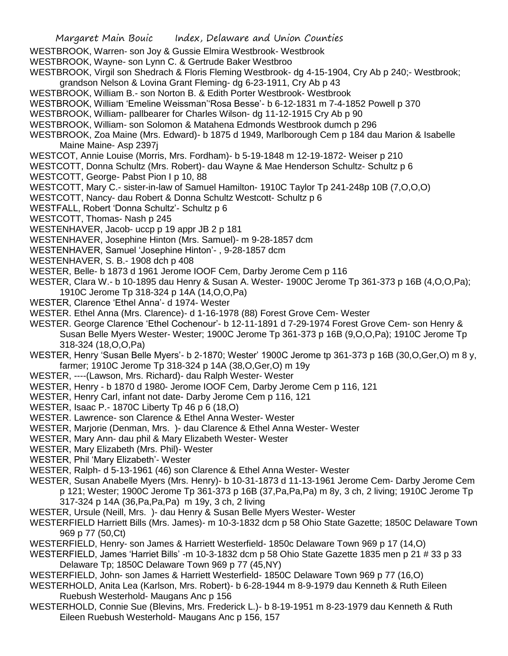- Margaret Main Bouic Index, Delaware and Union Counties WESTBROOK, Warren- son Joy & Gussie Elmira Westbrook- Westbrook WESTBROOK, Wayne- son Lynn C. & Gertrude Baker Westbroo WESTBROOK, Virgil son Shedrach & Floris Fleming Westbrook- dg 4-15-1904, Cry Ab p 240;- Westbrook; grandson Nelson & Lovina Grant Fleming- dg 6-23-1911, Cry Ab p 43 WESTBROOK, William B.- son Norton B. & Edith Porter Westbrook- Westbrook WESTBROOK, William 'Emeline Weissman''Rosa Besse'- b 6-12-1831 m 7-4-1852 Powell p 370 WESTBROOK, William- pallbearer for Charles Wilson- dg 11-12-1915 Cry Ab p 90 WESTBROOK, William- son Solomon & Matahena Edmonds Westbrook dumch p 296 WESTBROOK, Zoa Maine (Mrs. Edward)- b 1875 d 1949, Marlborough Cem p 184 dau Marion & Isabelle Maine Maine- Asp 2397j WESTCOT, Annie Louise (Morris, Mrs. Fordham)- b 5-19-1848 m 12-19-1872- Weiser p 210 WESTCOTT, Donna Schultz (Mrs. Robert)- dau Wayne & Mae Henderson Schultz- Schultz p 6 WESTCOTT, George- Pabst Pion I p 10, 88 WESTCOTT, Mary C.- sister-in-law of Samuel Hamilton- 1910C Taylor Tp 241-248p 10B (7,O,O,O) WESTCOTT, Nancy- dau Robert & Donna Schultz Westcott- Schultz p 6 WESTFALL, Robert 'Donna Schultz'- Schultz p 6 WESTCOTT, Thomas- Nash p 245 WESTENHAVER, Jacob- uccp p 19 appr JB 2 p 181 WESTENHAVER, Josephine Hinton (Mrs. Samuel)- m 9-28-1857 dcm WESTENHAVER, Samuel 'Josephine Hinton'- , 9-28-1857 dcm WESTENHAVER, S. B.- 1908 dch p 408 WESTER, Belle- b 1873 d 1961 Jerome IOOF Cem, Darby Jerome Cem p 116 WESTER, Clara W.- b 10-1895 dau Henry & Susan A. Wester- 1900C Jerome Tp 361-373 p 16B (4,O,O,Pa); 1910C Jerome Tp 318-324 p 14A (14,O,O,Pa) WESTER, Clarence 'Ethel Anna'- d 1974- Wester WESTER. Ethel Anna (Mrs. Clarence)- d 1-16-1978 (88) Forest Grove Cem- Wester WESTER. George Clarence 'Ethel Cochenour'- b 12-11-1891 d 7-29-1974 Forest Grove Cem- son Henry & Susan Belle Myers Wester- Wester; 1900C Jerome Tp 361-373 p 16B (9,O,O,Pa); 1910C Jerome Tp 318-324 (18,O,O,Pa) WESTER, Henry 'Susan Belle Myers'- b 2-1870; Wester' 1900C Jerome tp 361-373 p 16B (30,O,Ger,O) m 8 y, farmer; 1910C Jerome Tp 318-324 p 14A (38,O,Ger,O) m 19y WESTER, ----(Lawson, Mrs. Richard)- dau Ralph Wester- Wester WESTER, Henry - b 1870 d 1980- Jerome IOOF Cem, Darby Jerome Cem p 116, 121 WESTER, Henry Carl, infant not date- Darby Jerome Cem p 116, 121 WESTER, Isaac P.- 1870C Liberty Tp 46 p 6 (18,O) WESTER. Lawrence- son Clarence & Ethel Anna Wester- Wester WESTER, Marjorie (Denman, Mrs. )- dau Clarence & Ethel Anna Wester- Wester WESTER, Mary Ann- dau phil & Mary Elizabeth Wester- Wester WESTER, Mary Elizabeth (Mrs. Phil)- Wester WESTER, Phil 'Mary Elizabeth'- Wester WESTER, Ralph- d 5-13-1961 (46) son Clarence & Ethel Anna Wester- Wester WESTER, Susan Anabelle Myers (Mrs. Henry)- b 10-31-1873 d 11-13-1961 Jerome Cem- Darby Jerome Cem p 121; Wester; 1900C Jerome Tp 361-373 p 16B (37,Pa,Pa,Pa) m 8y, 3 ch, 2 living; 1910C Jerome Tp 317-324 p 14A (36,Pa,Pa,Pa) m 19y, 3 ch, 2 living WESTER, Ursule (Neill, Mrs. )- dau Henry & Susan Belle Myers Wester- Wester WESTERFIELD Harriett Bills (Mrs. James)- m 10-3-1832 dcm p 58 Ohio State Gazette; 1850C Delaware Town 969 p 77 (50,Ct) WESTERFIELD, Henry- son James & Harriett Westerfield- 1850c Delaware Town 969 p 17 (14,O) WESTERFIELD, James 'Harriet Bills' -m 10-3-1832 dcm p 58 Ohio State Gazette 1835 men p 21 # 33 p 33
- Delaware Tp; 1850C Delaware Town 969 p 77 (45,NY)
- WESTERFIELD, John- son James & Harriett Westerfield- 1850C Delaware Town 969 p 77 (16,O)
- WESTERHOLD, Anita Lea (Karlson, Mrs. Robert)- b 6-28-1944 m 8-9-1979 dau Kenneth & Ruth Eileen Ruebush Westerhold- Maugans Anc p 156
- WESTERHOLD, Connie Sue (Blevins, Mrs. Frederick L.)- b 8-19-1951 m 8-23-1979 dau Kenneth & Ruth Eileen Ruebush Westerhold- Maugans Anc p 156, 157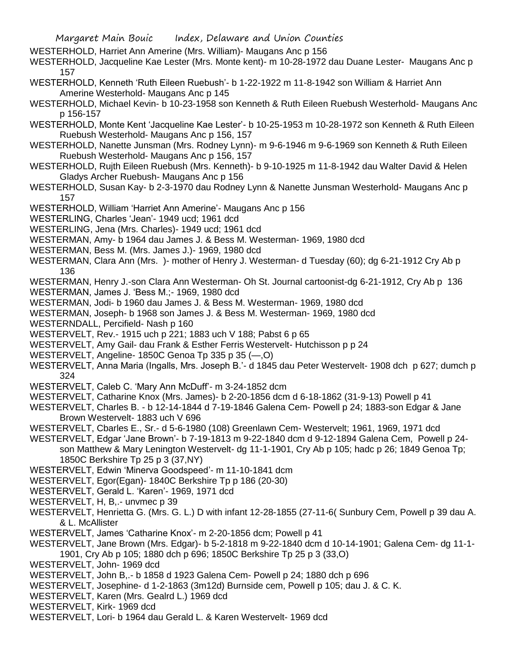- WESTERHOLD, Harriet Ann Amerine (Mrs. William)- Maugans Anc p 156
- WESTERHOLD, Jacqueline Kae Lester (Mrs. Monte kent)- m 10-28-1972 dau Duane Lester- Maugans Anc p 157
- WESTERHOLD, Kenneth 'Ruth Eileen Ruebush'- b 1-22-1922 m 11-8-1942 son William & Harriet Ann Amerine Westerhold- Maugans Anc p 145
- WESTERHOLD, Michael Kevin- b 10-23-1958 son Kenneth & Ruth Eileen Ruebush Westerhold- Maugans Anc p 156-157
- WESTERHOLD, Monte Kent 'Jacqueline Kae Lester'- b 10-25-1953 m 10-28-1972 son Kenneth & Ruth Eileen Ruebush Westerhold- Maugans Anc p 156, 157
- WESTERHOLD, Nanette Junsman (Mrs. Rodney Lynn)- m 9-6-1946 m 9-6-1969 son Kenneth & Ruth Eileen Ruebush Westerhold- Maugans Anc p 156, 157
- WESTERHOLD, Rujth Eileen Ruebush (Mrs. Kenneth)- b 9-10-1925 m 11-8-1942 dau Walter David & Helen Gladys Archer Ruebush- Maugans Anc p 156
- WESTERHOLD, Susan Kay- b 2-3-1970 dau Rodney Lynn & Nanette Junsman Westerhold- Maugans Anc p 157
- WESTERHOLD, William 'Harriet Ann Amerine'- Maugans Anc p 156
- WESTERLING, Charles 'Jean'- 1949 ucd; 1961 dcd
- WESTERLING, Jena (Mrs. Charles)- 1949 ucd; 1961 dcd
- WESTERMAN, Amy- b 1964 dau James J. & Bess M. Westerman- 1969, 1980 dcd
- WESTERMAN, Bess M. (Mrs. James J.)- 1969, 1980 dcd
- WESTERMAN, Clara Ann (Mrs. )- mother of Henry J. Westerman- d Tuesday (60); dg 6-21-1912 Cry Ab p 136
- WESTERMAN, Henry J.-son Clara Ann Westerman- Oh St. Journal cartoonist-dg 6-21-1912, Cry Ab p 136
- WESTERMAN, James J. 'Bess M.;- 1969, 1980 dcd
- WESTERMAN, Jodi- b 1960 dau James J. & Bess M. Westerman- 1969, 1980 dcd
- WESTERMAN, Joseph- b 1968 son James J. & Bess M. Westerman- 1969, 1980 dcd
- WESTERNDALL, Percifield- Nash p 160
- WESTERVELT, Rev.- 1915 uch p 221; 1883 uch V 188; Pabst 6 p 65
- WESTERVELT, Amy Gail- dau Frank & Esther Ferris Westervelt- Hutchisson p p 24
- WESTERVELT, Angeline- 1850C Genoa Tp 335 p 35 (—,O)
- WESTERVELT, Anna Maria (Ingalls, Mrs. Joseph B.'- d 1845 dau Peter Westervelt- 1908 dch p 627; dumch p 324
- WESTERVELT, Caleb C. 'Mary Ann McDuff'- m 3-24-1852 dcm
- WESTERVELT, Catharine Knox (Mrs. James)- b 2-20-1856 dcm d 6-18-1862 (31-9-13) Powell p 41
- WESTERVELT, Charles B. b 12-14-1844 d 7-19-1846 Galena Cem- Powell p 24; 1883-son Edgar & Jane Brown Westervelt- 1883 uch V 696
- WESTERVELT, Cbarles E., Sr.- d 5-6-1980 (108) Greenlawn Cem- Westervelt; 1961, 1969, 1971 dcd
- WESTERVELT, Edgar 'Jane Brown'- b 7-19-1813 m 9-22-1840 dcm d 9-12-1894 Galena Cem, Powell p 24 son Matthew & Mary Lenington Westervelt- dg 11-1-1901, Cry Ab p 105; hadc p 26; 1849 Genoa Tp; 1850C Berkshire Tp 25 p 3 (37,NY)
- WESTERVELT, Edwin 'Minerva Goodspeed'- m 11-10-1841 dcm
- WESTERVELT, Egor(Egan)- 1840C Berkshire Tp p 186 (20-30)
- WESTERVELT, Gerald L. 'Karen'- 1969, 1971 dcd
- WESTERVELT, H, B,.- unvmec p 39
- WESTERVELT, Henrietta G. (Mrs. G. L.) D with infant 12-28-1855 (27-11-6( Sunbury Cem, Powell p 39 dau A. & L. McAllister
- WESTERVELT, James 'Catharine Knox'- m 2-20-1856 dcm; Powell p 41
- WESTERVELT, Jane Brown (Mrs. Edgar)- b 5-2-1818 m 9-22-1840 dcm d 10-14-1901; Galena Cem- dg 11-1- 1901, Cry Ab p 105; 1880 dch p 696; 1850C Berkshire Tp 25 p 3 (33,O)
- WESTERVELT, John- 1969 dcd
- WESTERVELT, John B,.- b 1858 d 1923 Galena Cem- Powell p 24; 1880 dch p 696
- WESTERVELT, Josephine- d 1-2-1863 (3m12d) Burnside cem, Powell p 105; dau J. & C. K.
- WESTERVELT, Karen (Mrs. Gealrd L.) 1969 dcd
- WESTERVELT, Kirk- 1969 dcd
- WESTERVELT, Lori- b 1964 dau Gerald L. & Karen Westervelt- 1969 dcd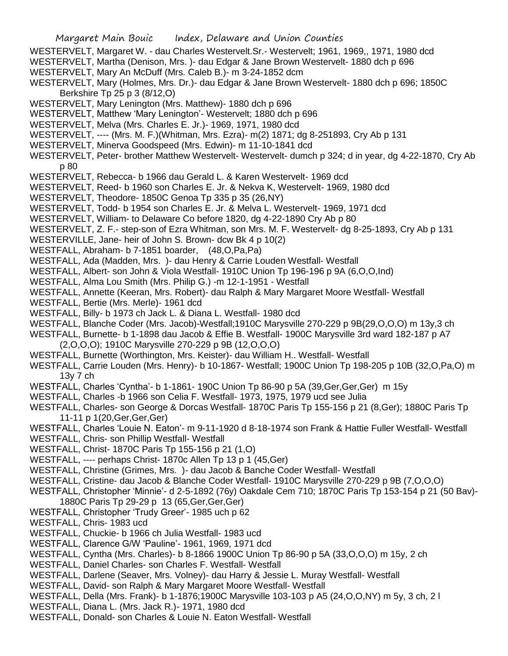- WESTERVELT, Margaret W. dau Charles Westervelt.Sr.- Westervelt; 1961, 1969,, 1971, 1980 dcd
- WESTERVELT, Martha (Denison, Mrs. )- dau Edgar & Jane Brown Westervelt- 1880 dch p 696
- WESTERVELT, Mary An McDuff (Mrs. Caleb B.)- m 3-24-1852 dcm
- WESTERVELT, Mary (Holmes, Mrs. Dr.)- dau Edgar & Jane Brown Westervelt- 1880 dch p 696; 1850C Berkshire Tp 25 p 3 (8/12,O)
- WESTERVELT, Mary Lenington (Mrs. Matthew)- 1880 dch p 696
- WESTERVELT, Matthew 'Mary Lenington'- Westervelt; 1880 dch p 696
- WESTERVELT, Melva (Mrs. Charles E. Jr.)- 1969, 1971, 1980 dcd
- WESTERVELT, ---- (Mrs. M. F.)(Whitman, Mrs. Ezra)- m(2) 1871; dg 8-251893, Cry Ab p 131
- WESTERVELT, Minerva Goodspeed (Mrs. Edwin)- m 11-10-1841 dcd
- WESTERVELT, Peter- brother Matthew Westervelt- Westervelt- dumch p 324; d in year, dg 4-22-1870, Cry Ab p 80
- WESTERVELT, Rebecca- b 1966 dau Gerald L. & Karen Westervelt- 1969 dcd
- WESTERVELT, Reed- b 1960 son Charles E. Jr. & Nekva K, Westervelt- 1969, 1980 dcd
- WESTERVELT, Theodore- 1850C Genoa Tp 335 p 35 (26,NY)
- WESTERVELT, Todd- b 1954 son Charles E. Jr. & Melva L. Westervelt- 1969, 1971 dcd
- WESTERVELT, William- to Delaware Co before 1820, dg 4-22-1890 Cry Ab p 80
- WESTERVELT, Z. F.- step-son of Ezra Whitman, son Mrs. M. F. Westervelt- dg 8-25-1893, Cry Ab p 131
- WESTERVILLE, Jane- heir of John S. Brown- dcw Bk 4 p 10(2)
- WESTFALL, Abraham- b 7-1851 boarder, (48,O,Pa,Pa)
- WESTFALL, Ada (Madden, Mrs. )- dau Henry & Carrie Louden Westfall- Westfall
- WESTFALL, Albert- son John & Viola Westfall- 1910C Union Tp 196-196 p 9A (6,O,O,Ind)
- WESTFALL, Alma Lou Smith (Mrs. Philip G.) -m 12-1-1951 Westfall
- WESTFALL, Annette (Keeran, Mrs. Robert)- dau Ralph & Mary Margaret Moore Westfall- Westfall
- WESTFALL, Bertie (Mrs. Merle)- 1961 dcd
- WESTFALL, Billy- b 1973 ch Jack L. & Diana L. Westfall- 1980 dcd
- WESTFALL, Blanche Coder (Mrs. Jacob)-Westfall;1910C Marysville 270-229 p 9B(29,O,O,O) m 13y,3 ch
- WESTFALL, Burnette- b 1-1898 dau Jacob & Effie B. Westfall- 1900C Marysville 3rd ward 182-187 p A7 (2,O,O,O); 1910C Marysville 270-229 p 9B (12,O,O,O)
- WESTFALL, Burnette (Worthington, Mrs. Keister)- dau William H.. Westfall- Westfall
- WESTFALL, Carrie Louden (Mrs. Henry)- b 10-1867- Westfall; 1900C Union Tp 198-205 p 10B (32,O,Pa,O) m 13y 7 ch
- WESTFALL, Charles 'Cyntha'- b 1-1861- 190C Union Tp 86-90 p 5A (39,Ger,Ger,Ger) m 15y
- WESTFALL, Charles -b 1966 son Celia F. Westfall- 1973, 1975, 1979 ucd see Julia
- WESTFALL, Charles- son George & Dorcas Westfall- 1870C Paris Tp 155-156 p 21 (8,Ger); 1880C Paris Tp 11-11 p 1(20,Ger,Ger,Ger)
- WESTFALL, Charles 'Louie N. Eaton'- m 9-11-1920 d 8-18-1974 son Frank & Hattie Fuller Westfall- Westfall
- WESTFALL, Chris- son Phillip Westfall- Westfall
- WESTFALL, Christ- 1870C Paris Tp 155-156 p 21 (1,O)
- WESTFALL, ---- perhaps Christ- 1870c Allen Tp 13 p 1 (45,Ger)
- WESTFALL, Christine (Grimes, Mrs. )- dau Jacob & Banche Coder Westfall- Westfall
- WESTFALL, Cristine- dau Jacob & Blanche Coder Westfall- 1910C Marysville 270-229 p 9B (7,O,O,O)
- WESTFALL, Christopher 'Minnie'- d 2-5-1892 (76y) Oakdale Cem 710; 1870C Paris Tp 153-154 p 21 (50 Bav)- 1880C Paris Tp 29-29 p 13 (65,Ger,Ger,Ger)
- WESTFALL, Christopher 'Trudy Greer'- 1985 uch p 62
- WESTFALL, Chris- 1983 ucd
- WESTFALL, Chuckie- b 1966 ch Julia Westfall- 1983 ucd
- WESTFALL, Clarence G/W 'Pauline'- 1961, 1969, 1971 dcd
- WESTFALL, Cyntha (Mrs. Charles)- b 8-1866 1900C Union Tp 86-90 p 5A (33,O,O,O) m 15y, 2 ch
- WESTFALL, Daniel Charles- son Charles F. Westfall- Westfall
- WESTFALL, Darlene (Seaver, Mrs. Volney)- dau Harry & Jessie L. Muray Westfall- Westfall
- WESTFALL, David- son Ralph & Mary Margaret Moore Westfall- Westfall
- WESTFALL, Della (Mrs. Frank)- b 1-1876;1900C Marysville 103-103 p A5 (24,O,O,NY) m 5y, 3 ch, 2 l
- WESTFALL, Diana L. (Mrs. Jack R.)- 1971, 1980 dcd
- WESTFALL, Donald- son Charles & Louie N. Eaton Westfall- Westfall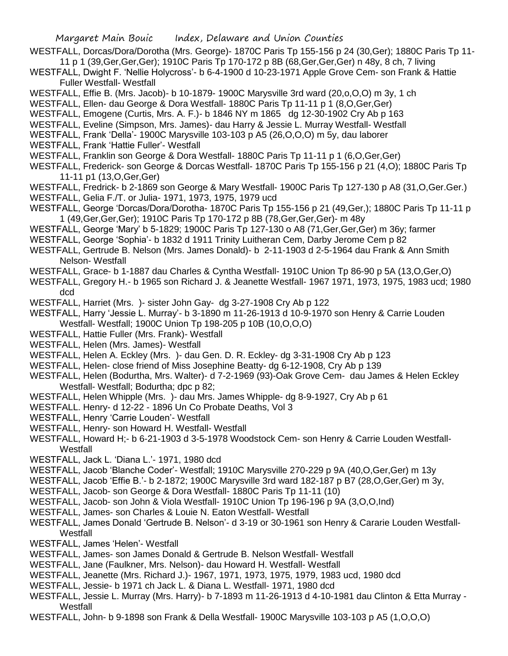- Margaret Main Bouic Index, Delaware and Union Counties WESTFALL, Dorcas/Dora/Dorotha (Mrs. George)- 1870C Paris Tp 155-156 p 24 (30,Ger); 1880C Paris Tp 11- 11 p 1 (39,Ger,Ger,Ger); 1910C Paris Tp 170-172 p 8B (68,Ger,Ger,Ger) n 48y, 8 ch, 7 living WESTFALL, Dwight F. 'Nellie Holycross'- b 6-4-1900 d 10-23-1971 Apple Grove Cem- son Frank & Hattie Fuller Westfall- Westfall WESTFALL, Effie B. (Mrs. Jacob)- b 10-1879- 1900C Marysville 3rd ward (20,o,O,O) m 3y, 1 ch WESTFALL, Ellen- dau George & Dora Westfall- 1880C Paris Tp 11-11 p 1 (8,O,Ger,Ger) WESTFALL, Emogene (Curtis, Mrs. A. F.)- b 1846 NY m 1865 dg 12-30-1902 Cry Ab p 163 WESTFALL, Eveline (Simpson, Mrs. James)- dau Harry & Jessie L. Murray Westfall- Westfall WESTFALL, Frank 'Della'- 1900C Marysville 103-103 p A5 (26,O,O,O) m 5y, dau laborer WESTFALL, Frank 'Hattie Fuller'- Westfall WESTFALL, Franklin son George & Dora Westfall- 1880C Paris Tp 11-11 p 1 (6,O,Ger,Ger) WESTFALL, Frederick- son George & Dorcas Westfall- 1870C Paris Tp 155-156 p 21 (4,O); 1880C Paris Tp 11-11 p1 (13,O,Ger,Ger) WESTFALL, Fredrick- b 2-1869 son George & Mary Westfall- 1900C Paris Tp 127-130 p A8 (31,O,Ger.Ger.) WESTFALL, Gelia F./T. or Julia- 1971, 1973, 1975, 1979 ucd WESTFALL, George 'Dorcas/Dora/Dorotha- 1870C Paris Tp 155-156 p 21 (49,Ger,); 1880C Paris Tp 11-11 p 1 (49,Ger,Ger,Ger); 1910C Paris Tp 170-172 p 8B (78,Ger,Ger,Ger)- m 48y WESTFALL, George 'Mary' b 5-1829; 1900C Paris Tp 127-130 o A8 (71,Ger,Ger,Ger) m 36y; farmer WESTFALL, George 'Sophia'- b 1832 d 1911 Trinity Luitheran Cem, Darby Jerome Cem p 82 WESTFALL, Gertrude B. Nelson (Mrs. James Donald)- b 2-11-1903 d 2-5-1964 dau Frank & Ann Smith Nelson- Westfall WESTFALL, Grace- b 1-1887 dau Charles & Cyntha Westfall- 1910C Union Tp 86-90 p 5A (13,O,Ger,O) WESTFALL, Gregory H.- b 1965 son Richard J. & Jeanette Westfall- 1967 1971, 1973, 1975, 1983 ucd; 1980 dcd WESTFALL, Harriet (Mrs. )- sister John Gay- dg 3-27-1908 Cry Ab p 122 WESTFALL, Harry 'Jessie L. Murray'- b 3-1890 m 11-26-1913 d 10-9-1970 son Henry & Carrie Louden Westfall- Westfall; 1900C Union Tp 198-205 p 10B (10,O,O,O) WESTFALL, Hattie Fuller (Mrs. Frank)- Westfall WESTFALL, Helen (Mrs. James)- Westfall WESTFALL, Helen A. Eckley (Mrs. )- dau Gen. D. R. Eckley- dg 3-31-1908 Cry Ab p 123 WESTFALL, Helen- close friend of Miss Josephine Beatty- dg 6-12-1908, Cry Ab p 139 WESTFALL, Helen (Bodurtha, Mrs. Walter)- d 7-2-1969 (93)-Oak Grove Cem- dau James & Helen Eckley Westfall- Westfall; Bodurtha; dpc p 82;
- WESTFALL, Helen Whipple (Mrs.) dau Mrs. James Whipple- dg 8-9-1927, Cry Ab p 61
- WESTFALL. Henry- d 12-22 1896 Un Co Probate Deaths, Vol 3
- WESTFALL, Henry 'Carrie Louden'- Westfall
- WESTFALL, Henry- son Howard H. Westfall- Westfall
- WESTFALL, Howard H;- b 6-21-1903 d 3-5-1978 Woodstock Cem- son Henry & Carrie Louden Westfall-**Westfall**
- WESTFALL, Jack L. 'Diana L.'- 1971, 1980 dcd
- WESTFALL, Jacob 'Blanche Coder'- Westfall; 1910C Marysville 270-229 p 9A (40,O,Ger,Ger) m 13y
- WESTFALL, Jacob 'Effie B.'- b 2-1872; 1900C Marysville 3rd ward 182-187 p B7 (28,O,Ger,Ger) m 3y,
- WESTFALL, Jacob- son George & Dora Westfall- 1880C Paris Tp 11-11 (10)
- WESTFALL, Jacob- son John & Viola Westfall- 1910C Union Tp 196-196 p 9A (3,O,O,Ind)
- WESTFALL, James- son Charles & Louie N. Eaton Westfall- Westfall
- WESTFALL, James Donald 'Gertrude B. Nelson'- d 3-19 or 30-1961 son Henry & Cararie Louden Westfall-**Westfall**
- WESTFALL, James 'Helen'- Westfall
- WESTFALL, James- son James Donald & Gertrude B. Nelson Westfall- Westfall
- WESTFALL, Jane (Faulkner, Mrs. Nelson)- dau Howard H. Westfall- Westfall
- WESTFALL, Jeanette (Mrs. Richard J.)- 1967, 1971, 1973, 1975, 1979, 1983 ucd, 1980 dcd
- WESTFALL, Jessie- b 1971 ch Jack L. & Diana L. Westfall- 1971, 1980 dcd
- WESTFALL, Jessie L. Murray (Mrs. Harry)- b 7-1893 m 11-26-1913 d 4-10-1981 dau Clinton & Etta Murray **Westfall**
- WESTFALL, John- b 9-1898 son Frank & Della Westfall- 1900C Marysville 103-103 p A5 (1,O,O,O)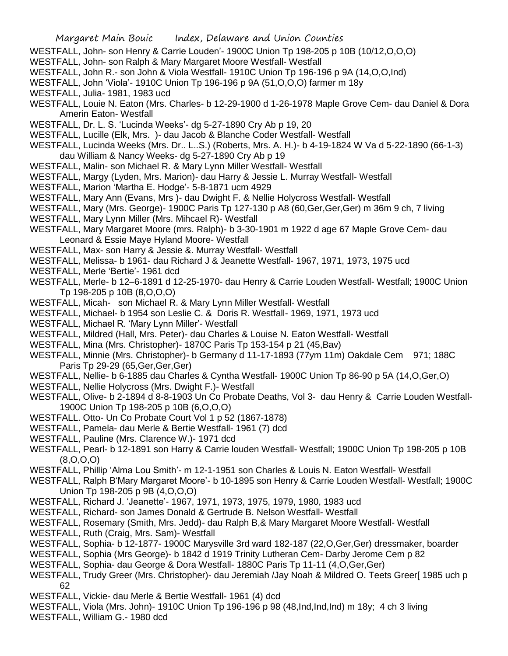- WESTFALL, John- son Henry & Carrie Louden'- 1900C Union Tp 198-205 p 10B (10/12,O,O,O)
- WESTFALL, John- son Ralph & Mary Margaret Moore Westfall- Westfall
- WESTFALL, John R.- son John & Viola Westfall- 1910C Union Tp 196-196 p 9A (14,O,O,Ind)
- WESTFALL, John 'Viola'- 1910C Union Tp 196-196 p 9A (51,O,O,O) farmer m 18y
- WESTFALL, Julia- 1981, 1983 ucd
- WESTFALL, Louie N. Eaton (Mrs. Charles- b 12-29-1900 d 1-26-1978 Maple Grove Cem- dau Daniel & Dora Amerin Eaton- Westfall
- WESTFALL, Dr. L. S. 'Lucinda Weeks'- dg 5-27-1890 Cry Ab p 19, 20
- WESTFALL, Lucille (Elk, Mrs. )- dau Jacob & Blanche Coder Westfall- Westfall
- WESTFALL, Lucinda Weeks (Mrs. Dr.. L..S.) (Roberts, Mrs. A. H.)- b 4-19-1824 W Va d 5-22-1890 (66-1-3) dau William & Nancy Weeks- dg 5-27-1890 Cry Ab p 19
- WESTFALL, Malin- son Michael R. & Mary Lynn Miller Westfall- Westfall
- WESTFALL, Margy (Lyden, Mrs. Marion)- dau Harry & Jessie L. Murray Westfall- Westfall
- WESTFALL, Marion 'Martha E. Hodge'- 5-8-1871 ucm 4929
- WESTFALL, Mary Ann (Evans, Mrs )- dau Dwight F. & Nellie Holycross Westfall- Westfall
- WESTFALL, Mary (Mrs. George)- 1900C Paris Tp 127-130 p A8 (60,Ger,Ger,Ger) m 36m 9 ch, 7 living
- WESTFALL, Mary Lynn Miller (Mrs. Mihcael R)- Westfall
- WESTFALL, Mary Margaret Moore (mrs. Ralph)- b 3-30-1901 m 1922 d age 67 Maple Grove Cem- dau Leonard & Essie Maye Hyland Moore- Westfall
- WESTFALL, Max- son Harry & Jessie &. Murray Westfall- Westfall
- WESTFALL, Melissa- b 1961- dau Richard J & Jeanette Westfall- 1967, 1971, 1973, 1975 ucd
- WESTFALL, Merle 'Bertie'- 1961 dcd
- WESTFALL, Merle- b 12–6-1891 d 12-25-1970- dau Henry & Carrie Louden Westfall- Westfall; 1900C Union Tp 198-205 p 10B (8,O,O,O)
- WESTFALL, Micah- son Michael R. & Mary Lynn Miller Westfall- Westfall
- WESTFALL, Michael- b 1954 son Leslie C. & Doris R. Westfall- 1969, 1971, 1973 ucd
- WESTFALL, Michael R. 'Mary Lynn Miller'- Westfall
- WESTFALL, Mildred (Hall, Mrs. Peter)- dau Charles & Louise N. Eaton Westfall- Westfall
- WESTFALL, Mina (Mrs. Christopher)- 1870C Paris Tp 153-154 p 21 (45,Bav)
- WESTFALL, Minnie (Mrs. Christopher)- b Germany d 11-17-1893 (77ym 11m) Oakdale Cem 971; 188C Paris Tp 29-29 (65,Ger,Ger,Ger)
- WESTFALL, Nellie- b 6-1885 dau Charles & Cyntha Westfall- 1900C Union Tp 86-90 p 5A (14,O,Ger,O)
- WESTFALL, Nellie Holycross (Mrs. Dwight F.)- Westfall
- WESTFALL, Olive- b 2-1894 d 8-8-1903 Un Co Probate Deaths, Vol 3- dau Henry & Carrie Louden Westfall-1900C Union Tp 198-205 p 10B (6,O,O,O)
- WESTFALL. Otto- Un Co Probate Court Vol 1 p 52 (1867-1878)
- WESTFALL, Pamela- dau Merle & Bertie Westfall- 1961 (7) dcd
- WESTFALL, Pauline (Mrs. Clarence W.)- 1971 dcd
- WESTFALL, Pearl- b 12-1891 son Harry & Carrie louden Westfall- Westfall; 1900C Union Tp 198-205 p 10B (8,O,O,O)
- WESTFALL, Phillip 'Alma Lou Smith'- m 12-1-1951 son Charles & Louis N. Eaton Westfall- Westfall
- WESTFALL, Ralph B'Mary Margaret Moore'- b 10-1895 son Henry & Carrie Louden Westfall- Westfall; 1900C Union Tp 198-205 p 9B (4,O,O,O)
- WESTFALL, Richard J. 'Jeanette'- 1967, 1971, 1973, 1975, 1979, 1980, 1983 ucd
- WESTFALL, Richard- son James Donald & Gertrude B. Nelson Westfall- Westfall
- WESTFALL, Rosemary (Smith, Mrs. Jedd)- dau Ralph B,& Mary Margaret Moore Westfall- Westfall
- WESTFALL, Ruth (Craig, Mrs. Sam)- Westfall
- WESTFALL, Sophia- b 12-1877- 1900C Marysville 3rd ward 182-187 (22,O,Ger,Ger) dressmaker, boarder
- WESTFALL, Sophia (Mrs George)- b 1842 d 1919 Trinity Lutheran Cem- Darby Jerome Cem p 82
- WESTFALL, Sophia- dau George & Dora Westfall- 1880C Paris Tp 11-11 (4,O,Ger,Ger)
- WESTFALL, Trudy Greer (Mrs. Christopher)- dau Jeremiah /Jay Noah & Mildred O. Teets Greer[ 1985 uch p 62
- WESTFALL, Vickie- dau Merle & Bertie Westfall- 1961 (4) dcd
- WESTFALL, Viola (Mrs. John)- 1910C Union Tp 196-196 p 98 (48,Ind,Ind,Ind) m 18y; 4 ch 3 living
- WESTFALL, William G.- 1980 dcd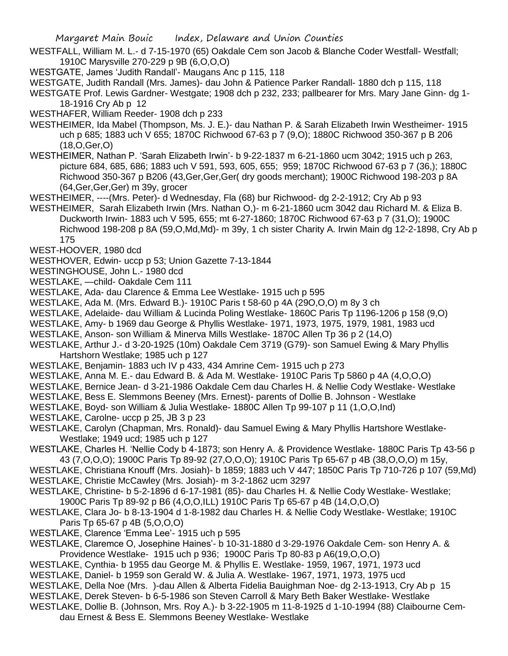- WESTFALL, William M. L.- d 7-15-1970 (65) Oakdale Cem son Jacob & Blanche Coder Westfall- Westfall; 1910C Marysville 270-229 p 9B (6,O,O,O)
- WESTGATE, James 'Judith Randall'- Maugans Anc p 115, 118
- WESTGATE, Judith Randall (Mrs. James)- dau John & Patience Parker Randall- 1880 dch p 115, 118

WESTGATE Prof. Lewis Gardner- Westgate; 1908 dch p 232, 233; pallbearer for Mrs. Mary Jane Ginn- dg 1- 18-1916 Cry Ab p 12

WESTHAFER, William Reeder- 1908 dch p 233

- WESTHEIMER, Ida Mabel (Thompson, Ms. J. E.)- dau Nathan P. & Sarah Elizabeth Irwin Westheimer- 1915 uch p 685; 1883 uch V 655; 1870C Richwood 67-63 p 7 (9,O); 1880C Richwood 350-367 p B 206 (18,O,Ger,O)
- WESTHEIMER, Nathan P. 'Sarah Elizabeth Irwin'- b 9-22-1837 m 6-21-1860 ucm 3042; 1915 uch p 263, picture 684, 685, 686; 1883 uch V 591, 593, 605, 655; 959; 1870C Richwood 67-63 p 7 (36,); 1880C Richwood 350-367 p B206 (43,Ger,Ger,Ger( dry goods merchant); 1900C Richwood 198-203 p 8A (64,Ger,Ger,Ger) m 39y, grocer
- WESTHEIMER, ----(Mrs. Peter)- d Wednesday, Fla (68) bur Richwood- dg 2-2-1912; Cry Ab p 93
- WESTHEIMER, Sarah Elizabeth Irwin (Mrs. Nathan O,)- m 6-21-1860 ucm 3042 dau Richard M. & Eliza B. Duckworth Irwin- 1883 uch V 595, 655; mt 6-27-1860; 1870C Richwood 67-63 p 7 (31,O); 1900C Richwood 198-208 p 8A (59,O,Md,Md)- m 39y, 1 ch sister Charity A. Irwin Main dg 12-2-1898, Cry Ab p 175
- WEST-HOOVER, 1980 dcd
- WESTHOVER, Edwin- uccp p 53; Union Gazette 7-13-1844
- WESTINGHOUSE, John L.- 1980 dcd
- WESTLAKE, —child- Oakdale Cem 111
- WESTLAKE, Ada- dau Clarence & Emma Lee Westlake- 1915 uch p 595
- WESTLAKE, Ada M. (Mrs. Edward B.)- 1910C Paris t 58-60 p 4A (29O,O,O) m 8y 3 ch
- WESTLAKE, Adelaide- dau William & Lucinda Poling Westlake- 1860C Paris Tp 1196-1206 p 158 (9,O)
- WESTLAKE, Amy- b 1969 dau George & Phyllis Westlake- 1971, 1973, 1975, 1979, 1981, 1983 ucd
- WESTLAKE, Anson- son William & Minerva Mills Westlake- 1870C Allen Tp 36 p 2 (14,O)
- WESTLAKE, Arthur J.- d 3-20-1925 (10m) Oakdale Cem 3719 (G79)- son Samuel Ewing & Mary Phyllis Hartshorn Westlake; 1985 uch p 127
- WESTLAKE, Benjamin- 1883 uch IV p 433, 434 Amrine Cem- 1915 uch p 273
- WESTLAKE, Anna M. E.- dau Edward B. & Ada M. Westlake- 1910C Paris Tp 5860 p 4A (4,O,O,O)
- WESTLAKE, Bernice Jean- d 3-21-1986 Oakdale Cem dau Charles H. & Nellie Cody Westlake- Westlake
- WESTLAKE, Bess E. Slemmons Beeney (Mrs. Ernest)- parents of Dollie B. Johnson Westlake
- WESTLAKE, Boyd- son William & Julia Westlake- 1880C Allen Tp 99-107 p 11 (1,O,O,Ind)
- WESTLAKE, Carolne- uccp p 25, JB 3 p 23
- WESTLAKE, Carolyn (Chapman, Mrs. Ronald)- dau Samuel Ewing & Mary Phyllis Hartshore Westlake-Westlake; 1949 ucd; 1985 uch p 127
- WESTLAKE, Charles H. 'Nellie Cody b 4-1873; son Henry A. & Providence Westlake- 1880C Paris Tp 43-56 p 43 (7,O,O,O); 1900C Paris Tp 89-92 (27,O,O,O); 1910C Paris Tp 65-67 p 4B (38,O,O,O) m 15y,
- WESTLAKE, Christiana Knouff (Mrs. Josiah)- b 1859; 1883 uch V 447; 1850C Paris Tp 710-726 p 107 (59,Md)
- WESTLAKE, Christie McCawley (Mrs. Josiah)- m 3-2-1862 ucm 3297
- WESTLAKE, Christine- b 5-2-1896 d 6-17-1981 (85)- dau Charles H. & Nellie Cody Westlake- Westlake; 1900C Paris Tp 89-92 p B6 (4,O,O,ILL) 1910C Paris Tp 65-67 p 4B (14,O,O,O)
- WESTLAKE, Clara Jo- b 8-13-1904 d 1-8-1982 dau Charles H. & Nellie Cody Westlake- Westlake; 1910C
- Paris Tp 65-67 p 4B (5,O,O,O)
- WESTLAKE, Clarence 'Emma Lee'- 1915 uch p 595
- WESTLAKE, Claremce O, Josephine Haines'- b 10-31-1880 d 3-29-1976 Oakdale Cem- son Henry A. & Providence Westlake- 1915 uch p 936; 1900C Paris Tp 80-83 p A6(19,O,O,O)
- WESTLAKE, Cynthia- b 1955 dau George M. & Phyllis E. Westlake- 1959, 1967, 1971, 1973 ucd
- WESTLAKE, Daniel- b 1959 son Gerald W. & Julia A. Westlake- 1967, 1971, 1973, 1975 ucd
- WESTLAKE, Della Noe (Mrs. )-dau Allen & Alberta Fidelia Bauighman Noe- dg 2-13-1913, Cry Ab p 15
- WESTLAKE, Derek Steven- b 6-5-1986 son Steven Carroll & Mary Beth Baker Westlake- Westlake
- WESTLAKE, Dollie B. (Johnson, Mrs. Roy A.)- b 3-22-1905 m 11-8-1925 d 1-10-1994 (88) Claibourne Cemdau Ernest & Bess E. Slemmons Beeney Westlake- Westlake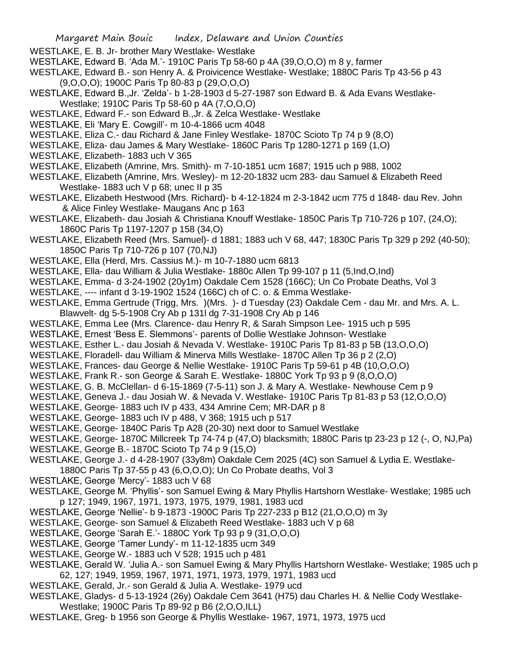WESTLAKE, E. B. Jr- brother Mary Westlake- Westlake

- WESTLAKE, Edward B. 'Ada M.'- 1910C Paris Tp 58-60 p 4A (39,O,O,O) m 8 y, farmer
- WESTLAKE, Edward B.- son Henry A. & Proivicence Westlake- Westlake; 1880C Paris Tp 43-56 p 43 (9,O,O,O); 1900C Paris Tp 80-83 p (29,O,O,O)
- WESTLAKE, Edward B.,Jr. 'Zelda'- b 1-28-1903 d 5-27-1987 son Edward B. & Ada Evans Westlake-Westlake; 1910C Paris Tp 58-60 p 4A (7,O,O,O)
- WESTLAKE, Edward F.- son Edward B.,Jr. & Zelca Westlake- Westlake
- WESTLAKE, Eli 'Mary E. Cowgill'- m 10-4-1866 ucm 4048
- WESTLAKE, Eliza C.- dau Richard & Jane Finley Westlake- 1870C Scioto Tp 74 p 9 (8,O)
- WESTLAKE, Eliza- dau James & Mary Westlake- 1860C Paris Tp 1280-1271 p 169 (1,O)
- WESTLAKE, Elizabeth- 1883 uch V 365
- WESTLAKE, Elizabeth (Amrine, Mrs. Smith)- m 7-10-1851 ucm 1687; 1915 uch p 988, 1002
- WESTLAKE, Elizabeth (Amrine, Mrs. Wesley)- m 12-20-1832 ucm 283- dau Samuel & Elizabeth Reed Westlake- 1883 uch V p 68; unec II p 35
- WESTLAKE, Elizabeth Hestwood (Mrs. Richard)- b 4-12-1824 m 2-3-1842 ucm 775 d 1848- dau Rev. John & Alice Finley Westlake- Maugans Anc p 163
- WESTLAKE, Elizabeth- dau Josiah & Christiana Knouff Westlake- 1850C Paris Tp 710-726 p 107, (24,O); 1860C Paris Tp 1197-1207 p 158 (34,O)
- WESTLAKE, Elizabeth Reed (Mrs. Samuel)- d 1881; 1883 uch V 68, 447; 1830C Paris Tp 329 p 292 (40-50); 1850C Paris Tp 710-726 p 107 (70,NJ)
- WESTLAKE, Ella (Herd, Mrs. Cassius M.)- m 10-7-1880 ucm 6813
- WESTLAKE, Ella- dau William & Julia Westlake- 1880c Allen Tp 99-107 p 11 (5,Ind,O,Ind)
- WESTLAKE, Emma- d 3-24-1902 (20y1m) Oakdale Cem 1528 (166C); Un Co Probate Deaths, Vol 3
- WESTLAKE, ---- infant d 3-19-1902 1524 (166C) ch of C. o. & Emma Westlake-
- WESTLAKE, Emma Gertrude (Trigg, Mrs. )(Mrs. )- d Tuesday (23) Oakdale Cem dau Mr. and Mrs. A. L. Blawvelt- dg 5-5-1908 Cry Ab p 131l dg 7-31-1908 Cry Ab p 146
- WESTLAKE, Emma Lee (Mrs. Clarence- dau Henry R, & Sarah Simpson Lee- 1915 uch p 595
- WESTLAKE, Ernest 'Bess E. Slemmons'- parents of Dollie Westlake Johnson- Westlake
- WESTLAKE, Esther L.- dau Josiah & Nevada V. Westlake- 1910C Paris Tp 81-83 p 5B (13,O,O,O)
- WESTLAKE, Floradell- dau William & Minerva Mills Westlake- 1870C Allen Tp 36 p 2 (2,O)
- WESTLAKE, Frances- dau George & Nellie Westlake- 1910C Paris Tp 59-61 p 4B (10,O,O,O)
- WESTLAKE, Frank R.- son George & Sarah E. Westlake- 1880C York Tp 93 p 9 (8,O,O,O)
- WESTLAKE, G. B. McClellan- d 6-15-1869 (7-5-11) son J. & Mary A. Westlake- Newhouse Cem p 9
- WESTLAKE, Geneva J.- dau Josiah W. & Nevada V. Westlake- 1910C Paris Tp 81-83 p 53 (12,O,O,O)
- WESTLAKE, George- 1883 uch IV p 433, 434 Amrine Cem; MR-DAR p 8
- WESTLAKE, George- 1883 uch IV p 488, V 368; 1915 uch p 517
- WESTLAKE, George- 1840C Paris Tp A28 (20-30) next door to Samuel Westlake
- WESTLAKE, George- 1870C Millcreek Tp 74-74 p (47,O) blacksmith; 1880C Paris tp 23-23 p 12 (-, O, NJ,Pa)
- WESTLAKE, George B.- 1870C Scioto Tp 74 p 9 (15,O)
- WESTLAKE, George J.- d 4-28-1907 (33y8m) Oakdale Cem 2025 (4C) son Samuel & Lydia E. Westlake-
- 1880C Paris Tp 37-55 p 43 (6,O,O,O); Un Co Probate deaths, Vol 3
- WESTLAKE, George 'Mercy'- 1883 uch V 68
- WESTLAKE, George M. 'Phyllis'- son Samuel Ewing & Mary Phyllis Hartshorn Westlake- Westlake; 1985 uch p 127; 1949, 1967, 1971, 1973, 1975, 1979, 1981, 1983 ucd
- WESTLAKE, George 'Nellie'- b 9-1873 -1900C Paris Tp 227-233 p B12 (21,O,O,O) m 3y
- WESTLAKE, George- son Samuel & Elizabeth Reed Westlake- 1883 uch V p 68
- WESTLAKE, George 'Sarah E.'- 1880C York Tp 93 p 9 (31,O,O,O)
- WESTLAKE, George 'Tamer Lundy'- m 11-12-1835 ucm 349
- WESTLAKE, George W.- 1883 uch V 528; 1915 uch p 481
- WESTLAKE, Gerald W. 'Julia A.- son Samuel Ewing & Mary Phyllis Hartshorn Westlake- Westlake; 1985 uch p 62, 127; 1949, 1959, 1967, 1971, 1971, 1973, 1979, 1971, 1983 ucd
- WESTLAKE, Gerald, Jr.- son Gerald & Julia A. Westlake- 1979 ucd
- WESTLAKE, Gladys- d 5-13-1924 (26y) Oakdale Cem 3641 (H75) dau Charles H. & Nellie Cody Westlake-Westlake; 1900C Paris Tp 89-92 p B6 (2,O,O,ILL)
- WESTLAKE, Greg- b 1956 son George & Phyllis Westlake- 1967, 1971, 1973, 1975 ucd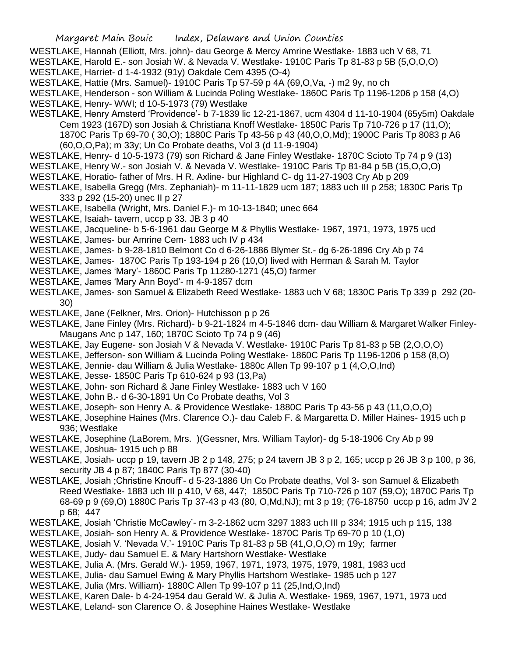- WESTLAKE, Hannah (Elliott, Mrs. john)- dau George & Mercy Amrine Westlake- 1883 uch V 68, 71
- WESTLAKE, Harold E.- son Josiah W. & Nevada V. Westlake- 1910C Paris Tp 81-83 p 5B (5,O,O,O)
- WESTLAKE, Harriet- d 1-4-1932 (91y) Oakdale Cem 4395 (O-4)
- WESTLAKE, Hattie (Mrs. Samuel)- 1910C Paris Tp 57-59 p 4A (69,O,Va, -) m2 9y, no ch
- WESTLAKE, Henderson son William & Lucinda Poling Westlake- 1860C Paris Tp 1196-1206 p 158 (4,O)
- WESTLAKE, Henry- WWI; d 10-5-1973 (79) Westlake
- WESTLAKE, Henry Amsterd 'Providence'- b 7-1839 lic 12-21-1867, ucm 4304 d 11-10-1904 (65y5m) Oakdale Cem 1923 (167D) son Josiah & Christiana Knoff Westlake- 1850C Paris Tp 710-726 p 17 (11,O); 1870C Paris Tp 69-70 ( 30,O); 1880C Paris Tp 43-56 p 43 (40,O,O,Md); 1900C Paris Tp 8083 p A6 (60,O,O,Pa); m 33y; Un Co Probate deaths, Vol 3 (d 11-9-1904)
- WESTLAKE, Henry- d 10-5-1973 (79) son Richard & Jane Finley Westlake- 1870C Scioto Tp 74 p 9 (13)
- WESTLAKE, Henry W.- son Josiah V. & Nevada V. Westlake- 1910C Paris Tp 81-84 p 5B (15,O,O,O)
- WESTLAKE, Horatio- father of Mrs. H R. Axline- bur Highland C- dg 11-27-1903 Cry Ab p 209
- WESTLAKE, Isabella Gregg (Mrs. Zephaniah)- m 11-11-1829 ucm 187; 1883 uch III p 258; 1830C Paris Tp 333 p 292 (15-20) unec II p 27
- WESTLAKE, Isabella (Wright, Mrs. Daniel F.)- m 10-13-1840; unec 664
- WESTLAKE, Isaiah- tavern, uccp p 33. JB 3 p 40
- WESTLAKE, Jacqueline- b 5-6-1961 dau George M & Phyllis Westlake- 1967, 1971, 1973, 1975 ucd
- WESTLAKE, James- bur Amrine Cem- 1883 uch IV p 434
- WESTLAKE, James- b 9-28-1810 Belmont Co d 6-26-1886 Blymer St.- dg 6-26-1896 Cry Ab p 74
- WESTLAKE, James- 1870C Paris Tp 193-194 p 26 (10,O) lived with Herman & Sarah M. Taylor
- WESTLAKE, James 'Mary'- 1860C Paris Tp 11280-1271 (45,O) farmer
- WESTLAKE, James 'Mary Ann Boyd'- m 4-9-1857 dcm
- WESTLAKE, James- son Samuel & Elizabeth Reed Westlake- 1883 uch V 68; 1830C Paris Tp 339 p 292 (20- 30)
- WESTLAKE, Jane (Felkner, Mrs. Orion)- Hutchisson p p 26
- WESTLAKE, Jane Finley (Mrs. Richard)- b 9-21-1824 m 4-5-1846 dcm- dau William & Margaret Walker Finley-Maugans Anc p 147, 160; 1870C Scioto Tp 74 p 9 (46)
- WESTLAKE, Jay Eugene- son Josiah V & Nevada V. Westlake- 1910C Paris Tp 81-83 p 5B (2,O,O,O)
- WESTLAKE, Jefferson- son William & Lucinda Poling Westlake- 1860C Paris Tp 1196-1206 p 158 (8,O)
- WESTLAKE, Jennie- dau William & Julia Westlake- 1880c Allen Tp 99-107 p 1 (4,O,O,Ind)
- WESTLAKE, Jesse- 1850C Paris Tp 610-624 p 93 (13,Pa)
- WESTLAKE, John- son Richard & Jane Finley Westlake- 1883 uch V 160
- WESTLAKE, John B.- d 6-30-1891 Un Co Probate deaths, Vol 3
- WESTLAKE, Joseph- son Henry A. & Providence Westlake- 1880C Paris Tp 43-56 p 43 (11,O,O,O)
- WESTLAKE, Josephine Haines (Mrs. Clarence O.)- dau Caleb F. & Margaretta D. Miller Haines- 1915 uch p 936; Westlake
- WESTLAKE, Josephine (LaBorem, Mrs. )(Gessner, Mrs. William Taylor)- dg 5-18-1906 Cry Ab p 99
- WESTLAKE, Joshua- 1915 uch p 88
- WESTLAKE, Josiah- uccp p 19, tavern JB 2 p 148, 275; p 24 tavern JB 3 p 2, 165; uccp p 26 JB 3 p 100, p 36, security JB 4 p 87; 1840C Paris Tp 877 (30-40)
- WESTLAKE, Josiah ;Christine Knouff'- d 5-23-1886 Un Co Probate deaths, Vol 3- son Samuel & Elizabeth Reed Westlake- 1883 uch III p 410, V 68, 447; 1850C Paris Tp 710-726 p 107 (59,O); 1870C Paris Tp 68-69 p 9 (69,O) 1880C Paris Tp 37-43 p 43 (80, O,Md,NJ); mt 3 p 19; (76-18750 uccp p 16, adm JV 2 p 68; 447
- WESTLAKE, Josiah 'Christie McCawley'- m 3-2-1862 ucm 3297 1883 uch III p 334; 1915 uch p 115, 138
- WESTLAKE, Josiah- son Henry A. & Providence Westlake- 1870C Paris Tp 69-70 p 10 (1,O)
- WESTLAKE, Josiah V. 'Nevada V.'- 1910C Paris Tp 81-83 p 5B (41,O,O,O) m 19y; farmer
- WESTLAKE, Judy- dau Samuel E. & Mary Hartshorn Westlake- Westlake
- WESTLAKE, Julia A. (Mrs. Gerald W.)- 1959, 1967, 1971, 1973, 1975, 1979, 1981, 1983 ucd
- WESTLAKE, Julia- dau Samuel Ewing & Mary Phyllis Hartshorn Westlake- 1985 uch p 127
- WESTLAKE, Julia (Mrs. William)- 1880C Allen Tp 99-107 p 11 (25,Ind,O,Ind)
- WESTLAKE, Karen Dale- b 4-24-1954 dau Gerald W. & Julia A. Westlake- 1969, 1967, 1971, 1973 ucd
- WESTLAKE, Leland- son Clarence O. & Josephine Haines Westlake- Westlake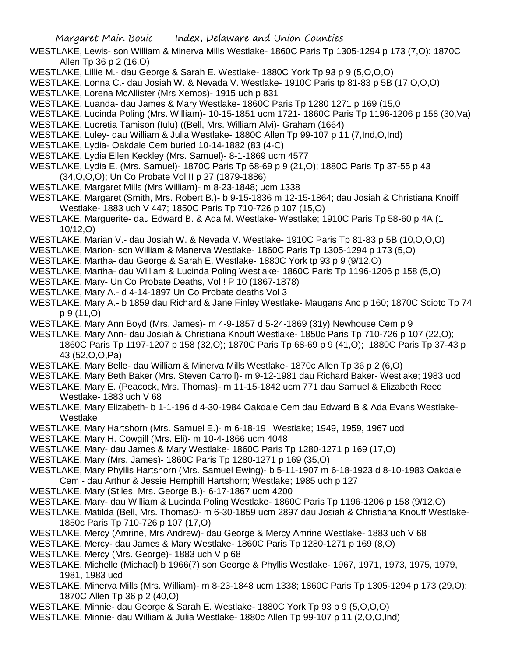- WESTLAKE, Lewis- son William & Minerva Mills Westlake- 1860C Paris Tp 1305-1294 p 173 (7,O): 1870C Allen Tp 36 p 2 (16,O)
- WESTLAKE, Lillie M.- dau George & Sarah E. Westlake- 1880C York Tp 93 p 9 (5,O,O,O)
- WESTLAKE, Lonna C.- dau Josiah W. & Nevada V. Westlake- 1910C Paris tp 81-83 p 5B (17,O,O,O)
- WESTLAKE, Lorena McAllister (Mrs Xemos)- 1915 uch p 831
- WESTLAKE, Luanda- dau James & Mary Westlake- 1860C Paris Tp 1280 1271 p 169 (15,0
- WESTLAKE, Lucinda Poling (Mrs. William)- 10-15-1851 ucm 1721- 1860C Paris Tp 1196-1206 p 158 (30,Va)
- WESTLAKE, Lucretia Tamison (Iulu) ((Bell, Mrs. William Alvi)- Graham (1664)
- WESTLAKE, Luley- dau William & Julia Westlake- 1880C Allen Tp 99-107 p 11 (7,Ind,O,Ind)
- WESTLAKE, Lydia- Oakdale Cem buried 10-14-1882 (83 (4-C)
- WESTLAKE, Lydia Ellen Keckley (Mrs. Samuel)- 8-1-1869 ucm 4577
- WESTLAKE, Lydia E. (Mrs. Samuel)- 1870C Paris Tp 68-69 p 9 (21,O); 1880C Paris Tp 37-55 p 43 (34,O,O,O); Un Co Probate Vol II p 27 (1879-1886)
- WESTLAKE, Margaret Mills (Mrs William)- m 8-23-1848; ucm 1338
- WESTLAKE, Margaret (Smith, Mrs. Robert B.)- b 9-15-1836 m 12-15-1864; dau Josiah & Christiana Knoiff Westlake- 1883 uch V 447; 1850C Paris Tp 710-726 p 107 (15,O)
- WESTLAKE, Marguerite- dau Edward B. & Ada M. Westlake- Westlake; 1910C Paris Tp 58-60 p 4A (1 10/12,O)
- WESTLAKE, Marian V.- dau Josiah W. & Nevada V. Westlake- 1910C Paris Tp 81-83 p 5B (10,O,O,O)
- WESTLAKE, Marion- son William & Manerva Westlake- 1860C Paris Tp 1305-1294 p 173 (5,O)
- WESTLAKE, Martha- dau George & Sarah E. Westlake- 1880C York tp 93 p 9 (9/12,O)
- WESTLAKE, Martha- dau William & Lucinda Poling Westlake- 1860C Paris Tp 1196-1206 p 158 (5,O)
- WESTLAKE, Mary- Un Co Probate Deaths, Vol ! P 10 (1867-1878)
- WESTLAKE, Mary A.- d 4-14-1897 Un Co Probate deaths Vol 3
- WESTLAKE, Mary A.- b 1859 dau Richard & Jane Finley Westlake- Maugans Anc p 160; 1870C Scioto Tp 74 p 9 (11,O)
- WESTLAKE, Mary Ann Boyd (Mrs. James)- m 4-9-1857 d 5-24-1869 (31y) Newhouse Cem p 9
- WESTLAKE, Mary Ann- dau Josiah & Christiana Knouff Westlake- 1850c Paris Tp 710-726 p 107 (22,O); 1860C Paris Tp 1197-1207 p 158 (32,O); 1870C Paris Tp 68-69 p 9 (41,O); 1880C Paris Tp 37-43 p 43 (52,O,O,Pa)
- WESTLAKE, Mary Belle- dau William & Minerva Mills Westlake- 1870c Allen Tp 36 p 2 (6,O)
- WESTLAKE, Mary Beth Baker (Mrs. Steven Carroll)- m 9-12-1981 dau Richard Baker- Westlake; 1983 ucd
- WESTLAKE, Mary E. (Peacock, Mrs. Thomas)- m 11-15-1842 ucm 771 dau Samuel & Elizabeth Reed Westlake- 1883 uch V 68
- WESTLAKE, Mary Elizabeth- b 1-1-196 d 4-30-1984 Oakdale Cem dau Edward B & Ada Evans Westlake-Westlake
- WESTLAKE, Mary Hartshorn (Mrs. Samuel E.)- m 6-18-19 Westlake; 1949, 1959, 1967 ucd
- WESTLAKE, Mary H. Cowgill (Mrs. Eli)- m 10-4-1866 ucm 4048
- WESTLAKE, Mary- dau James & Mary Westlake- 1860C Paris Tp 1280-1271 p 169 (17,O)
- WESTLAKE, Mary (Mrs. James)- 1860C Paris Tp 1280-1271 p 169 (35,O)
- WESTLAKE, Mary Phyllis Hartshorn (Mrs. Samuel Ewing)- b 5-11-1907 m 6-18-1923 d 8-10-1983 Oakdale Cem - dau Arthur & Jessie Hemphill Hartshorn; Westlake; 1985 uch p 127
- WESTLAKE, Mary (Stiles, Mrs. George B.)- 6-17-1867 ucm 4200
- WESTLAKE, Mary- dau William & Lucinda Poling Westlake- 1860C Paris Tp 1196-1206 p 158 (9/12,O)
- WESTLAKE, Matilda (Bell, Mrs. Thomas0- m 6-30-1859 ucm 2897 dau Josiah & Christiana Knouff Westlake-1850c Paris Tp 710-726 p 107 (17,O)
- WESTLAKE, Mercy (Amrine, Mrs Andrew)- dau George & Mercy Amrine Westlake- 1883 uch V 68
- WESTLAKE, Mercy- dau James & Mary Westlake- 1860C Paris Tp 1280-1271 p 169 (8,O)
- WESTLAKE, Mercy (Mrs. George)- 1883 uch V p 68
- WESTLAKE, Michelle (Michael) b 1966(7) son George & Phyllis Westlake- 1967, 1971, 1973, 1975, 1979, 1981, 1983 ucd
- WESTLAKE, Minerva Mills (Mrs. William)- m 8-23-1848 ucm 1338; 1860C Paris Tp 1305-1294 p 173 (29,O); 1870C Allen Tp 36 p 2 (40,O)
- WESTLAKE, Minnie- dau George & Sarah E. Westlake- 1880C York Tp 93 p 9 (5,O,O,O)
- WESTLAKE, Minnie- dau William & Julia Westlake- 1880c Allen Tp 99-107 p 11 (2,O,O,Ind)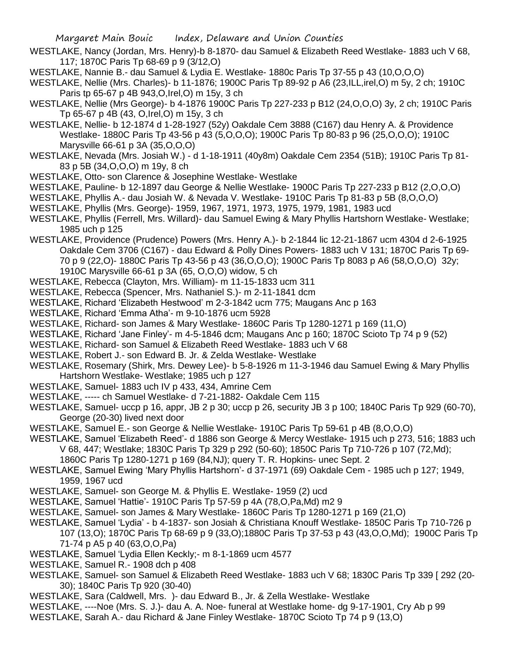- WESTLAKE, Nancy (Jordan, Mrs. Henry)-b 8-1870- dau Samuel & Elizabeth Reed Westlake- 1883 uch V 68, 117; 1870C Paris Tp 68-69 p 9 (3/12,O)
- WESTLAKE, Nannie B.- dau Samuel & Lydia E. Westlake- 1880c Paris Tp 37-55 p 43 (10,O,O,O)
- WESTLAKE, Nellie (Mrs. Charles)- b 11-1876; 1900C Paris Tp 89-92 p A6 (23,ILL,irel,O) m 5y, 2 ch; 1910C Paris tp 65-67 p 4B 943,O,Irel,O) m 15y, 3 ch
- WESTLAKE, Nellie (Mrs George)- b 4-1876 1900C Paris Tp 227-233 p B12 (24,O,O,O) 3y, 2 ch; 1910C Paris Tp 65-67 p 4B (43, O,Irel,O) m 15y, 3 ch
- WESTLAKE, Nellie- b 12-1874 d 1-28-1927 (52y) Oakdale Cem 3888 (C167) dau Henry A. & Providence Westlake- 1880C Paris Tp 43-56 p 43 (5,O,O,O); 1900C Paris Tp 80-83 p 96 (25,O,O,O); 1910C Marysville 66-61 p 3A (35,O,O,O)
- WESTLAKE, Nevada (Mrs. Josiah W.) d 1-18-1911 (40y8m) Oakdale Cem 2354 (51B); 1910C Paris Tp 81- 83 p 5B (34,O,O,O) m 19y, 8 ch
- WESTLAKE, Otto- son Clarence & Josephine Westlake- Westlake
- WESTLAKE, Pauline- b 12-1897 dau George & Nellie Westlake- 1900C Paris Tp 227-233 p B12 (2,O,O,O)
- WESTLAKE, Phyllis A.- dau Josiah W. & Nevada V. Westlake- 1910C Paris Tp 81-83 p 5B (8,O,O,O)
- WESTLAKE, Phyllis (Mrs. George)- 1959, 1967, 1971, 1973, 1975, 1979, 1981, 1983 ucd
- WESTLAKE, Phyllis (Ferrell, Mrs. Willard)- dau Samuel Ewing & Mary Phyllis Hartshorn Westlake- Westlake; 1985 uch p 125
- WESTLAKE, Providence (Prudence) Powers (Mrs. Henry A.)- b 2-1844 lic 12-21-1867 ucm 4304 d 2-6-1925 Oakdale Cem 3706 (C167) - dau Edward & Polly Dines Powers- 1883 uch V 131; 1870C Paris Tp 69- 70 p 9 (22,O)- 1880C Paris Tp 43-56 p 43 (36,O,O,O); 1900C Paris Tp 8083 p A6 (58,O,O,O) 32y; 1910C Marysville 66-61 p 3A (65, O,O,O) widow, 5 ch
- WESTLAKE, Rebecca (Clayton, Mrs. William)- m 11-15-1833 ucm 311
- WESTLAKE, Rebecca (Spencer, Mrs. Nathaniel S.)- m 2-11-1841 dcm
- WESTLAKE, Richard 'Elizabeth Hestwood' m 2-3-1842 ucm 775; Maugans Anc p 163
- WESTLAKE, Richard 'Emma Atha'- m 9-10-1876 ucm 5928
- WESTLAKE, Richard- son James & Mary Westlake- 1860C Paris Tp 1280-1271 p 169 (11,O)
- WESTLAKE, Richard 'Jane Finley'- m 4-5-1846 dcm; Maugans Anc p 160; 1870C Scioto Tp 74 p 9 (52)
- WESTLAKE, Richard- son Samuel & Elizabeth Reed Westlake- 1883 uch V 68
- WESTLAKE, Robert J.- son Edward B. Jr. & Zelda Westlake- Westlake
- WESTLAKE, Rosemary (Shirk, Mrs. Dewey Lee)- b 5-8-1926 m 11-3-1946 dau Samuel Ewing & Mary Phyllis Hartshorn Westlake- Westlake; 1985 uch p 127
- WESTLAKE, Samuel- 1883 uch IV p 433, 434, Amrine Cem
- WESTLAKE, ----- ch Samuel Westlake- d 7-21-1882- Oakdale Cem 115
- WESTLAKE, Samuel- uccp p 16, appr, JB 2 p 30; uccp p 26, security JB 3 p 100; 1840C Paris Tp 929 (60-70), George (20-30) lived next door
- WESTLAKE, Samuel E.- son George & Nellie Westlake- 1910C Paris Tp 59-61 p 4B (8,O,O,O)
- WESTLAKE, Samuel 'Elizabeth Reed'- d 1886 son George & Mercy Westlake- 1915 uch p 273, 516; 1883 uch V 68, 447; Westlake; 1830C Paris Tp 329 p 292 (50-60); 1850C Paris Tp 710-726 p 107 (72,Md); 1860C Paris Tp 1280-1271 p 169 (84,NJ); query T. R. Hopkins- unec Sept. 2
- WESTLAKE, Samuel Ewing 'Mary Phyllis Hartshorn'- d 37-1971 (69) Oakdale Cem 1985 uch p 127; 1949, 1959, 1967 ucd
- WESTLAKE, Samuel- son George M. & Phyllis E. Westlake- 1959 (2) ucd
- WESTLAKE, Samuel 'Hattie'- 1910C Paris Tp 57-59 p 4A (78,O,Pa,Md) m2 9
- WESTLAKE, Samuel- son James & Mary Westlake- 1860C Paris Tp 1280-1271 p 169 (21,O)
- WESTLAKE, Samuel 'Lydia' b 4-1837- son Josiah & Christiana Knouff Westlake- 1850C Paris Tp 710-726 p 107 (13,O); 1870C Paris Tp 68-69 p 9 (33,O);1880C Paris Tp 37-53 p 43 (43,O,O,Md); 1900C Paris Tp 71-74 p A5 p 40 (63,O,O,Pa)
- WESTLAKE, Samuel 'Lydia Ellen Keckly;- m 8-1-1869 ucm 4577
- WESTLAKE, Samuel R.- 1908 dch p 408
- WESTLAKE, Samuel- son Samuel & Elizabeth Reed Westlake- 1883 uch V 68; 1830C Paris Tp 339 [ 292 (20- 30); 1840C Paris Tp 920 (30-40)
- WESTLAKE, Sara (Caldwell, Mrs. )- dau Edward B., Jr. & Zella Westlake- Westlake
- WESTLAKE, ----Noe (Mrs. S. J.)- dau A. A. Noe- funeral at Westlake home- dg 9-17-1901, Cry Ab p 99
- WESTLAKE, Sarah A.- dau Richard & Jane Finley Westlake- 1870C Scioto Tp 74 p 9 (13,O)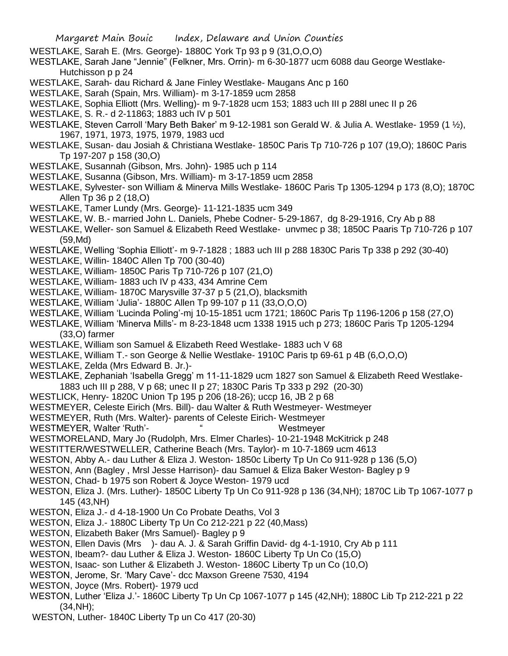- WESTLAKE, Sarah E. (Mrs. George)- 1880C York Tp 93 p 9 (31,O,O,O)
- WESTLAKE, Sarah Jane "Jennie" (Felkner, Mrs. Orrin)- m 6-30-1877 ucm 6088 dau George Westlake-Hutchisson p p 24
- WESTLAKE, Sarah- dau Richard & Jane Finley Westlake- Maugans Anc p 160
- WESTLAKE, Sarah (Spain, Mrs. William)- m 3-17-1859 ucm 2858
- WESTLAKE, Sophia Elliott (Mrs. Welling)- m 9-7-1828 ucm 153; 1883 uch III p 288l unec II p 26
- WESTLAKE, S. R.- d 2-11863; 1883 uch IV p 501
- WESTLAKE, Steven Carroll 'Mary Beth Baker' m 9-12-1981 son Gerald W. & Julia A. Westlake- 1959 (1 ½), 1967, 1971, 1973, 1975, 1979, 1983 ucd
- WESTLAKE, Susan- dau Josiah & Christiana Westlake- 1850C Paris Tp 710-726 p 107 (19,O); 1860C Paris Tp 197-207 p 158 (30,O)
- WESTLAKE, Susannah (Gibson, Mrs. John)- 1985 uch p 114
- WESTLAKE, Susanna (Gibson, Mrs. William)- m 3-17-1859 ucm 2858
- WESTLAKE, Sylvester- son William & Minerva Mills Westlake- 1860C Paris Tp 1305-1294 p 173 (8,O); 1870C Allen Tp 36 p 2 (18,O)
- WESTLAKE, Tamer Lundy (Mrs. George)- 11-121-1835 ucm 349
- WESTLAKE, W. B.- married John L. Daniels, Phebe Codner- 5-29-1867, dg 8-29-1916, Cry Ab p 88
- WESTLAKE, Weller- son Samuel & Elizabeth Reed Westlake- unvmec p 38; 1850C Paaris Tp 710-726 p 107 (59,Md)
- WESTLAKE, Welling 'Sophia Elliott'- m 9-7-1828 ; 1883 uch III p 288 1830C Paris Tp 338 p 292 (30-40)
- WESTLAKE, Willin- 1840C Allen Tp 700 (30-40)
- WESTLAKE, William- 1850C Paris Tp 710-726 p 107 (21,O)
- WESTLAKE, William- 1883 uch IV p 433, 434 Amrine Cem
- WESTLAKE, William- 1870C Marysville 37-37 p 5 (21,O), blacksmith
- WESTLAKE, William 'Julia'- 1880C Allen Tp 99-107 p 11 (33,O,O,O)
- WESTLAKE, William 'Lucinda Poling'-mj 10-15-1851 ucm 1721; 1860C Paris Tp 1196-1206 p 158 (27,O)
- WESTLAKE, William 'Minerva Mills'- m 8-23-1848 ucm 1338 1915 uch p 273; 1860C Paris Tp 1205-1294 (33,O) farmer
- WESTLAKE, William son Samuel & Elizabeth Reed Westlake- 1883 uch V 68
- WESTLAKE, William T.- son George & Nellie Westlake- 1910C Paris tp 69-61 p 4B (6,O,O,O)
- WESTLAKE, Zelda (Mrs Edward B. Jr.)-
- WESTLAKE, Zephaniah 'Isabella Gregg' m 11-11-1829 ucm 1827 son Samuel & Elizabeth Reed Westlake-1883 uch III p 288, V p 68; unec II p 27; 1830C Paris Tp 333 p 292 (20-30)
- WESTLICK, Henry- 1820C Union Tp 195 p 206 (18-26); uccp 16, JB 2 p 68
- WESTMEYER, Celeste Eirich (Mrs. Bill)- dau Walter & Ruth Westmeyer- Westmeyer
- WESTMEYER, Ruth (Mrs. Walter)- parents of Celeste Eirich- Westmeyer
- WESTMEYER, Walter 'Ruth'- " The Westmeyer
- WESTMORELAND, Mary Jo (Rudolph, Mrs. Elmer Charles)- 10-21-1948 McKitrick p 248
- WESTITTER/WESTWELLER, Catherine Beach (Mrs. Taylor)- m 10-7-1869 ucm 4613
- WESTON, Abby A.- dau Luther & Eliza J. Weston- 1850c Liberty Tp Un Co 911-928 p 136 (5,O)
- WESTON, Ann (Bagley , Mrsl Jesse Harrison)- dau Samuel & Eliza Baker Weston- Bagley p 9
- WESTON, Chad- b 1975 son Robert & Joyce Weston- 1979 ucd
- WESTON, Eliza J. (Mrs. Luther)- 1850C Liberty Tp Un Co 911-928 p 136 (34,NH); 1870C Lib Tp 1067-1077 p 145 (43,NH)
- WESTON, Eliza J.- d 4-18-1900 Un Co Probate Deaths, Vol 3
- WESTON, Eliza J.- 1880C Liberty Tp Un Co 212-221 p 22 (40,Mass)
- WESTON, Elizabeth Baker (Mrs Samuel)- Bagley p 9
- WESTON, Ellen Davis (Mrs )- dau A. J. & Sarah Griffin David- dg 4-1-1910, Cry Ab p 111
- WESTON, Ibeam?- dau Luther & Eliza J. Weston- 1860C Liberty Tp Un Co (15,O)
- WESTON, Isaac- son Luther & Elizabeth J. Weston- 1860C Liberty Tp un Co (10,O)
- WESTON, Jerome, Sr. 'Mary Cave'- dcc Maxson Greene 7530, 4194
- WESTON, Joyce (Mrs. Robert)- 1979 ucd
- WESTON, Luther 'Eliza J.'- 1860C Liberty Tp Un Cp 1067-1077 p 145 (42,NH); 1880C Lib Tp 212-221 p 22 (34,NH);
- WESTON, Luther- 1840C Liberty Tp un Co 417 (20-30)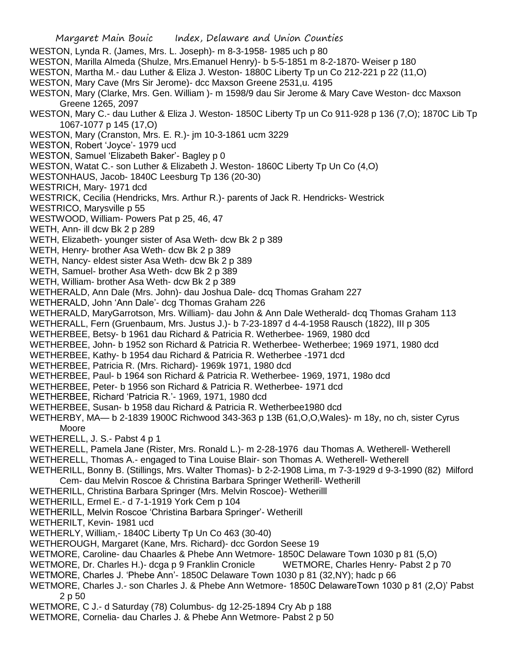WESTON, Lynda R. (James, Mrs. L. Joseph)- m 8-3-1958- 1985 uch p 80 WESTON, Marilla Almeda (Shulze, Mrs.Emanuel Henry)- b 5-5-1851 m 8-2-1870- Weiser p 180 WESTON, Martha M.- dau Luther & Eliza J. Weston- 1880C Liberty Tp un Co 212-221 p 22 (11,O) WESTON, Mary Cave (Mrs Sir Jerome)- dcc Maxson Greene 2531,u. 4195 WESTON, Mary (Clarke, Mrs. Gen. William )- m 1598/9 dau Sir Jerome & Mary Cave Weston- dcc Maxson Greene 1265, 2097 WESTON, Mary C.- dau Luther & Eliza J. Weston- 1850C Liberty Tp un Co 911-928 p 136 (7,O); 1870C Lib Tp 1067-1077 p 145 (17,O) WESTON, Mary (Cranston, Mrs. E. R.)- jm 10-3-1861 ucm 3229 WESTON, Robert 'Joyce'- 1979 ucd WESTON, Samuel 'Elizabeth Baker'- Bagley p 0 WESTON, Watat C.- son Luther & Elizabeth J. Weston- 1860C Liberty Tp Un Co (4,O) WESTONHAUS, Jacob- 1840C Leesburg Tp 136 (20-30) WESTRICH, Mary- 1971 dcd WESTRICK, Cecilia (Hendricks, Mrs. Arthur R.)- parents of Jack R. Hendricks- Westrick WESTRICO, Marysville p 55 WESTWOOD, William- Powers Pat p 25, 46, 47 WETH, Ann- ill dcw Bk 2 p 289 WETH, Elizabeth- younger sister of Asa Weth- dcw Bk 2 p 389 WETH, Henry- brother Asa Weth- dcw Bk 2 p 389 WETH, Nancy- eldest sister Asa Weth- dcw Bk 2 p 389 WETH, Samuel- brother Asa Weth- dcw Bk 2 p 389 WETH, William- brother Asa Weth- dcw Bk 2 p 389 WETHERALD, Ann Dale (Mrs. John)- dau Joshua Dale- dcq Thomas Graham 227 WETHERALD, John 'Ann Dale'- dcg Thomas Graham 226 WETHERALD, MaryGarrotson, Mrs. William)- dau John & Ann Dale Wetherald- dcq Thomas Graham 113 WETHERALL, Fern (Gruenbaum, Mrs. Justus J.)- b 7-23-1897 d 4-4-1958 Rausch (1822), III p 305 WETHERBEE, Betsy- b 1961 dau Richard & Patricia R. Wetherbee- 1969, 1980 dcd WETHERBEE, John- b 1952 son Richard & Patricia R. Wetherbee- Wetherbee; 1969 1971, 1980 dcd WETHERBEE, Kathy- b 1954 dau Richard & Patricia R. Wetherbee -1971 dcd WETHERBEE, Patricia R. (Mrs. Richard)- 1969k 1971, 1980 dcd WETHERBEE, Paul- b 1964 son Richard & Patricia R. Wetherbee- 1969, 1971, 198o dcd WETHERBEE, Peter- b 1956 son Richard & Patricia R. Wetherbee- 1971 dcd WETHERBEE, Richard 'Patricia R.'- 1969, 1971, 1980 dcd WETHERBEE, Susan- b 1958 dau Richard & Patricia R. Wetherbee1980 dcd WETHERBY, MA— b 2-1839 1900C Richwood 343-363 p 13B (61,O,O,Wales)- m 18y, no ch, sister Cyrus Moore WETHERELL, J. S.- Pabst 4 p 1 WETHERELL, Pamela Jane (Rister, Mrs. Ronald L.)- m 2-28-1976 dau Thomas A. Wetherell- Wetherell WETHERELL, Thomas A.- engaged to Tina Louise Blair- son Thomas A. Wetherell- Wetherell WETHERILL, Bonny B. (Stillings, Mrs. Walter Thomas)- b 2-2-1908 Lima, m 7-3-1929 d 9-3-1990 (82) Milford Cem- dau Melvin Roscoe & Christina Barbara Springer Wetherill- Wetherill WETHERILL, Christina Barbara Springer (Mrs. Melvin Roscoe)- Wetherilll WETHERILL, Ermel E.- d 7-1-1919 York Cem p 104 WETHERILL, Melvin Roscoe 'Christina Barbara Springer'- Wetherill WETHERILT, Kevin- 1981 ucd WETHERLY, William,- 1840C Liberty Tp Un Co 463 (30-40) WETHEROUGH, Margaret (Kane, Mrs. Richard)- dcc Gordon Seese 19 WETMORE, Caroline- dau Chaarles & Phebe Ann Wetmore- 1850C Delaware Town 1030 p 81 (5,O) WETMORE, Dr. Charles H.)- dcga p 9 Franklin Cronicle WETMORE, Charles Henry- Pabst 2 p 70 WETMORE, Charles J. 'Phebe Ann'- 1850C Delaware Town 1030 p 81 (32,NY); hadc p 66 WETMORE, Charles J.- son Charles J. & Phebe Ann Wetmore- 1850C DelawareTown 1030 p 81 (2,O)' Pabst

- 2 p 50
- WETMORE, C J.- d Saturday (78) Columbus- dg 12-25-1894 Cry Ab p 188
- WETMORE, Cornelia- dau Charles J. & Phebe Ann Wetmore- Pabst 2 p 50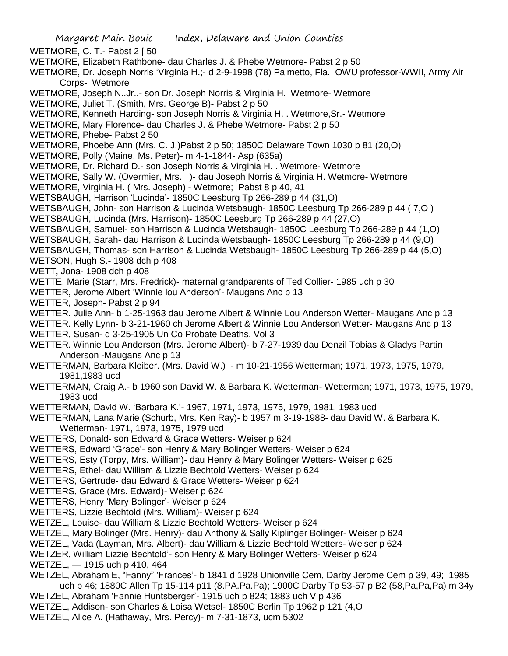- Margaret Main Bouic Index, Delaware and Union Counties WETMORE, C. T.- Pabst 2 [ 50 WETMORE, Elizabeth Rathbone- dau Charles J. & Phebe Wetmore- Pabst 2 p 50 WETMORE, Dr. Joseph Norris 'Virginia H.;- d 2-9-1998 (78) Palmetto, Fla. OWU professor-WWII, Army Air Corps- Wetmore WETMORE, Joseph N..Jr..- son Dr. Joseph Norris & Virginia H. Wetmore- Wetmore WETMORE, Juliet T. (Smith, Mrs. George B)- Pabst 2 p 50 WETMORE, Kenneth Harding- son Joseph Norris & Virginia H. . Wetmore,Sr.- Wetmore WETMORE, Mary Florence- dau Charles J. & Phebe Wetmore- Pabst 2 p 50 WETMORE, Phebe- Pabst 2 50 WETMORE, Phoebe Ann (Mrs. C. J.)Pabst 2 p 50; 1850C Delaware Town 1030 p 81 (20,O) WETMORE, Polly (Maine, Ms. Peter)- m 4-1-1844- Asp (635a) WETMORE, Dr. Richard D.- son Joseph Norris & Virginia H. . Wetmore- Wetmore WETMORE, Sally W. (Overmier, Mrs. )- dau Joseph Norris & Virginia H. Wetmore- Wetmore WETMORE, Virginia H. ( Mrs. Joseph) - Wetmore; Pabst 8 p 40, 41 WETSBAUGH, Harrison 'Lucinda'- 1850C Leesburg Tp 266-289 p 44 (31,O) WETSBAUGH, John- son Harrison & Lucinda Wetsbaugh- 1850C Leesburg Tp 266-289 p 44 ( 7,O ) WETSBAUGH, Lucinda (Mrs. Harrison)- 1850C Leesburg Tp 266-289 p 44 (27,O) WETSBAUGH, Samuel- son Harrison & Lucinda Wetsbaugh- 1850C Leesburg Tp 266-289 p 44 (1,O) WETSBAUGH, Sarah- dau Harrison & Lucinda Wetsbaugh- 1850C Leesburg Tp 266-289 p 44 (9,O) WETSBAUGH, Thomas- son Harrison & Lucinda Wetsbaugh- 1850C Leesburg Tp 266-289 p 44 (5,O) WETSON, Hugh S.- 1908 dch p 408 WETT, Jona- 1908 dch p 408 WETTE, Marie (Starr, Mrs. Fredrick)- maternal grandparents of Ted Collier- 1985 uch p 30 WETTER, Jerome Albert 'Winnie lou Anderson'- Maugans Anc p 13 WETTER, Joseph- Pabst 2 p 94 WETTER. Julie Ann- b 1-25-1963 dau Jerome Albert & Winnie Lou Anderson Wetter- Maugans Anc p 13 WETTER. Kelly Lynn- b 3-21-1960 ch Jerome Albert & Winnie Lou Anderson Wetter- Maugans Anc p 13 WETTER, Susan- d 3-25-1905 Un Co Probate Deaths, Vol 3 WETTER. Winnie Lou Anderson (Mrs. Jerome Albert)- b 7-27-1939 dau Denzil Tobias & Gladys Partin Anderson -Maugans Anc p 13 WETTERMAN, Barbara Kleiber. (Mrs. David W.) - m 10-21-1956 Wetterman; 1971, 1973, 1975, 1979, 1981,1983 ucd WETTERMAN, Craig A.- b 1960 son David W. & Barbara K. Wetterman- Wetterman; 1971, 1973, 1975, 1979, 1983 ucd WETTERMAN, David W. 'Barbara K.'- 1967, 1971, 1973, 1975, 1979, 1981, 1983 ucd WETTERMAN, Lana Marie (Schurb, Mrs. Ken Ray)- b 1957 m 3-19-1988- dau David W. & Barbara K. Wetterman- 1971, 1973, 1975, 1979 ucd WETTERS, Donald- son Edward & Grace Wetters- Weiser p 624 WETTERS, Edward 'Grace'- son Henry & Mary Bolinger Wetters- Weiser p 624 WETTERS, Esty (Torpy, Mrs. William)- dau Henry & Mary Bolinger Wetters- Weiser p 625 WETTERS, Ethel- dau William & Lizzie Bechtold Wetters- Weiser p 624 WETTERS, Gertrude- dau Edward & Grace Wetters- Weiser p 624 WETTERS, Grace (Mrs. Edward)- Weiser p 624 WETTERS, Henry 'Mary Bolinger'- Weiser p 624
	- WETTERS, Lizzie Bechtold (Mrs. William)- Weiser p 624
	- WETZEL, Louise- dau William & Lizzie Bechtold Wetters- Weiser p 624
	- WETZEL, Mary Bolinger (Mrs. Henry)- dau Anthony & Sally Kiplinger Bolinger- Weiser p 624
- WETZEL, Vada (Layman, Mrs. Albert)- dau William & Lizzie Bechtold Wetters- Weiser p 624
- WETZER, William Lizzie Bechtold'- son Henry & Mary Bolinger Wetters- Weiser p 624
- WETZEL, 1915 uch p 410, 464
- WETZEL, Abraham E, "Fanny" 'Frances'- b 1841 d 1928 Unionville Cem, Darby Jerome Cem p 39, 49; 1985 uch p 46; 1880C Allen Tp 15-114 p11 (8.PA.Pa.Pa); 1900C Darby Tp 53-57 p B2 (58,Pa,Pa,Pa) m 34y WETZEL, Abraham 'Fannie Huntsberger'- 1915 uch p 824; 1883 uch V p 436
- 
- WETZEL, Addison- son Charles & Loisa Wetsel- 1850C Berlin Tp 1962 p 121 (4,O
- WETZEL, Alice A. (Hathaway, Mrs. Percy)- m 7-31-1873, ucm 5302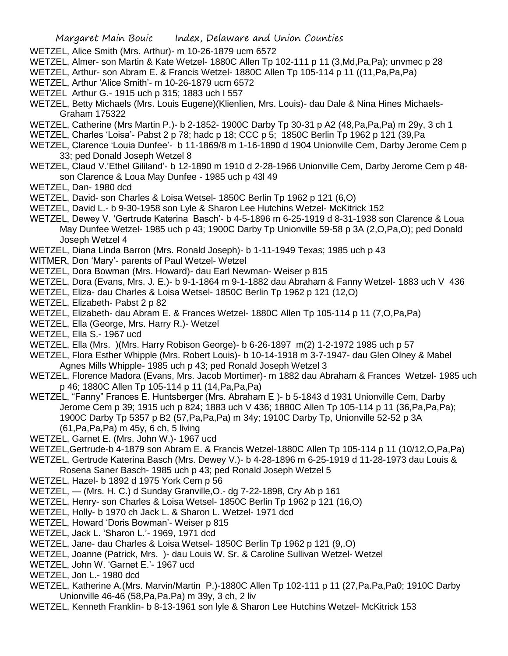- WETZEL, Alice Smith (Mrs. Arthur)- m 10-26-1879 ucm 6572
- WETZEL, Almer- son Martin & Kate Wetzel- 1880C Allen Tp 102-111 p 11 (3,Md,Pa,Pa); unvmec p 28
- WETZEL, Arthur- son Abram E. & Francis Wetzel- 1880C Allen Tp 105-114 p 11 ((11,Pa,Pa,Pa)
- WETZEL, Arthur 'Alice Smith'- m 10-26-1879 ucm 6572
- WETZEL Arthur G.- 1915 uch p 315; 1883 uch I 557
- WETZEL, Betty Michaels (Mrs. Louis Eugene)(Klienlien, Mrs. Louis)- dau Dale & Nina Hines Michaels-Graham 175322
- WETZEL, Catherine (Mrs Martin P.)- b 2-1852- 1900C Darby Tp 30-31 p A2 (48,Pa,Pa,Pa) m 29y, 3 ch 1
- WETZEL, Charles 'Loisa'- Pabst 2 p 78; hadc p 18; CCC p 5; 1850C Berlin Tp 1962 p 121 (39,Pa
- WETZEL, Clarence 'Louia Dunfee'- b 11-1869/8 m 1-16-1890 d 1904 Unionville Cem, Darby Jerome Cem p 33; ped Donald Joseph Wetzel 8
- WETZEL, Claud V.'Ethel Gililand'- b 12-1890 m 1910 d 2-28-1966 Unionville Cem, Darby Jerome Cem p 48 son Clarence & Loua May Dunfee - 1985 uch p 43l 49
- WETZEL, Dan- 1980 dcd
- WETZEL, David- son Charles & Loisa Wetsel- 1850C Berlin Tp 1962 p 121 (6,O)
- WETZEL, David L.- b 9-30-1958 son Lyle & Sharon Lee Hutchins Wetzel- McKitrick 152
- WETZEL, Dewey V. 'Gertrude Katerina Basch'- b 4-5-1896 m 6-25-1919 d 8-31-1938 son Clarence & Loua May Dunfee Wetzel- 1985 uch p 43; 1900C Darby Tp Unionville 59-58 p 3A (2,O,Pa,O); ped Donald Joseph Wetzel 4
- WETZEL, Diana Linda Barron (Mrs. Ronald Joseph)- b 1-11-1949 Texas; 1985 uch p 43
- WITMER, Don 'Mary'- parents of Paul Wetzel- Wetzel
- WETZEL, Dora Bowman (Mrs. Howard)- dau Earl Newman- Weiser p 815
- WETZEL, Dora (Evans, Mrs. J. E.)- b 9-1-1864 m 9-1-1882 dau Abraham & Fanny Wetzel- 1883 uch V 436
- WETZEL, Eliza- dau Charles & Loisa Wetsel- 1850C Berlin Tp 1962 p 121 (12,O)
- WETZEL, Elizabeth- Pabst 2 p 82
- WETZEL, Elizabeth- dau Abram E. & Frances Wetzel- 1880C Allen Tp 105-114 p 11 (7,O,Pa,Pa)
- WETZEL, Ella (George, Mrs. Harry R.)- Wetzel
- WETZEL, Ella S.- 1967 ucd
- WETZEL, Ella (Mrs. )(Mrs. Harry Robison George)- b 6-26-1897 m(2) 1-2-1972 1985 uch p 57
- WETZEL, Flora Esther Whipple (Mrs. Robert Louis)- b 10-14-1918 m 3-7-1947- dau Glen Olney & Mabel Agnes Mills Whipple- 1985 uch p 43; ped Ronald Joseph Wetzel 3
- WETZEL, Florence Madora (Evans, Mrs. Jacob Mortimer)- m 1882 dau Abraham & Frances Wetzel- 1985 uch p 46; 1880C Allen Tp 105-114 p 11 (14,Pa,Pa,Pa)
- WETZEL, "Fanny" Frances E. Huntsberger (Mrs. Abraham E )- b 5-1843 d 1931 Unionville Cem, Darby Jerome Cem p 39; 1915 uch p 824; 1883 uch V 436; 1880C Allen Tp 105-114 p 11 (36,Pa,Pa,Pa); 1900C Darby Tp 5357 p B2 (57,Pa,Pa,Pa) m 34y; 1910C Darby Tp, Unionville 52-52 p 3A (61,Pa,Pa,Pa) m 45y, 6 ch, 5 living
- WETZEL, Garnet E. (Mrs. John W.)- 1967 ucd
- WETZEL,Gertrude-b 4-1879 son Abram E. & Francis Wetzel-1880C Allen Tp 105-114 p 11 (10/12,O,Pa,Pa)
- WETZEL, Gertrude Katerina Basch (Mrs. Dewey V.)- b 4-28-1896 m 6-25-1919 d 11-28-1973 dau Louis & Rosena Saner Basch- 1985 uch p 43; ped Ronald Joseph Wetzel 5
- WETZEL, Hazel- b 1892 d 1975 York Cem p 56
- WETZEL, (Mrs. H. C.) d Sunday Granville,O.- dg 7-22-1898, Cry Ab p 161
- WETZEL, Henry- son Charles & Loisa Wetsel- 1850C Berlin Tp 1962 p 121 (16,O)
- WETZEL, Holly- b 1970 ch Jack L. & Sharon L. Wetzel- 1971 dcd
- WETZEL, Howard 'Doris Bowman'- Weiser p 815
- WETZEL, Jack L. 'Sharon L.'- 1969, 1971 dcd
- WETZEL, Jane- dau Charles & Loisa Wetsel- 1850C Berlin Tp 1962 p 121 (9,.O)
- WETZEL, Joanne (Patrick, Mrs. )- dau Louis W. Sr. & Caroline Sullivan Wetzel- Wetzel
- WETZEL, John W. 'Garnet E.'- 1967 ucd
- WETZEL, Jon L.- 1980 dcd
- WETZEL, Katherine A.(Mrs. Marvin/Martin P.)-1880C Allen Tp 102-111 p 11 (27,Pa.Pa,Pa0; 1910C Darby Unionville 46-46 (58,Pa,Pa.Pa) m 39y, 3 ch, 2 liv
- WETZEL, Kenneth Franklin- b 8-13-1961 son lyle & Sharon Lee Hutchins Wetzel- McKitrick 153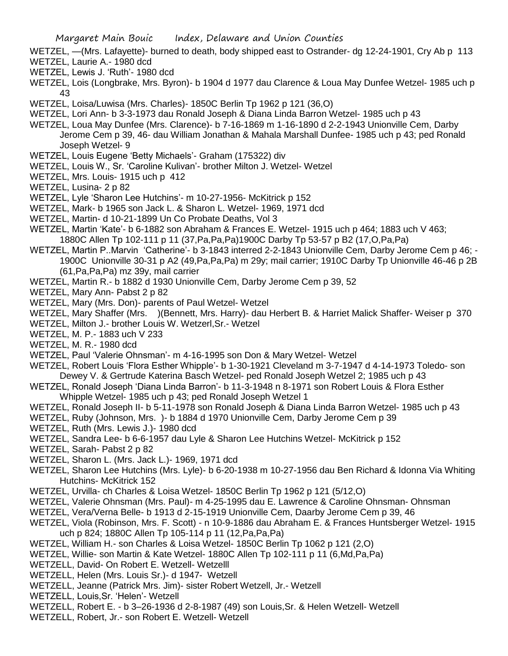- WETZEL, —(Mrs. Lafayette)- burned to death, body shipped east to Ostrander- dg 12-24-1901, Cry Ab p 113 WETZEL, Laurie A.- 1980 dcd
- WETZEL, Lewis J. 'Ruth'- 1980 dcd
- WETZEL, Lois (Longbrake, Mrs. Byron)- b 1904 d 1977 dau Clarence & Loua May Dunfee Wetzel- 1985 uch p 43
- WETZEL, Loisa/Luwisa (Mrs. Charles)- 1850C Berlin Tp 1962 p 121 (36,O)
- WETZEL, Lori Ann- b 3-3-1973 dau Ronald Joseph & Diana Linda Barron Wetzel- 1985 uch p 43
- WETZEL, Loua May Dunfee (Mrs. Clarence)- b 7-16-1869 m 1-16-1890 d 2-2-1943 Unionville Cem, Darby Jerome Cem p 39, 46- dau William Jonathan & Mahala Marshall Dunfee- 1985 uch p 43; ped Ronald Joseph Wetzel- 9
- WETZEL, Louis Eugene 'Betty Michaels'- Graham (175322) div
- WETZEL, Louis W., Sr. 'Caroline Kulivan'- brother Milton J. Wetzel- Wetzel
- WETZEL, Mrs. Louis- 1915 uch p 412
- WETZEL, Lusina- 2 p 82
- WETZEL, Lyle 'Sharon Lee Hutchins'- m 10-27-1956- McKitrick p 152
- WETZEL, Mark- b 1965 son Jack L. & Sharon L. Wetzel- 1969, 1971 dcd
- WETZEL, Martin- d 10-21-1899 Un Co Probate Deaths, Vol 3
- WETZEL, Martin 'Kate'- b 6-1882 son Abraham & Frances E. Wetzel- 1915 uch p 464; 1883 uch V 463;
	- 1880C Allen Tp 102-111 p 11 (37,Pa,Pa,Pa)1900C Darby Tp 53-57 p B2 (17,O,Pa,Pa)
- WETZEL, Martin P..Marvin 'Catherine'- b 3-1843 interred 2-2-1843 Unionville Cem, Darby Jerome Cem p 46; 1900C Unionville 30-31 p A2 (49,Pa,Pa,Pa) m 29y; mail carrier; 1910C Darby Tp Unionville 46-46 p 2B (61,Pa,Pa,Pa) mz 39y, mail carrier
- WETZEL, Martin R.- b 1882 d 1930 Unionville Cem, Darby Jerome Cem p 39, 52
- WETZEL, Mary Ann- Pabst 2 p 82
- WETZEL, Mary (Mrs. Don)- parents of Paul Wetzel- Wetzel
- WETZEL, Mary Shaffer (Mrs. )(Bennett, Mrs. Harry)- dau Herbert B. & Harriet Malick Shaffer- Weiser p 370
- WETZEL, Milton J.- brother Louis W. Wetzerl,Sr.- Wetzel
- WETZEL, M. P.- 1883 uch V 233
- WETZEL, M. R.- 1980 dcd
- WETZEL, Paul 'Valerie Ohnsman'- m 4-16-1995 son Don & Mary Wetzel- Wetzel
- WETZEL, Robert Louis 'Flora Esther Whipple'- b 1-30-1921 Cleveland m 3-7-1947 d 4-14-1973 Toledo- son Dewey V. & Gertrude Katerina Basch Wetzel- ped Ronald Joseph Wetzel 2; 1985 uch p 43
- WETZEL, Ronald Joseph 'Diana Linda Barron'- b 11-3-1948 n 8-1971 son Robert Louis & Flora Esther Whipple Wetzel- 1985 uch p 43; ped Ronald Joseph Wetzel 1
- WETZEL, Ronald Joseph II- b 5-11-1978 son Ronald Joseph & Diana Linda Barron Wetzel- 1985 uch p 43
- WETZEL, Ruby (Johnson, Mrs. )- b 1884 d 1970 Unionville Cem, Darby Jerome Cem p 39
- WETZEL, Ruth (Mrs. Lewis J.)- 1980 dcd
- WETZEL, Sandra Lee- b 6-6-1957 dau Lyle & Sharon Lee Hutchins Wetzel- McKitrick p 152
- WETZEL, Sarah- Pabst 2 p 82
- WETZEL, Sharon L. (Mrs. Jack L.)- 1969, 1971 dcd
- WETZEL, Sharon Lee Hutchins (Mrs. Lyle)- b 6-20-1938 m 10-27-1956 dau Ben Richard & Idonna Via Whiting Hutchins- McKitrick 152
- WETZEL, Urvilla- ch Charles & Loisa Wetzel- 1850C Berlin Tp 1962 p 121 (5/12,O)
- WETZEL, Valerie Ohnsman (Mrs. Paul)- m 4-25-1995 dau E. Lawrence & Caroline Ohnsman- Ohnsman
- WETZEL, Vera/Verna Belle- b 1913 d 2-15-1919 Unionville Cem, Daarby Jerome Cem p 39, 46
- WETZEL, Viola (Robinson, Mrs. F. Scott) n 10-9-1886 dau Abraham E. & Frances Huntsberger Wetzel- 1915 uch p 824; 1880C Allen Tp 105-114 p 11 (12,Pa,Pa,Pa)
- WETZEL, William H.- son Charles & Loisa Wetzel- 1850C Berlin Tp 1062 p 121 (2,O)
- WETZEL, Willie- son Martin & Kate Wetzel- 1880C Allen Tp 102-111 p 11 (6,Md,Pa,Pa)
- WETZELL, David- On Robert E. Wetzell- Wetzelll
- WETZELL, Helen (Mrs. Louis Sr.)- d 1947- Wetzell
- WETZELL, Jeanne (Patrick Mrs. Jim)- sister Robert Wetzell, Jr.- Wetzell
- WETZELL, Louis,Sr. 'Helen'- Wetzell
- WETZELL, Robert E. b 3–26-1936 d 2-8-1987 (49) son Louis,Sr. & Helen Wetzell- Wetzell
- WETZELL, Robert, Jr.- son Robert E. Wetzell- Wetzell